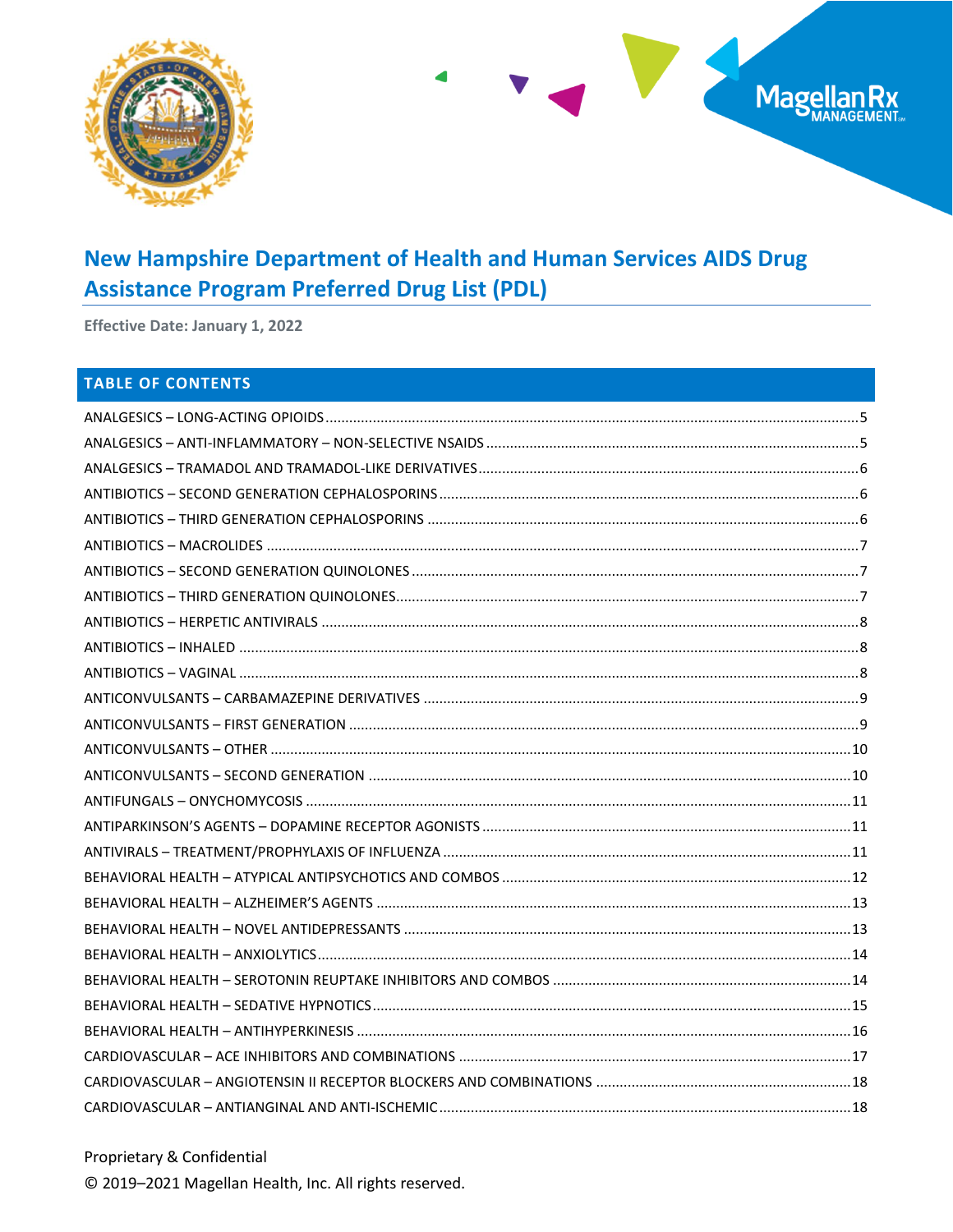

# **New Hampshire Department of Health and Human Services AIDS Drug Assistance Program Preferred Drug List (PDL)**

Magellan Rx

Effective Date: January 1, 2022

## TABLE OF CONTENTS

Proprietary & Confidential

© 2019-2021 Magellan Health, Inc. All rights reserved.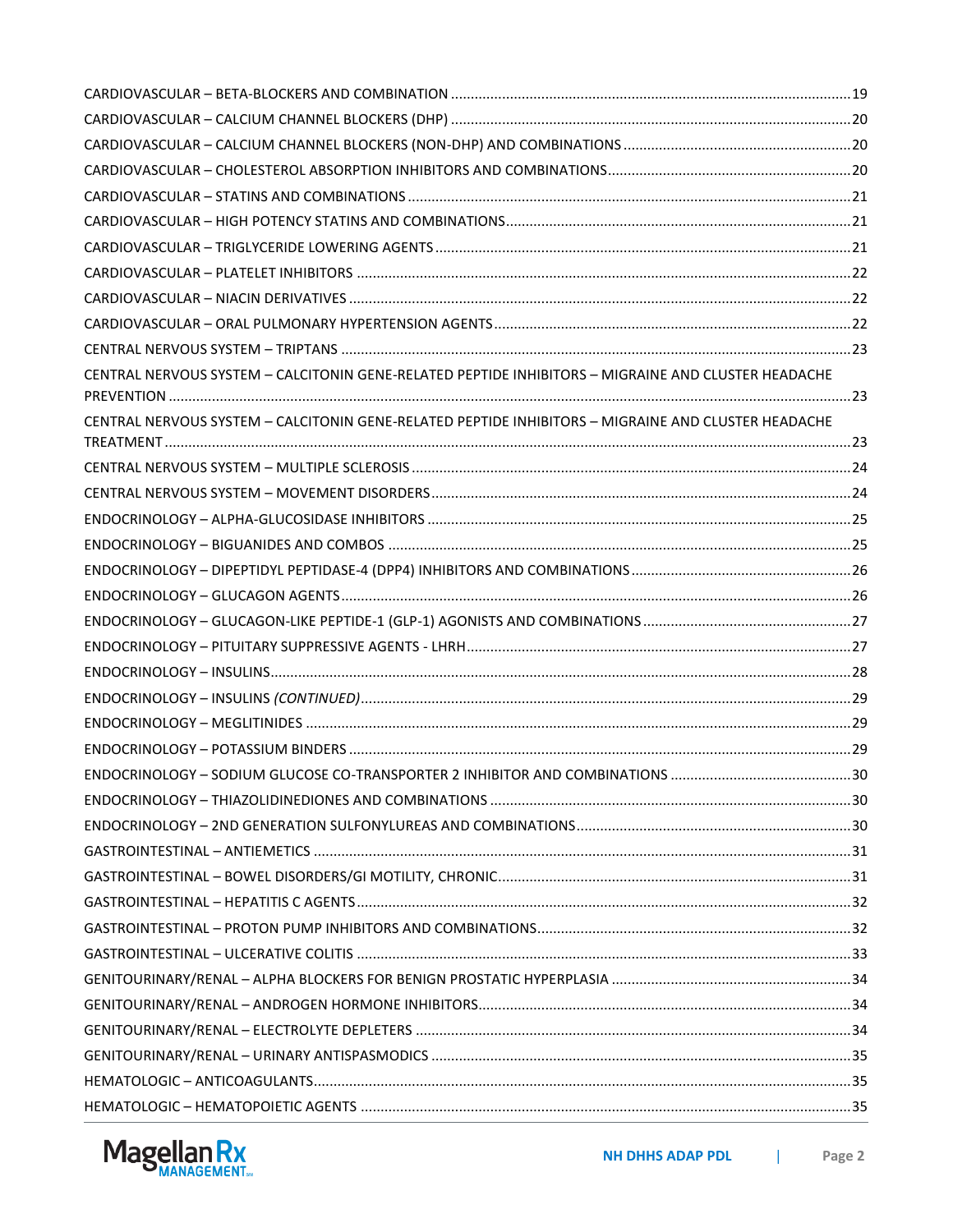| CENTRAL NERVOUS SYSTEM - CALCITONIN GENE-RELATED PEPTIDE INHIBITORS - MIGRAINE AND CLUSTER HEADACHE |  |
|-----------------------------------------------------------------------------------------------------|--|
| CENTRAL NERVOUS SYSTEM - CALCITONIN GENE-RELATED PEPTIDE INHIBITORS - MIGRAINE AND CLUSTER HEADACHE |  |
|                                                                                                     |  |
|                                                                                                     |  |
|                                                                                                     |  |
|                                                                                                     |  |
|                                                                                                     |  |
|                                                                                                     |  |
|                                                                                                     |  |
|                                                                                                     |  |
|                                                                                                     |  |
|                                                                                                     |  |
|                                                                                                     |  |
|                                                                                                     |  |
|                                                                                                     |  |
|                                                                                                     |  |
|                                                                                                     |  |
|                                                                                                     |  |
|                                                                                                     |  |
|                                                                                                     |  |
|                                                                                                     |  |
|                                                                                                     |  |
|                                                                                                     |  |
|                                                                                                     |  |
|                                                                                                     |  |
|                                                                                                     |  |
|                                                                                                     |  |
|                                                                                                     |  |

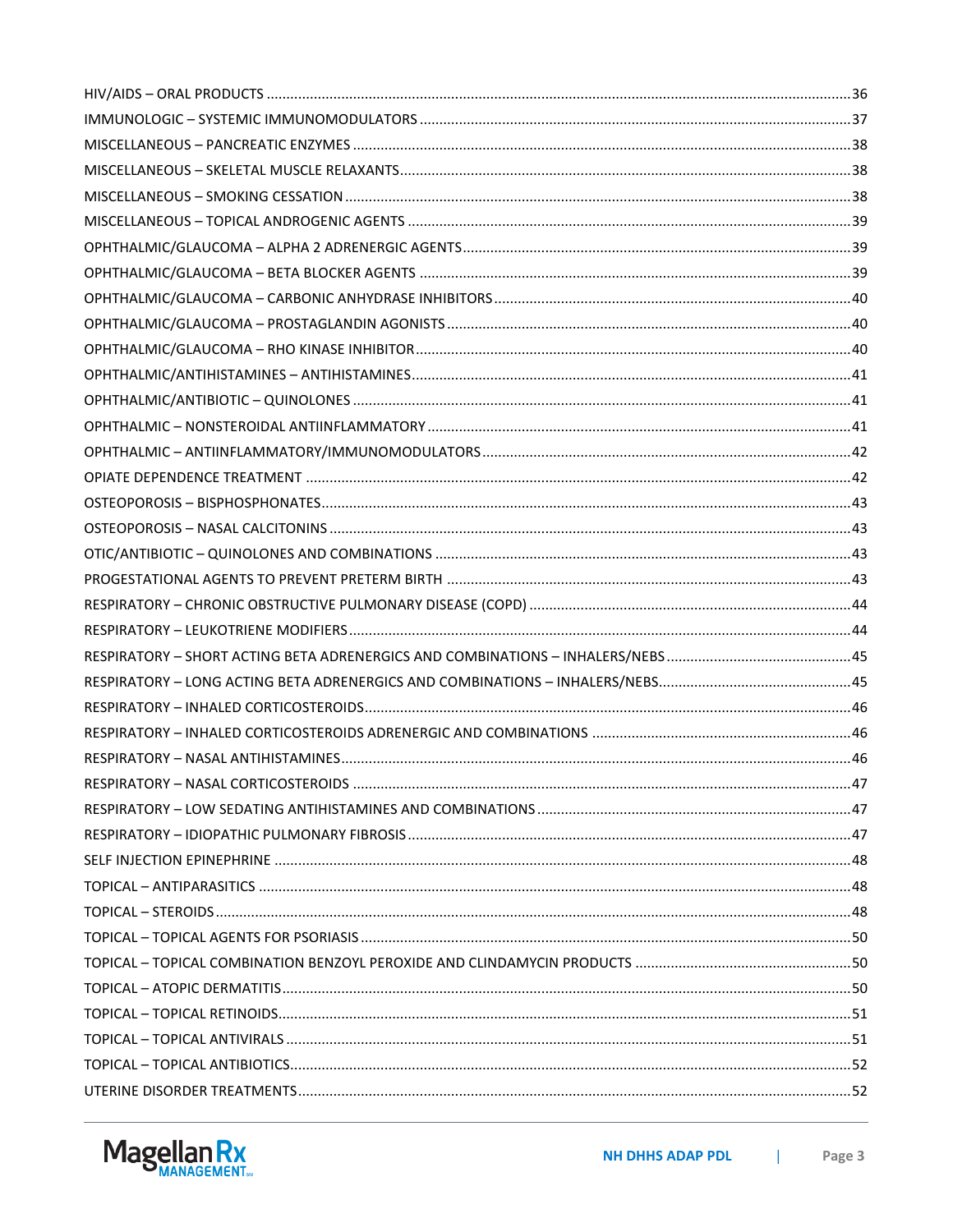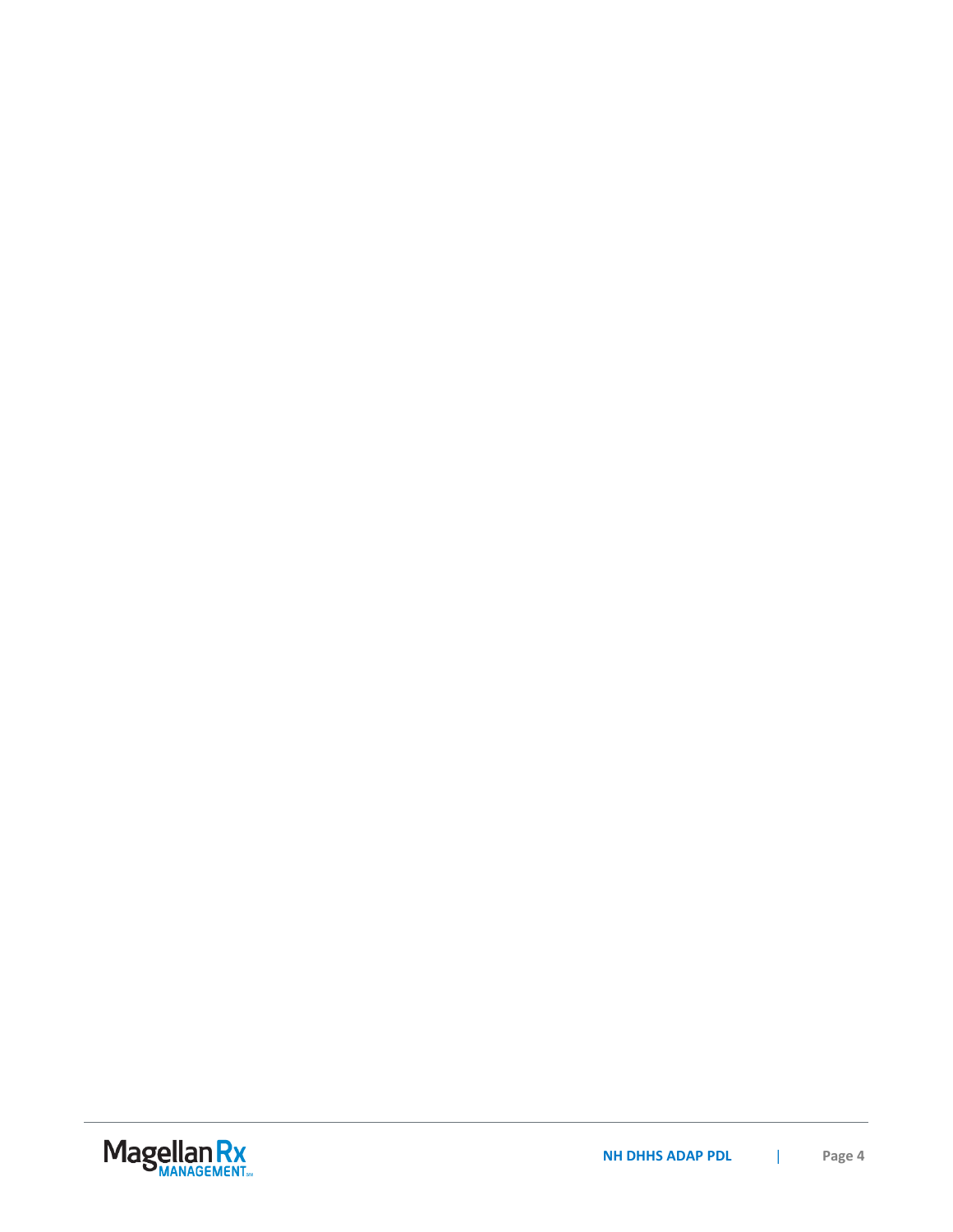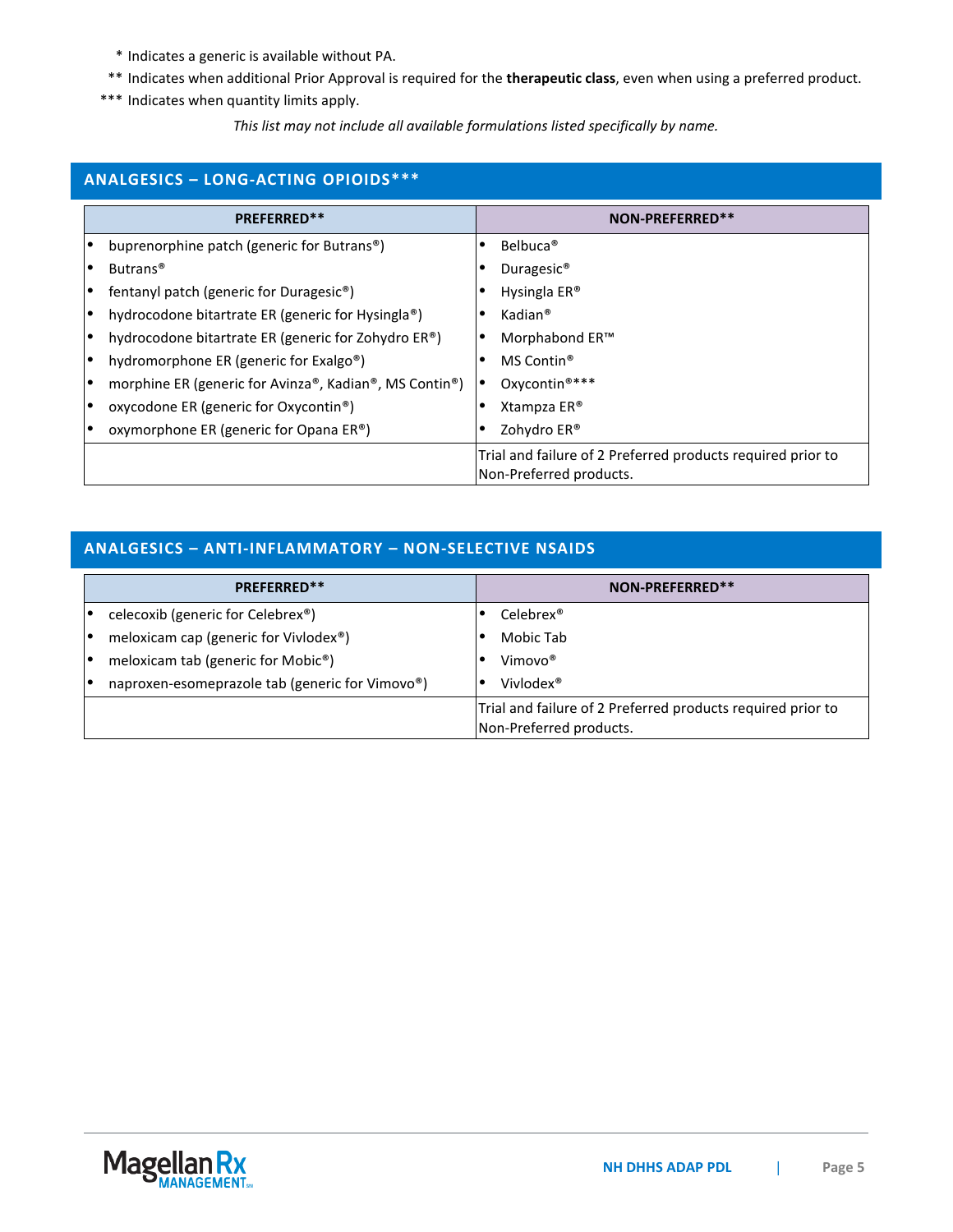- \* Indicates a generic is available without PA.
- \*\* Indicates when additional Prior Approval is required for the **therapeutic class**, even when using a preferred product.
- \*\*\* Indicates when quantity limits apply.

<span id="page-4-0"></span>

| ANALGESICS - LONG-ACTING OPIOIDS ***                   |                                                                                        |  |
|--------------------------------------------------------|----------------------------------------------------------------------------------------|--|
| <b>PREFERRED**</b>                                     | NON-PREFERRED**                                                                        |  |
| buprenorphine patch (generic for Butrans®)             | Belbuca <sup>®</sup>                                                                   |  |
| Butrans <sup>®</sup>                                   | Duragesic <sup>®</sup>                                                                 |  |
| fentanyl patch (generic for Duragesic <sup>®</sup> )   | Hysingla ER®                                                                           |  |
| hydrocodone bitartrate ER (generic for Hysingla®)      | Kadian <sup>®</sup>                                                                    |  |
| hydrocodone bitartrate ER (generic for Zohydro ER®)    | Morphabond ER <sup>™</sup>                                                             |  |
| hydromorphone ER (generic for Exalgo®)                 | MS Contin <sup>®</sup>                                                                 |  |
| morphine ER (generic for Avinza®, Kadian®, MS Contin®) | Oxycontin <sup>®***</sup>                                                              |  |
| oxycodone ER (generic for Oxycontin <sup>®</sup> )     | Xtampza ER <sup>®</sup>                                                                |  |
| oxymorphone ER (generic for Opana ER®)                 | Zohydro ER®                                                                            |  |
|                                                        | Trial and failure of 2 Preferred products required prior to<br>Non-Preferred products. |  |

## <span id="page-4-1"></span>**ANALGESICS – ANTI-INFLAMMATORY – NON-SELECTIVE NSAIDS**

|     | <b>PREFERRED**</b>                                 | NON-PREFERRED**                                             |
|-----|----------------------------------------------------|-------------------------------------------------------------|
|     | celecoxib (generic for Celebrex <sup>®</sup> )     | Celebrex <sup>®</sup>                                       |
| ا ( | meloxicam cap (generic for Vivlodex <sup>®</sup> ) | Mobic Tab                                                   |
| ı c | meloxicam tab (generic for Mobic <sup>®</sup> )    | Vimovo <sup>®</sup>                                         |
| ı c | naproxen-esomeprazole tab (generic for Vimovo®)    | Vivlodex <sup>®</sup>                                       |
|     |                                                    | Trial and failure of 2 Preferred products required prior to |
|     |                                                    | Non-Preferred products.                                     |

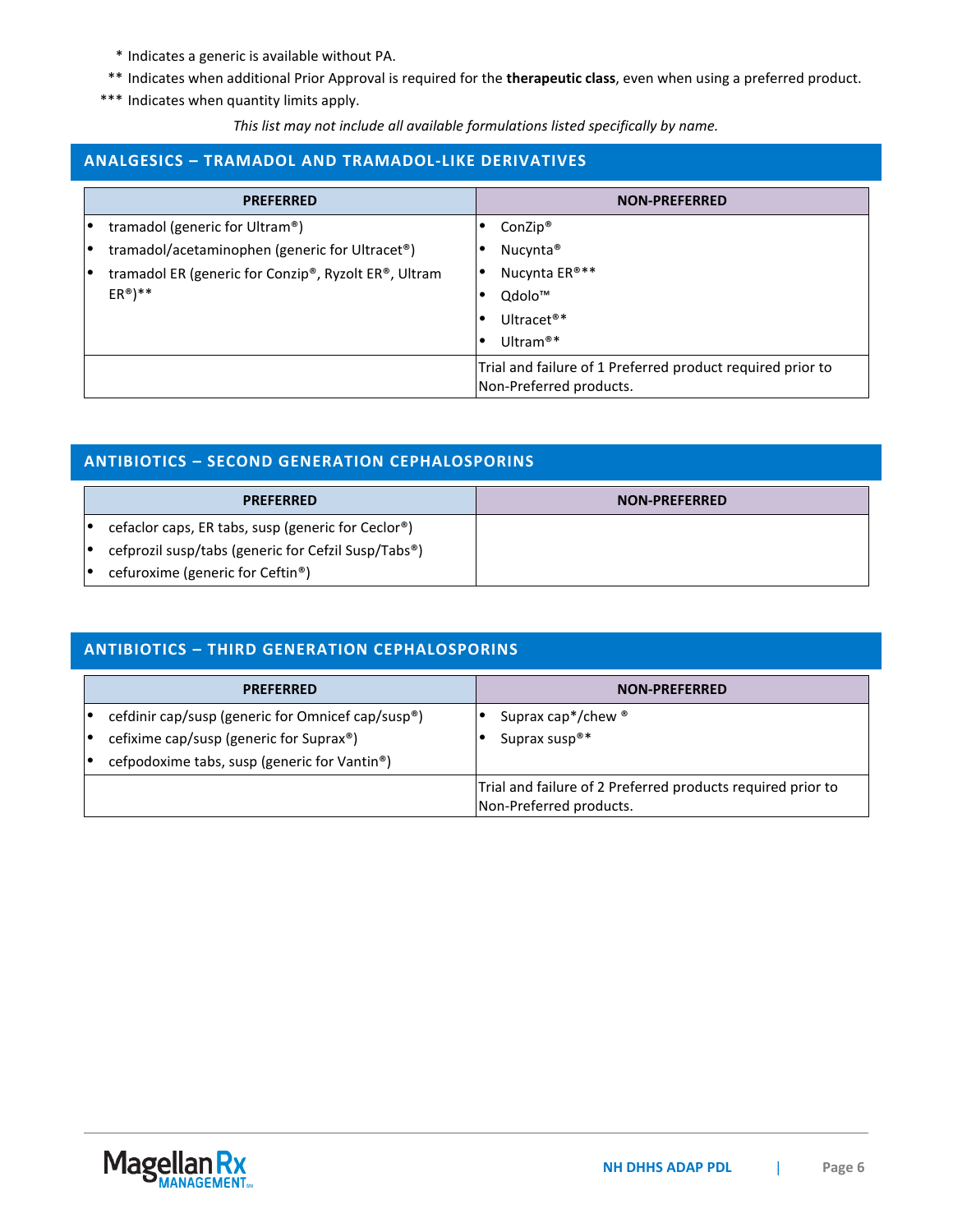- \* Indicates a generic is available without PA.
- \*\* Indicates when additional Prior Approval is required for the **therapeutic class**, even when using a preferred product.
- \*\*\* Indicates when quantity limits apply.

## <span id="page-5-0"></span>**ANALGESICS – TRAMADOL AND TRAMADOL-LIKE DERIVATIVES**

|     | <b>PREFERRED</b>                                            | <b>NON-PREFERRED</b>                                                                  |
|-----|-------------------------------------------------------------|---------------------------------------------------------------------------------------|
| I C | tramadol (generic for Ultram®)                              | ConZip <sup>®</sup>                                                                   |
| ه ا | tramadol/acetaminophen (generic for Ultracet <sup>®</sup> ) | Nucynta <sup>®</sup>                                                                  |
| ∣ ● | tramadol ER (generic for Conzip®, Ryzolt ER®, Ultram        | Nucynta ER®**                                                                         |
|     | $ER^{\circledast})$ **                                      | Qdolo™                                                                                |
|     |                                                             | Ultracet <sup>®*</sup>                                                                |
|     |                                                             | Ultram <sup>®*</sup>                                                                  |
|     |                                                             | Trial and failure of 1 Preferred product required prior to<br>Non-Preferred products. |

# <span id="page-5-1"></span>**ANTIBIOTICS – SECOND GENERATION CEPHALOSPORINS PREFERRED NON-PREFERRED** cefaclor caps, ER tabs, susp (generic for Ceclor®) cefprozil susp/tabs (generic for Cefzil Susp/Tabs®) cefuroxime (generic for Ceftin®)

## <span id="page-5-2"></span>**ANTIBIOTICS – THIRD GENERATION CEPHALOSPORINS**

| <b>PREFERRED</b>                                               | <b>NON-PREFERRED</b>                                                                   |
|----------------------------------------------------------------|----------------------------------------------------------------------------------------|
| cefdinir cap/susp (generic for Omnicef cap/susp <sup>®</sup> ) | Suprax cap*/chew $^{\circ}$                                                            |
| cefixime cap/susp (generic for Suprax®)                        | Suprax susp <sup>®*</sup>                                                              |
| cefpodoxime tabs, susp (generic for Vantin®)                   |                                                                                        |
|                                                                | Trial and failure of 2 Preferred products required prior to<br>Non-Preferred products. |

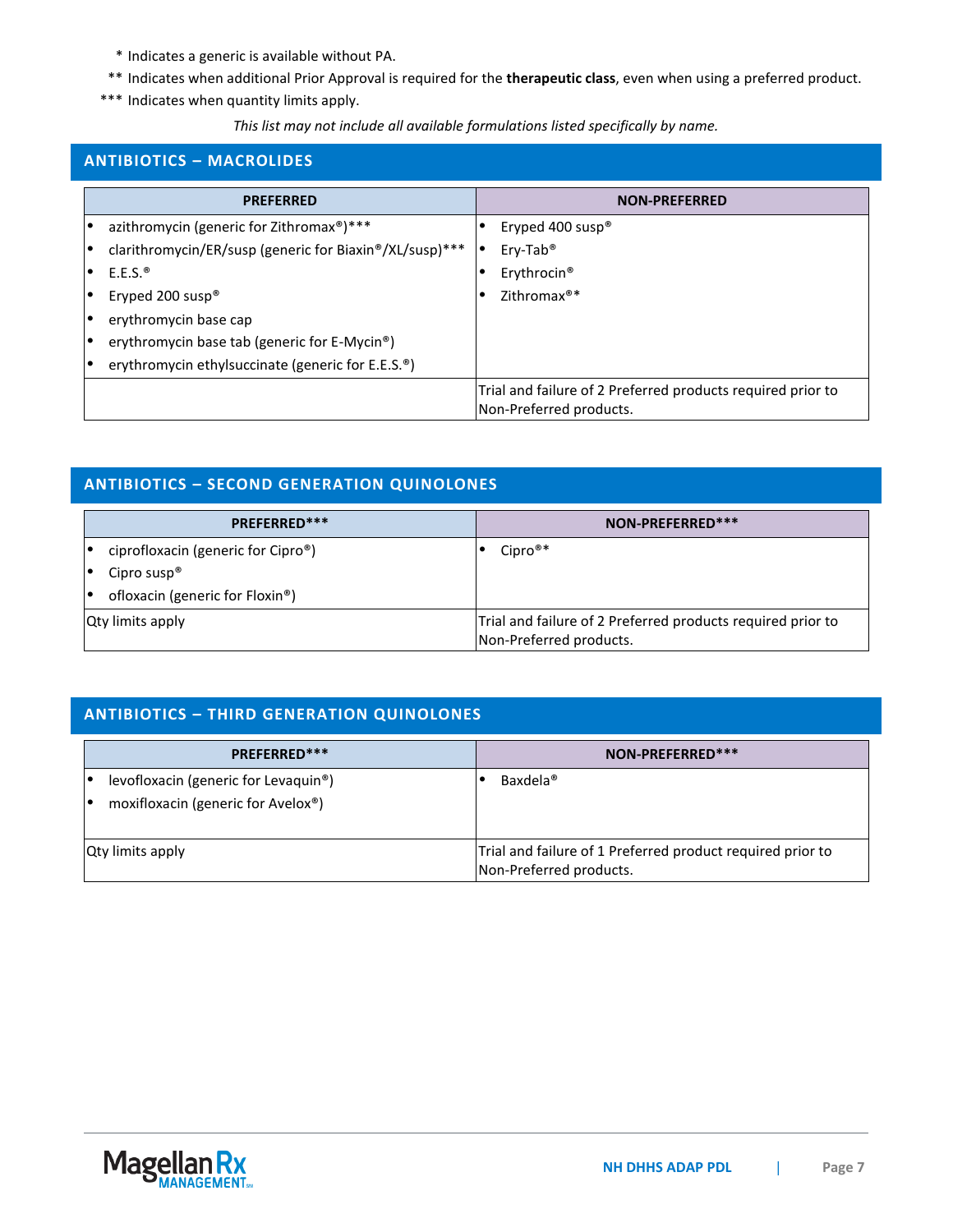- \* Indicates a generic is available without PA.
- \*\* Indicates when additional Prior Approval is required for the **therapeutic class**, even when using a preferred product.
- \*\*\* Indicates when quantity limits apply.

## <span id="page-6-0"></span>**ANTIBIOTICS – MACROLIDES**

|           | <b>PREFERRED</b>                                        | <b>NON-PREFERRED</b>                                        |
|-----------|---------------------------------------------------------|-------------------------------------------------------------|
|           | azithromycin (generic for Zithromax®)***                | Eryped 400 susp <sup>®</sup>                                |
|           | clarithromycin/ER/susp (generic for Biaxin®/XL/susp)*** | Ery-Tab <sup>®</sup>                                        |
|           | E.E.S. <sup>®</sup>                                     | Erythrocin <sup>®</sup>                                     |
|           | Eryped 200 susp <sup>®</sup>                            | Zithromax <sup>®*</sup>                                     |
|           | erythromycin base cap                                   |                                                             |
| $\bullet$ | erythromycin base tab (generic for E-Mycin®)            |                                                             |
|           | erythromycin ethylsuccinate (generic for E.E.S.®)       |                                                             |
|           |                                                         | Trial and failure of 2 Preferred products required prior to |
|           |                                                         | Non-Preferred products.                                     |

## <span id="page-6-1"></span>**ANTIBIOTICS – SECOND GENERATION QUINOLONES**

|     | PREFERRED***                       | NON-PREFERRED***                                            |
|-----|------------------------------------|-------------------------------------------------------------|
| ∣ ● | ciprofloxacin (generic for Cipro®) | Cipro <sup>®*</sup>                                         |
| ∣ ● | Cipro susp <sup>®</sup>            |                                                             |
| ∣ ● | ofloxacin (generic for Floxin®)    |                                                             |
|     | <b>Qty limits apply</b>            | Trial and failure of 2 Preferred products required prior to |
|     |                                    | Non-Preferred products.                                     |

## <span id="page-6-2"></span>**ANTIBIOTICS – THIRD GENERATION QUINOLONES**

| PREFERRED***                               | NON-PREFERRED***                                                                      |
|--------------------------------------------|---------------------------------------------------------------------------------------|
| levofloxacin (generic for Levaquin®)<br>١c | Baxdela <sup>®</sup>                                                                  |
| moxifloxacin (generic for Avelox®)<br>، ا  |                                                                                       |
| <b>Qty limits apply</b>                    | Trial and failure of 1 Preferred product required prior to<br>Non-Preferred products. |

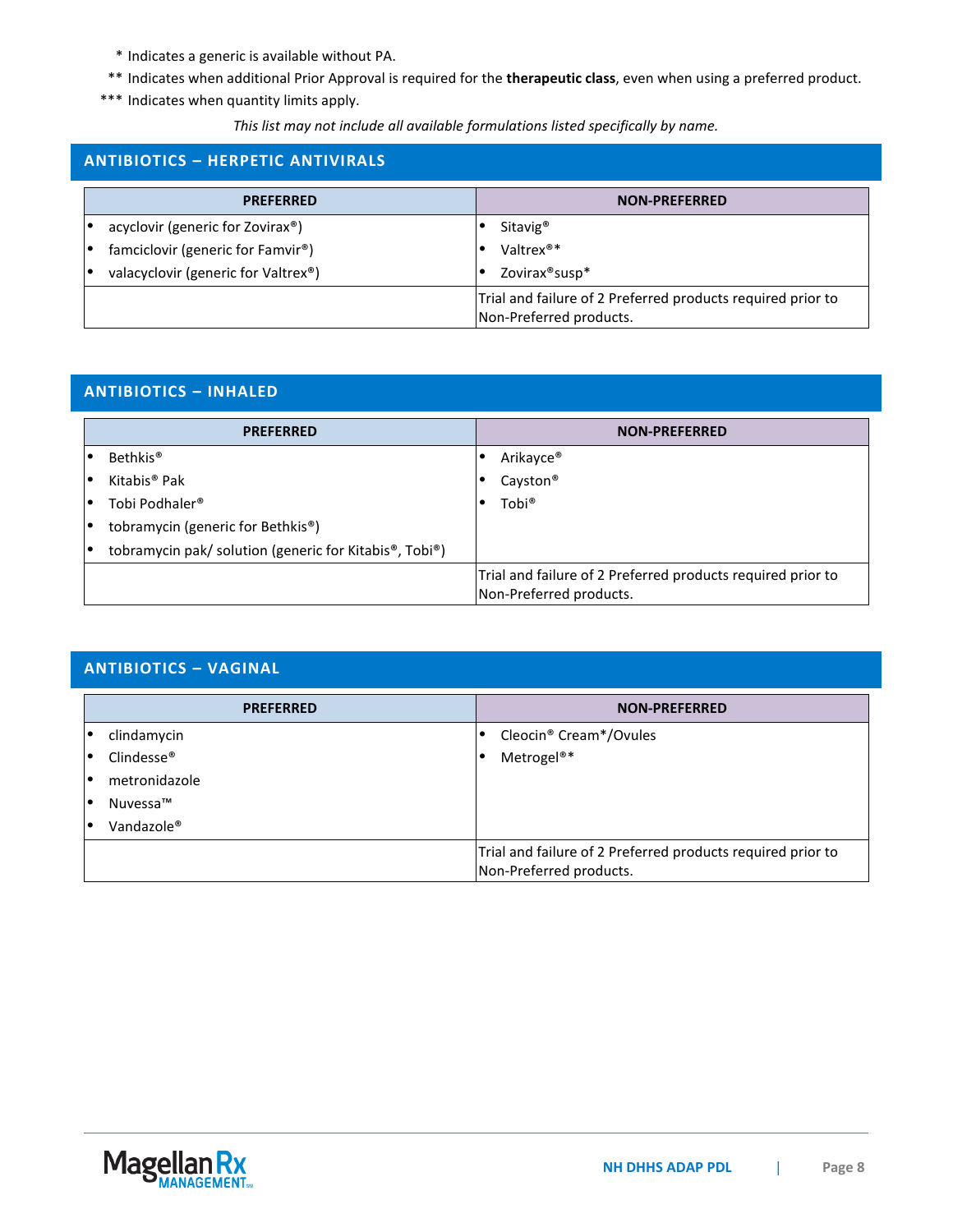- \* Indicates a generic is available without PA.
- \*\* Indicates when additional Prior Approval is required for the **therapeutic class**, even when using a preferred product.
- \*\*\* Indicates when quantity limits apply.

<span id="page-7-0"></span>

| <b>PREFERRED</b>                               | <b>NON-PREFERRED</b>                                        |
|------------------------------------------------|-------------------------------------------------------------|
| acyclovir (generic for Zovirax®)               | Sitavig <sup>®</sup>                                        |
| famciclovir (generic for Famvir <sup>®</sup> ) | Valtrex <sup>®*</sup>                                       |
| valacyclovir (generic for Valtrex®)            | Zovirax®susp*                                               |
|                                                | Trial and failure of 2 Preferred products required prior to |
|                                                | Non-Preferred products.                                     |

## <span id="page-7-1"></span>**ANTIBIOTICS – INHALED**

|     | <b>PREFERRED</b>                                       | <b>NON-PREFERRED</b>                                                                   |
|-----|--------------------------------------------------------|----------------------------------------------------------------------------------------|
| ، ا | Bethkis <sup>®</sup>                                   | Arikayce®                                                                              |
| ∣•  | Kitabis <sup>®</sup> Pak                               | Cayston <sup>®</sup>                                                                   |
| ∣ ● | Tobi Podhaler <sup>®</sup>                             | Tobi <sup>®</sup>                                                                      |
| ∣ ● | tobramycin (generic for Bethkis®)                      |                                                                                        |
| ه ا | tobramycin pak/ solution (generic for Kitabis®, Tobi®) |                                                                                        |
|     |                                                        | Trial and failure of 2 Preferred products required prior to<br>Non-Preferred products. |

## <span id="page-7-2"></span>**ANTIBIOTICS – VAGINAL**

|     | <b>PREFERRED</b>       | <b>NON-PREFERRED</b>                                                                   |
|-----|------------------------|----------------------------------------------------------------------------------------|
| l C | clindamycin            | Cleocin <sup>®</sup> Cream*/Ovules                                                     |
| ه ا | $C$ lindesse®          | Metrogel <sup>®*</sup>                                                                 |
| ∣ ● | metronidazole          |                                                                                        |
| ه ا | Nuvessa™               |                                                                                        |
| ∣●  | Vandazole <sup>®</sup> |                                                                                        |
|     |                        | Trial and failure of 2 Preferred products required prior to<br>Non-Preferred products. |

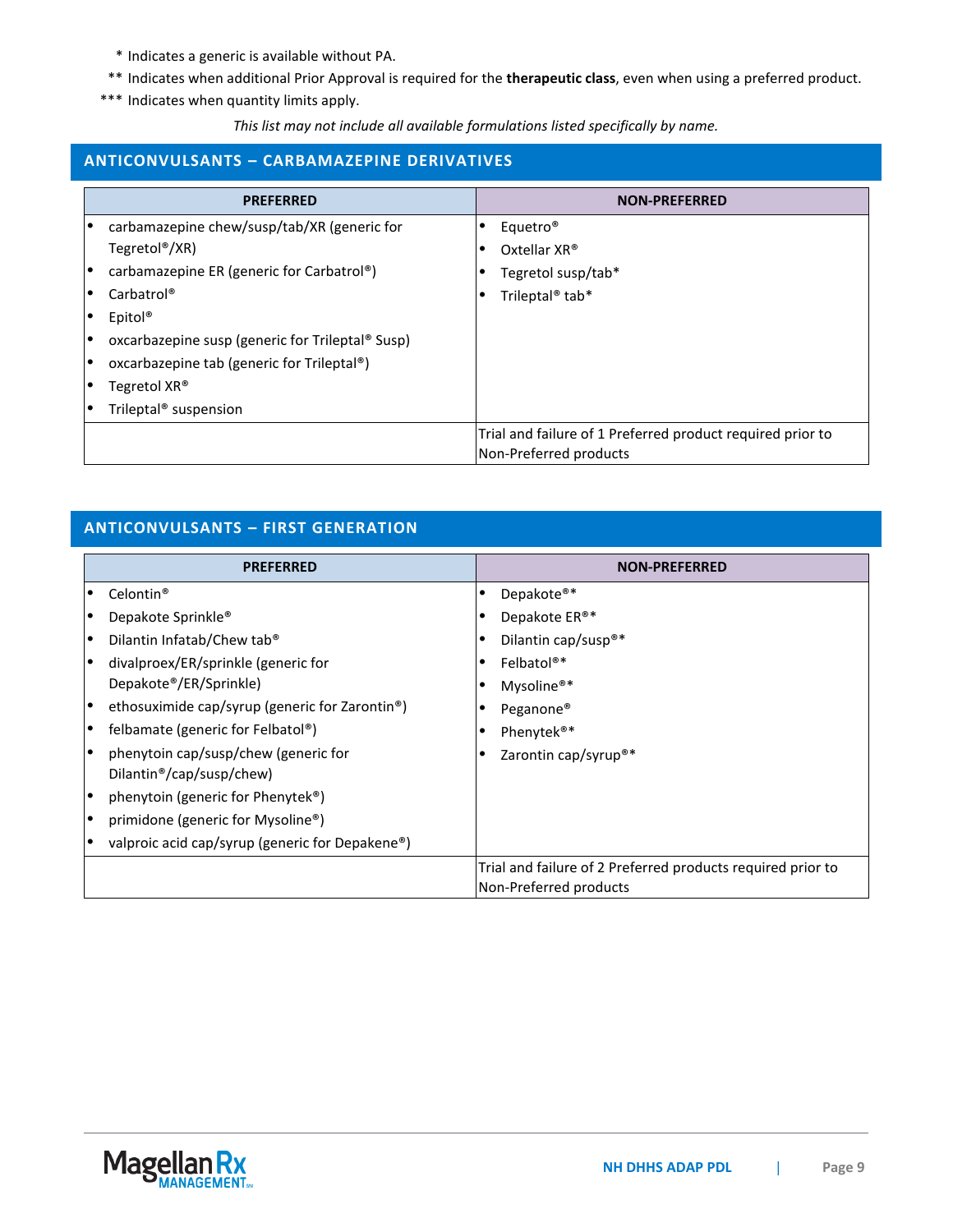- \* Indicates a generic is available without PA.
- \*\* Indicates when additional Prior Approval is required for the **therapeutic class**, even when using a preferred product.
- \*\*\* Indicates when quantity limits apply.

## <span id="page-8-0"></span>**ANTICONVULSANTS – CARBAMAZEPINE DERIVATIVES**

|           | <b>PREFERRED</b>                                 | <b>NON-PREFERRED</b>                                       |
|-----------|--------------------------------------------------|------------------------------------------------------------|
| $\bullet$ | carbamazepine chew/susp/tab/XR (generic for      | Equetro <sup>®</sup>                                       |
|           | Tegretol <sup>®</sup> /XR)                       | Oxtellar XR <sup>®</sup>                                   |
| l C       | carbamazepine ER (generic for Carbatrol®)        | Tegretol susp/tab*                                         |
|           | Carbatrol <sup>®</sup>                           | Trileptal <sup>®</sup> tab*                                |
| ∙         | Epitol®                                          |                                                            |
| O         | oxcarbazepine susp (generic for Trileptal® Susp) |                                                            |
| і е       | oxcarbazepine tab (generic for Trileptal®)       |                                                            |
| ∙         | Tegretol XR <sup>®</sup>                         |                                                            |
| і е       | Trileptal <sup>®</sup> suspension                |                                                            |
|           |                                                  | Trial and failure of 1 Preferred product required prior to |
|           |                                                  | Non-Preferred products                                     |

### <span id="page-8-1"></span>**ANTICONVULSANTS – FIRST GENERATION**

|           | <b>PREFERRED</b>                                                              | <b>NON-PREFERRED</b>                                                                  |
|-----------|-------------------------------------------------------------------------------|---------------------------------------------------------------------------------------|
| ∣∙        | Celontin <sup>®</sup>                                                         | Depakote <sup>®*</sup>                                                                |
| $\bullet$ | Depakote Sprinkle <sup>®</sup>                                                | Depakote ER <sup>®*</sup>                                                             |
| ∣∙        | Dilantin Infatab/Chew tab <sup>®</sup>                                        | Dilantin cap/susp <sup>®*</sup>                                                       |
| ∣ ●       | divalproex/ER/sprinkle (generic for                                           | Felbatol <sup>®*</sup>                                                                |
|           | Depakote®/ER/Sprinkle)                                                        | Mysoline <sup>®*</sup>                                                                |
| I۰        | ethosuximide cap/syrup (generic for Zarontin®)                                | Peganone <sup>®</sup>                                                                 |
| l•        | felbamate (generic for Felbatol®)                                             | Phenytek <sup>®*</sup>                                                                |
| lo        | phenytoin cap/susp/chew (generic for<br>Dilantin <sup>®</sup> /cap/susp/chew) | Zarontin cap/syrup <sup>®*</sup>                                                      |
| I۰        | phenytoin (generic for Phenytek <sup>®</sup> )                                |                                                                                       |
| l•        | primidone (generic for Mysoline <sup>®</sup> )                                |                                                                                       |
| l•        | valproic acid cap/syrup (generic for Depakene <sup>®</sup> )                  |                                                                                       |
|           |                                                                               | Trial and failure of 2 Preferred products required prior to<br>Non-Preferred products |

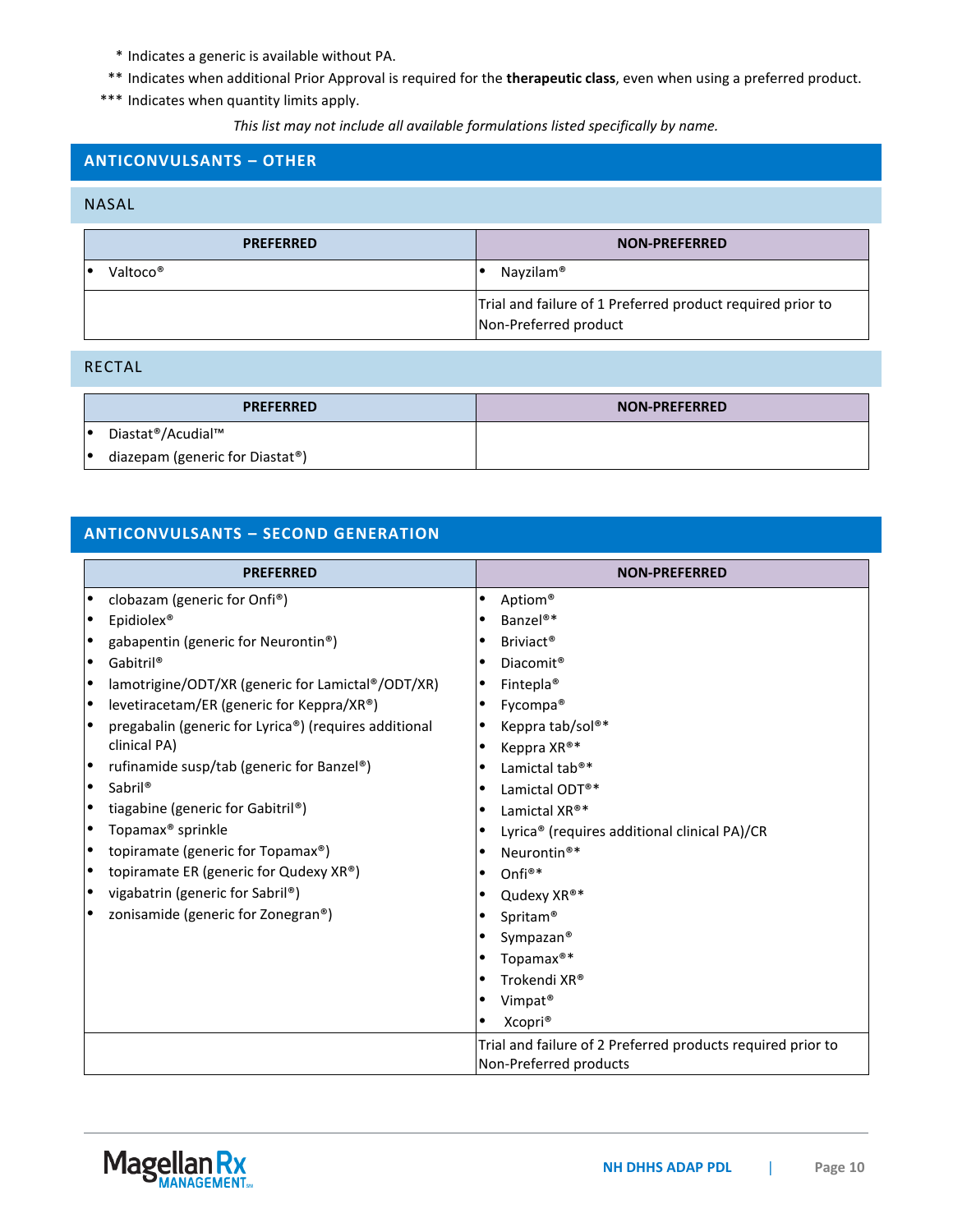- \* Indicates a generic is available without PA.
- \*\* Indicates when additional Prior Approval is required for the **therapeutic class**, even when using a preferred product.
- \*\*\* Indicates when quantity limits apply.

## <span id="page-9-0"></span>**ANTICONVULSANTS – OTHER**

#### NASAL

| <b>PREFERRED</b>     | <b>NON-PREFERRED</b>                                                                |
|----------------------|-------------------------------------------------------------------------------------|
| Valtoco <sup>®</sup> | Navzilam®                                                                           |
|                      | Trial and failure of 1 Preferred product required prior to<br>Non-Preferred product |

#### RECTAL

|    | <b>PREFERRED</b>                | <b>NON-PREFERRED</b> |
|----|---------------------------------|----------------------|
| ∣• | Diastat®/Acudial™               |                      |
| ∣• | diazepam (generic for Diastat®) |                      |

## <span id="page-9-1"></span>**ANTICONVULSANTS – SECOND GENERATION**

|           | <b>PREFERRED</b>                                      |   | <b>NON-PREFERRED</b>                                        |
|-----------|-------------------------------------------------------|---|-------------------------------------------------------------|
| $\bullet$ | clobazam (generic for Onfi <sup>®</sup> )             |   | Aptiom®                                                     |
| $\bullet$ | Epidiolex <sup>®</sup>                                |   | Banzel <sup>®*</sup>                                        |
| $\bullet$ | gabapentin (generic for Neurontin <sup>®</sup> )      |   | Briviact <sup>®</sup>                                       |
| $\bullet$ | Gabitril®                                             |   | Diacomit <sup>®</sup>                                       |
| $\bullet$ | lamotrigine/ODT/XR (generic for Lamictal®/ODT/XR)     | ٠ | Fintepla <sup>®</sup>                                       |
| $\bullet$ | levetiracetam/ER (generic for Keppra/XR®)             |   | Fycompa <sup>®</sup>                                        |
| I۰        | pregabalin (generic for Lyrica®) (requires additional | ٠ | Keppra tab/sol <sup>®*</sup>                                |
|           | clinical PA)                                          |   | Keppra XR <sup>®*</sup>                                     |
| $\bullet$ | rufinamide susp/tab (generic for Banzel®)             |   | Lamictal tab <sup>®*</sup>                                  |
| $\bullet$ | Sabril <sup>®</sup>                                   |   | Lamictal ODT®*                                              |
| $\bullet$ | tiagabine (generic for Gabitril®)                     |   | Lamictal XR <sup>®*</sup>                                   |
| $\bullet$ | Topamax <sup>®</sup> sprinkle                         |   | Lyrica <sup>®</sup> (requires additional clinical PA)/CR    |
| $\bullet$ | topiramate (generic for Topamax®)                     |   | Neurontin <sup>®*</sup>                                     |
| $\bullet$ | topiramate ER (generic for Qudexy XR®)                |   | Onfi <sup>®*</sup>                                          |
| $\bullet$ | vigabatrin (generic for Sabril®)                      |   | Qudexy XR <sup>®*</sup>                                     |
| $\bullet$ | zonisamide (generic for Zonegran®)                    |   | Spritam®                                                    |
|           |                                                       |   | Sympazan <sup>®</sup>                                       |
|           |                                                       |   | Topamax <sup>®*</sup>                                       |
|           |                                                       |   | Trokendi XR®                                                |
|           |                                                       |   | Vimpat <sup>®</sup>                                         |
|           |                                                       |   | Xcopri <sup>®</sup>                                         |
|           |                                                       |   | Trial and failure of 2 Preferred products required prior to |
|           |                                                       |   | Non-Preferred products                                      |

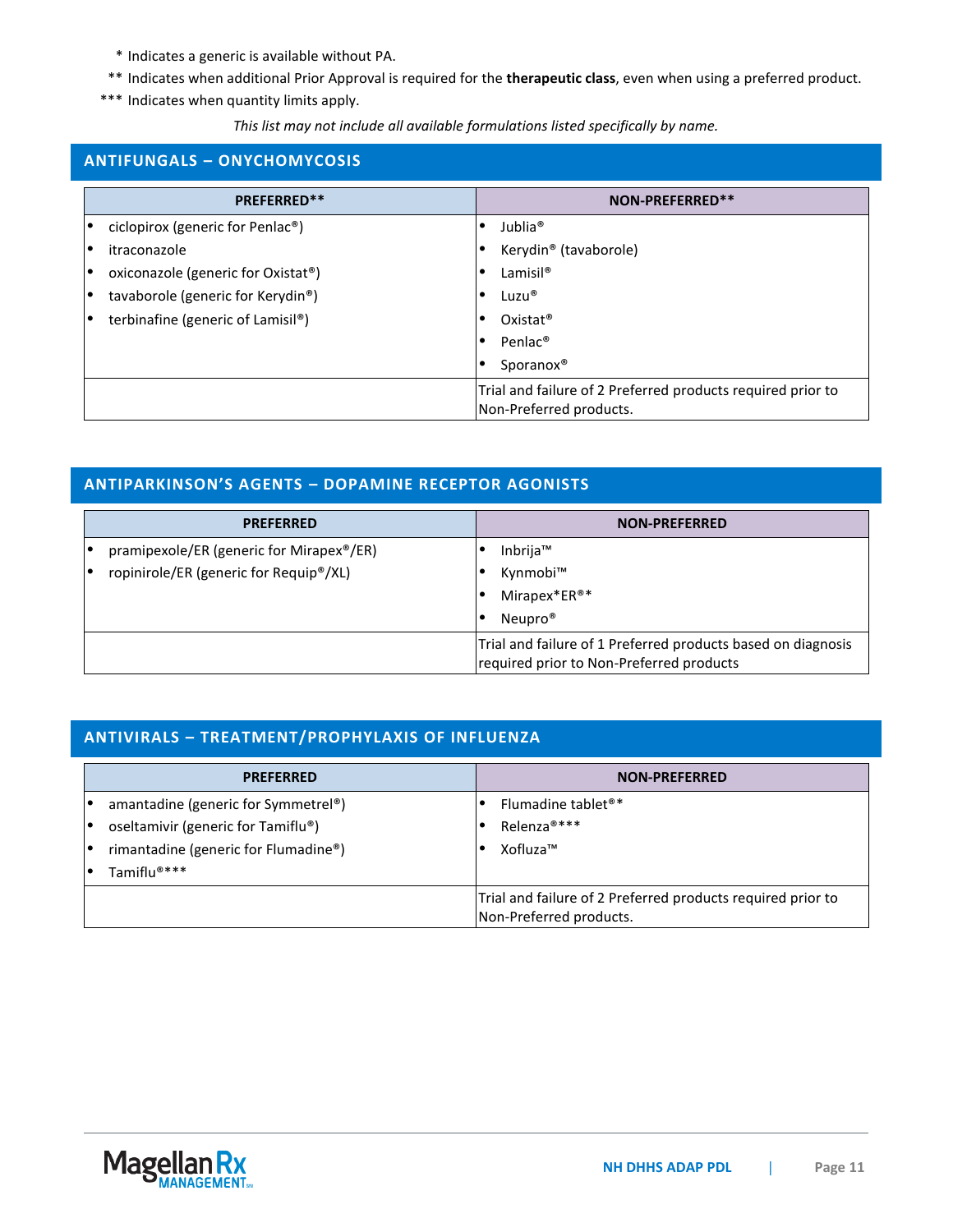- \* Indicates a generic is available without PA.
- \*\* Indicates when additional Prior Approval is required for the **therapeutic class**, even when using a preferred product.
- \*\*\* Indicates when quantity limits apply.

### <span id="page-10-0"></span>**ANTIFUNGALS – ONYCHOMYCOSIS**

|     | PREFERRED**                                     | NON-PREFERRED**                                                                        |
|-----|-------------------------------------------------|----------------------------------------------------------------------------------------|
| ه ا | ciclopirox (generic for Penlac <sup>®</sup> )   | Jublia <sup>®</sup>                                                                    |
| ه ا | itraconazole                                    | Kerydin <sup>®</sup> (tavaborole)                                                      |
| ه ا | oxiconazole (generic for Oxistat <sup>®</sup> ) | Lamisil <sup>®</sup>                                                                   |
| ∣•  | tavaborole (generic for Kerydin®)               | $Luzu^{\circledR}$                                                                     |
| ∣ ● | terbinafine (generic of Lamisil®)               | Oxistat <sup>®</sup>                                                                   |
|     |                                                 | Penlac <sup>®</sup>                                                                    |
|     |                                                 | Sporanox <sup>®</sup>                                                                  |
|     |                                                 | Trial and failure of 2 Preferred products required prior to<br>Non-Preferred products. |

#### <span id="page-10-1"></span>**ANTIPARKINSON'S AGENTS – DOPAMINE RECEPTOR AGONISTS**

|     | <b>PREFERRED</b>                         | <b>NON-PREFERRED</b>                                                                                     |
|-----|------------------------------------------|----------------------------------------------------------------------------------------------------------|
| I C | pramipexole/ER (generic for Mirapex®/ER) | Inbrija™                                                                                                 |
| ı c | ropinirole/ER (generic for Requip®/XL)   | Kynmobi™                                                                                                 |
|     |                                          | Mirapex*ER <sup>®*</sup>                                                                                 |
|     |                                          | Neupro <sup>®</sup>                                                                                      |
|     |                                          | Trial and failure of 1 Preferred products based on diagnosis<br>required prior to Non-Preferred products |

## <span id="page-10-2"></span>**ANTIVIRALS – TREATMENT/PROPHYLAXIS OF INFLUENZA**

|     | <b>PREFERRED</b>                     | <b>NON-PREFERRED</b>                                                                   |
|-----|--------------------------------------|----------------------------------------------------------------------------------------|
|     | amantadine (generic for Symmetrel®)  | Flumadine tablet <sup>®*</sup>                                                         |
| ١c  | oseltamivir (generic for Tamiflu®)   | Relenza <sup>®***</sup>                                                                |
| ı c | rimantadine (generic for Flumadine®) | Xofluza™                                                                               |
|     | Tamiflu <sup>®***</sup>              |                                                                                        |
|     |                                      | Trial and failure of 2 Preferred products required prior to<br>Non-Preferred products. |

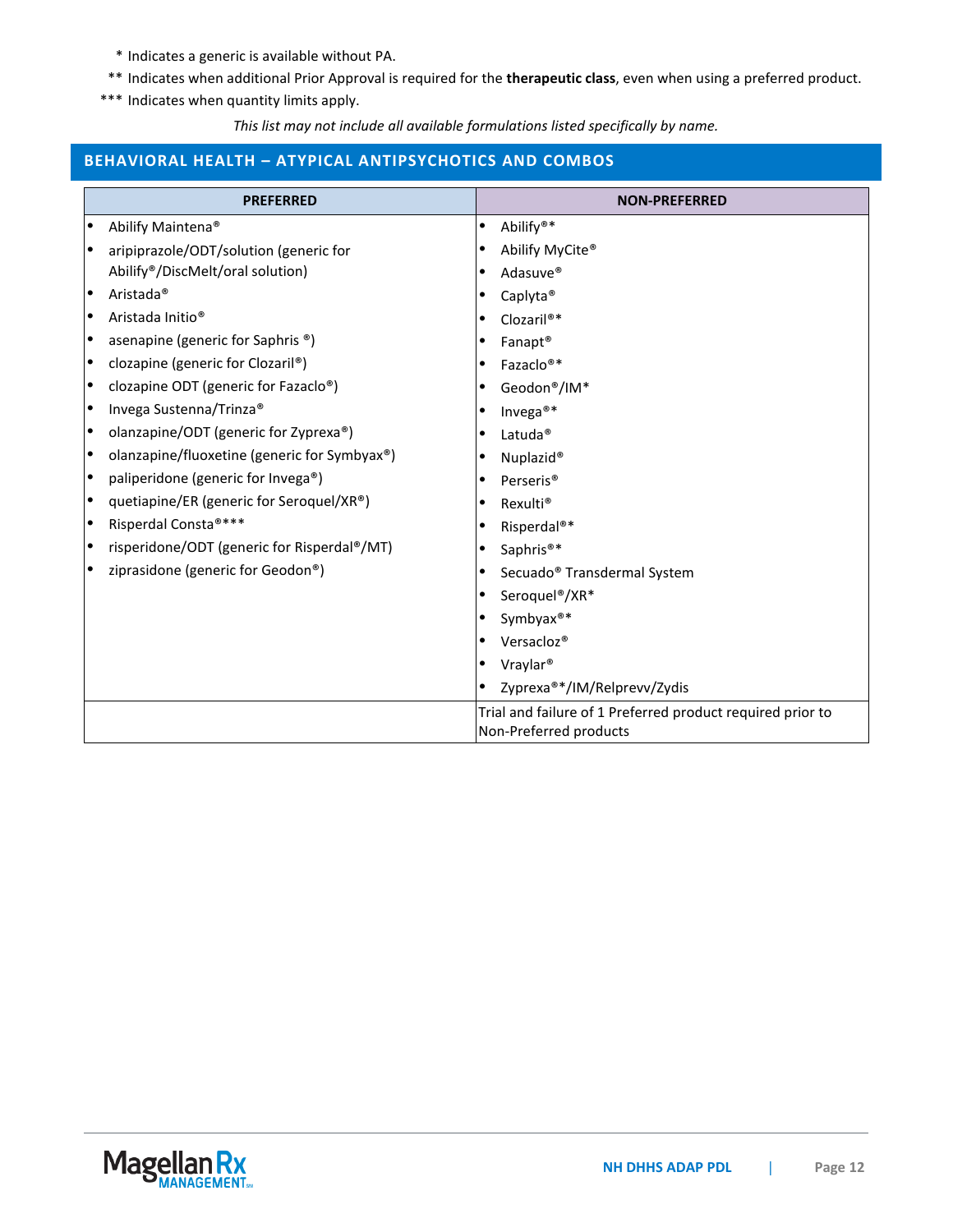- \* Indicates a generic is available without PA.
- \*\* Indicates when additional Prior Approval is required for the **therapeutic class**, even when using a preferred product.
- \*\*\* Indicates when quantity limits apply.

### <span id="page-11-0"></span>**BEHAVIORAL HEALTH – ATYPICAL ANTIPSYCHOTICS AND COMBOS**

|           | <b>PREFERRED</b>                                  | <b>NON-PREFERRED</b>                                                                 |
|-----------|---------------------------------------------------|--------------------------------------------------------------------------------------|
| $\bullet$ | Abilify Maintena <sup>®</sup>                     | Abilify <sup>®*</sup>                                                                |
| $\bullet$ | aripiprazole/ODT/solution (generic for            | Abilify MyCite®                                                                      |
|           | Abilify®/DiscMelt/oral solution)                  | Adasuve <sup>®</sup>                                                                 |
| lo        | Aristada <sup>®</sup>                             | Caplyta <sup>®</sup>                                                                 |
| $\bullet$ | Aristada Initio <sup>®</sup>                      | Clozaril <sup>®</sup>                                                                |
| $\bullet$ | asenapine (generic for Saphris ®)                 | Fanapt <sup>®</sup><br>٠                                                             |
| $\bullet$ | clozapine (generic for Clozaril®)                 | Fazaclo <sup>®*</sup><br>٠                                                           |
| $\bullet$ | clozapine ODT (generic for Fazaclo <sup>®</sup> ) | Geodon <sup>®</sup> /IM*<br>٠                                                        |
| $\bullet$ | Invega Sustenna/Trinza®                           | Invega <sup>®*</sup><br>٠                                                            |
| $\bullet$ | olanzapine/ODT (generic for Zyprexa®)             | Latuda <sup>®</sup><br>$\bullet$                                                     |
| $\bullet$ | olanzapine/fluoxetine (generic for Symbyax®)      | Nuplazid <sup>®</sup>                                                                |
| $\bullet$ | paliperidone (generic for Invega®)                | Perseris <sup>®</sup>                                                                |
| $\bullet$ | quetiapine/ER (generic for Seroquel/XR®)          | Rexulti <sup>®</sup>                                                                 |
| $\bullet$ | Risperdal Consta®***                              | Risperdal <sup>®*</sup>                                                              |
| l•        | risperidone/ODT (generic for Risperdal®/MT)       | Saphris <sup>®*</sup>                                                                |
|           | ziprasidone (generic for Geodon®)                 | Secuado <sup>®</sup> Transdermal System                                              |
|           |                                                   | Seroquel <sup>®</sup> /XR*                                                           |
|           |                                                   | Symbyax®*                                                                            |
|           |                                                   | Versacloz®                                                                           |
|           |                                                   | Vraylar <sup>®</sup>                                                                 |
|           |                                                   | Zyprexa <sup>®*</sup> /IM/Relprevv/Zydis                                             |
|           |                                                   | Trial and failure of 1 Preferred product required prior to<br>Non-Preferred products |

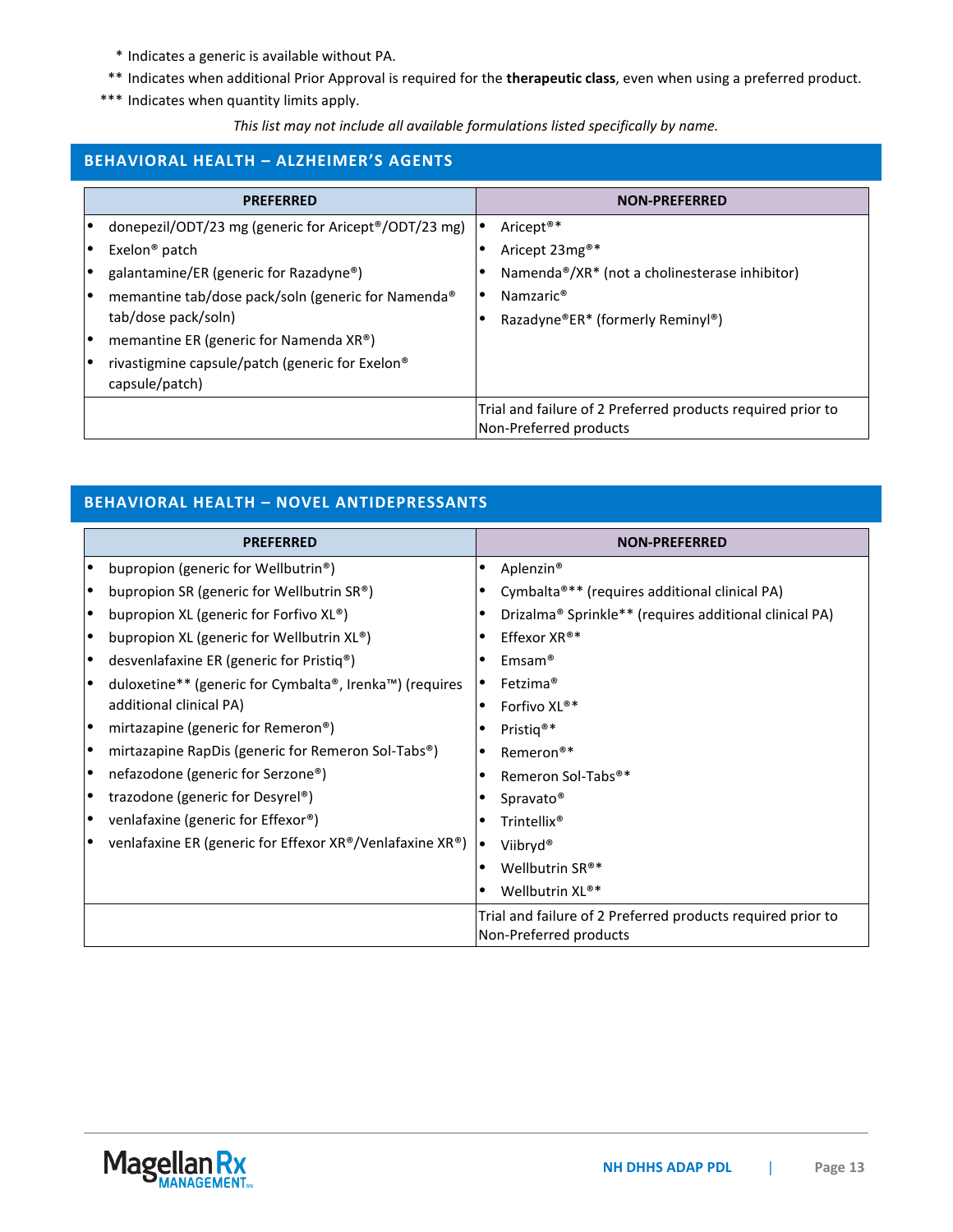- \* Indicates a generic is available without PA.
- \*\* Indicates when additional Prior Approval is required for the **therapeutic class**, even when using a preferred product.
- \*\*\* Indicates when quantity limits apply.

<span id="page-12-0"></span>

| <b>BEHAVIORAL HEALTH - ALZHEIMER'S AGENTS</b>        |                                                             |  |  |
|------------------------------------------------------|-------------------------------------------------------------|--|--|
| <b>PREFERRED</b>                                     | <b>NON-PREFERRED</b>                                        |  |  |
| donepezil/ODT/23 mg (generic for Aricept®/ODT/23 mg) | Aricept <sup>®*</sup>                                       |  |  |
| Exelon <sup>®</sup> patch                            | Aricept 23mg <sup>®*</sup>                                  |  |  |
| galantamine/ER (generic for Razadyne®)               | Namenda®/XR* (not a cholinesterase inhibitor)               |  |  |
| memantine tab/dose pack/soln (generic for Namenda®   | Namzaric <sup>®</sup><br>٠                                  |  |  |
| tab/dose pack/soln)                                  | Razadyne®ER* (formerly Reminyl®)                            |  |  |
| memantine ER (generic for Namenda XR®)               |                                                             |  |  |
| rivastigmine capsule/patch (generic for Exelon®      |                                                             |  |  |
| capsule/patch)                                       |                                                             |  |  |
|                                                      | Trial and failure of 2 Preferred products required prior to |  |  |
|                                                      | Non-Preferred products                                      |  |  |

## <span id="page-12-1"></span>**BEHAVIORAL HEALTH – NOVEL ANTIDEPRESSANTS**

|           | <b>PREFERRED</b>                                         | <b>NON-PREFERRED</b>                                                                  |  |
|-----------|----------------------------------------------------------|---------------------------------------------------------------------------------------|--|
| ٠         | bupropion (generic for Wellbutrin <sup>®</sup> )         | Aplenzin <sup>®</sup>                                                                 |  |
| ٠         | bupropion SR (generic for Wellbutrin SR®)                | Cymbalta®** (requires additional clinical PA)                                         |  |
| $\bullet$ | bupropion XL (generic for Forfivo XL <sup>®</sup> )      | Drizalma <sup>®</sup> Sprinkle** (requires additional clinical PA)                    |  |
| $\bullet$ | bupropion XL (generic for Wellbutrin XL®)                | Effexor $XR^{\circ*}$                                                                 |  |
| $\bullet$ | desvenlafaxine ER (generic for Pristiq®)                 | $Emsam^*$                                                                             |  |
| $\bullet$ | duloxetine** (generic for Cymbalta®, Irenka™) (requires  | Fetzima <sup>®</sup><br>$\bullet$                                                     |  |
|           | additional clinical PA)                                  | Forfivo XL <sup>®*</sup><br>٠                                                         |  |
| lo        | mirtazapine (generic for Remeron®)                       | Pristig <sup>®*</sup>                                                                 |  |
| ٠         | mirtazapine RapDis (generic for Remeron Sol-Tabs®)       | Remeron <sup>®*</sup><br>٠                                                            |  |
| ٠         | nefazodone (generic for Serzone®)                        | Remeron Sol-Tabs <sup>®*</sup>                                                        |  |
| ٠         | trazodone (generic for Desyrel®)                         | Spravato <sup>®</sup>                                                                 |  |
| ٠         | venlafaxine (generic for Effexor®)                       | Trintellix <sup>®</sup>                                                               |  |
| ٠         | venlafaxine ER (generic for Effexor XR®/Venlafaxine XR®) | Viibryd <sup>®</sup><br>٠                                                             |  |
|           |                                                          | Wellbutrin SR <sup>®*</sup>                                                           |  |
|           |                                                          | Wellbutrin XL <sup>®*</sup>                                                           |  |
|           |                                                          | Trial and failure of 2 Preferred products required prior to<br>Non-Preferred products |  |

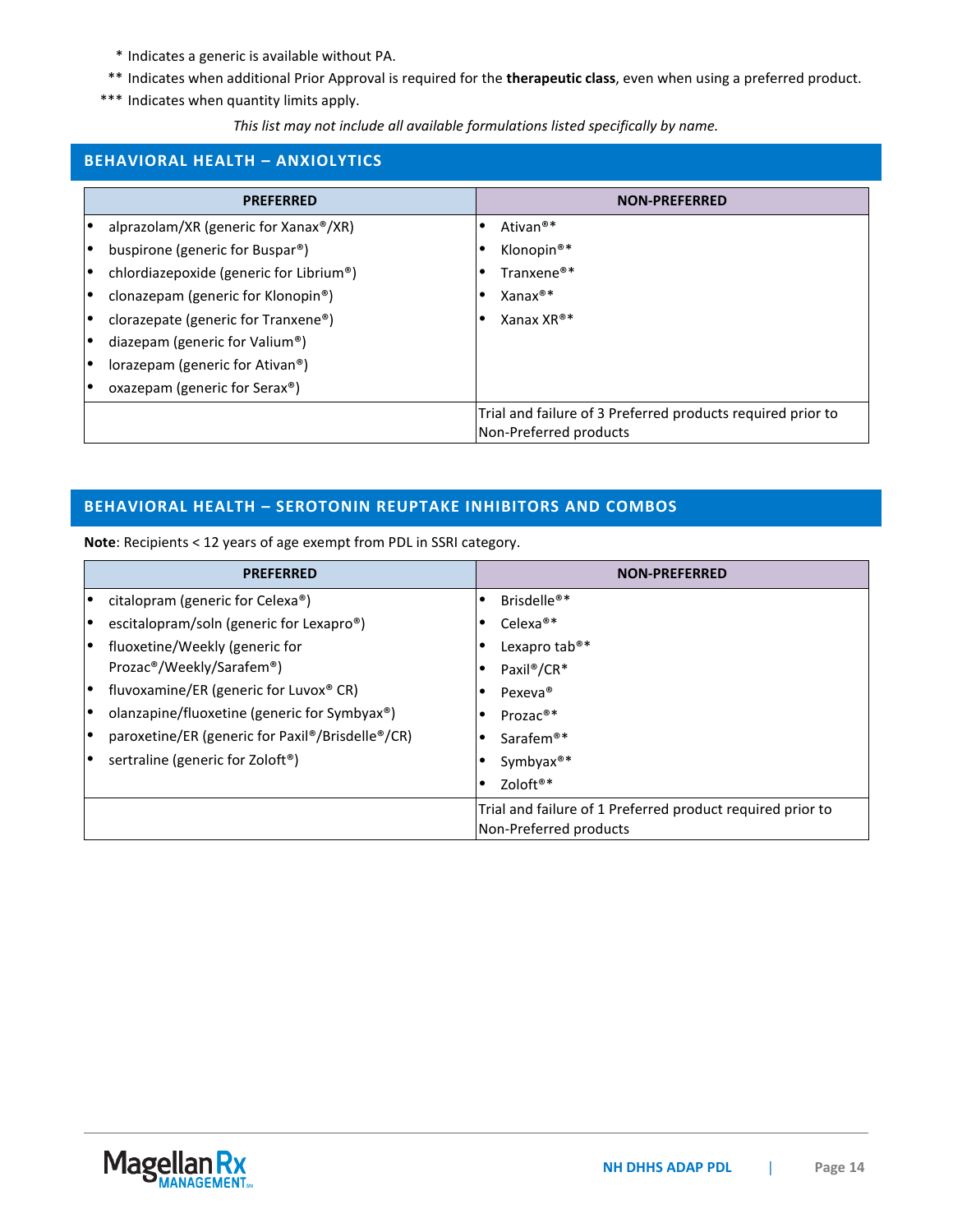- \* Indicates a generic is available without PA.
- \*\* Indicates when additional Prior Approval is required for the **therapeutic class**, even when using a preferred product.
- \*\*\* Indicates when quantity limits apply.

### <span id="page-13-0"></span>**BEHAVIORAL HEALTH – ANXIOLYTICS**

| <b>PREFERRED</b>                                        | <b>NON-PREFERRED</b>                                        |
|---------------------------------------------------------|-------------------------------------------------------------|
| alprazolam/XR (generic for Xanax®/XR)<br><b>10</b>      | Ativan <sup>®*</sup>                                        |
| buspirone (generic for Buspar <sup>®</sup> )<br>∣•      | Klonopin <sup>®*</sup>                                      |
| chlordiazepoxide (generic for Librium®)<br>∣•           | Tranxene <sup>®*</sup>                                      |
| clonazepam (generic for Klonopin <sup>®</sup> )<br>∣ ●  | $Xanax^{\circledast *}$                                     |
| clorazepate (generic for Tranxene <sup>®</sup> )<br>l e | Xanax XR <sup>®*</sup>                                      |
| diazepam (generic for Valium®)<br>∣ ●                   |                                                             |
| lorazepam (generic for Ativan <sup>®</sup> )<br>l C     |                                                             |
| oxazepam (generic for Serax®)<br>l C                    |                                                             |
|                                                         | Trial and failure of 3 Preferred products required prior to |
|                                                         | Non-Preferred products                                      |

## <span id="page-13-1"></span>**BEHAVIORAL HEALTH – SEROTONIN REUPTAKE INHIBITORS AND COMBOS**

|     | <b>PREFERRED</b>                                                           | <b>NON-PREFERRED</b>                                                                 |
|-----|----------------------------------------------------------------------------|--------------------------------------------------------------------------------------|
| ∙   | citalopram (generic for Celexa®)                                           | Brisdelle <sup>®*</sup>                                                              |
| ∣ ● | escitalopram/soln (generic for Lexapro®)                                   | Celexa <sup>®*</sup>                                                                 |
| ∣●  | fluoxetine/Weekly (generic for                                             | Lexapro tab <sup>®*</sup>                                                            |
|     | Prozac®/Weekly/Sarafem®)                                                   | Paxil <sup>®</sup> /CR*                                                              |
| ∣•  | fluvoxamine/ER (generic for Luvox® CR)                                     | Pexeva <sup>®</sup>                                                                  |
| ∙   | olanzapine/fluoxetine (generic for Symbyax <sup>®</sup> )                  | Prozac <sup>®*</sup>                                                                 |
| ∣ ● | paroxetine/ER (generic for Paxil <sup>®</sup> /Brisdelle <sup>®</sup> /CR) | Sarafem <sup>®*</sup>                                                                |
| ∣●  | sertraline (generic for Zoloft <sup>®</sup> )                              | Symbyax <sup>®*</sup>                                                                |
|     |                                                                            | Zoloft <sup>®*</sup>                                                                 |
|     |                                                                            | Trial and failure of 1 Preferred product required prior to<br>Non-Preferred products |

**Note**: Recipients < 12 years of age exempt from PDL in SSRI category.

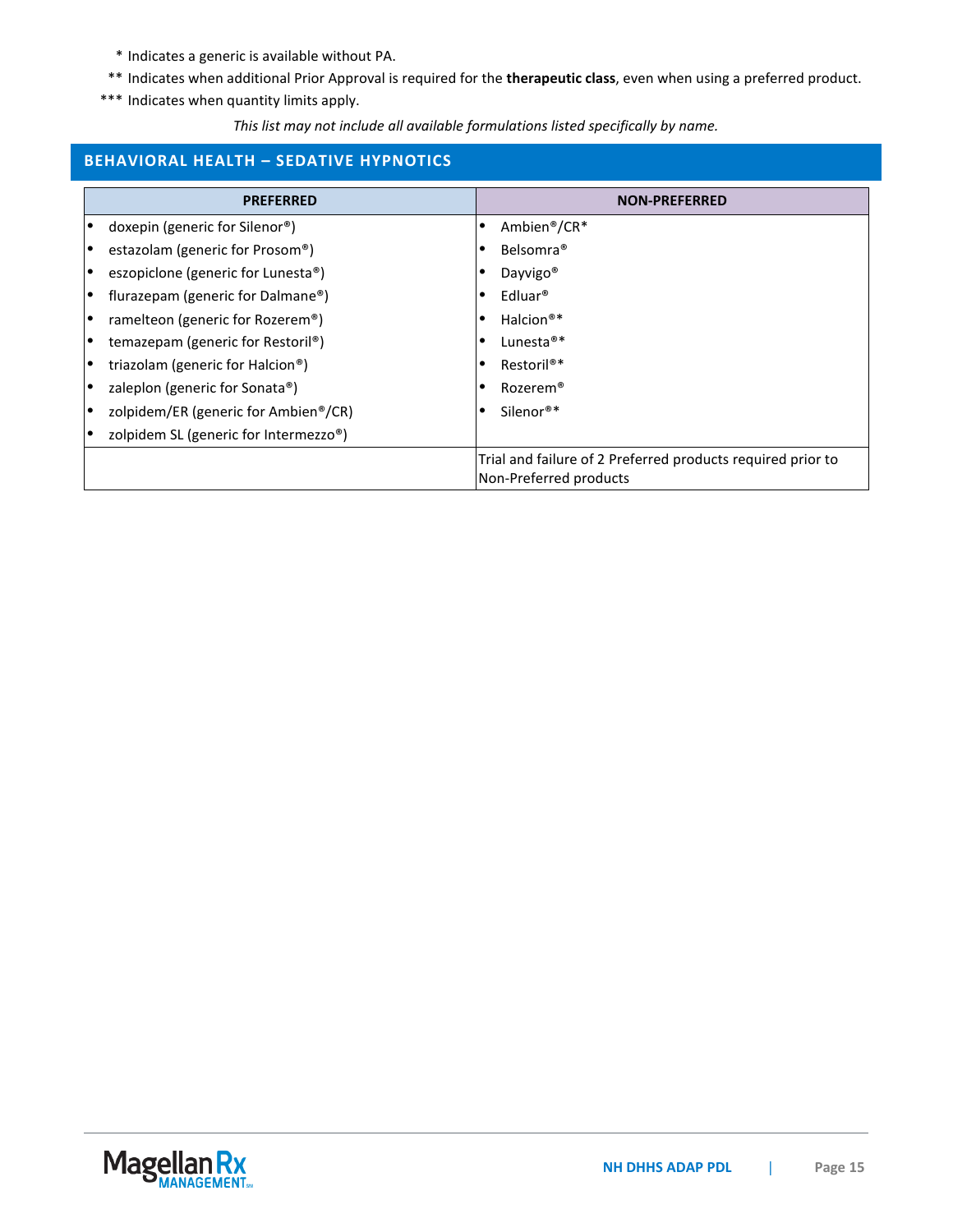- \* Indicates a generic is available without PA.
- \*\* Indicates when additional Prior Approval is required for the **therapeutic class**, even when using a preferred product.
- \*\*\* Indicates when quantity limits apply.

<span id="page-14-0"></span>

|           | <b>BEHAVIORAL HEALTH - SEDATIVE HYPNOTICS</b>      |  |                                                             |  |  |
|-----------|----------------------------------------------------|--|-------------------------------------------------------------|--|--|
|           | <b>PREFERRED</b>                                   |  | <b>NON-PREFERRED</b>                                        |  |  |
|           | doxepin (generic for Silenor <sup>®</sup> )        |  | Ambien <sup>®</sup> /CR*                                    |  |  |
| $\bullet$ | estazolam (generic for Prosom®)                    |  | Belsomra <sup>®</sup>                                       |  |  |
|           | eszopiclone (generic for Lunesta®)                 |  | Dayvigo <sup>®</sup>                                        |  |  |
|           | flurazepam (generic for Dalmane®)                  |  | $Edluar^{\circledR}$                                        |  |  |
|           | ramelteon (generic for Rozerem <sup>®</sup> )      |  | Halcion <sup>®*</sup>                                       |  |  |
|           | temazepam (generic for Restoril®)                  |  | Lunesta <sup>®*</sup>                                       |  |  |
| $\bullet$ | triazolam (generic for Halcion®)                   |  | Restoril <sup>®*</sup>                                      |  |  |
| ٠         | zaleplon (generic for Sonata®)                     |  | Rozerem <sup>®</sup>                                        |  |  |
| $\bullet$ | zolpidem/ER (generic for Ambien®/CR)               |  | Silenor <sup>®*</sup>                                       |  |  |
| ٠         | zolpidem SL (generic for Intermezzo <sup>®</sup> ) |  |                                                             |  |  |
|           |                                                    |  | Trial and failure of 2 Preferred products required prior to |  |  |
|           |                                                    |  | Non-Preferred products                                      |  |  |

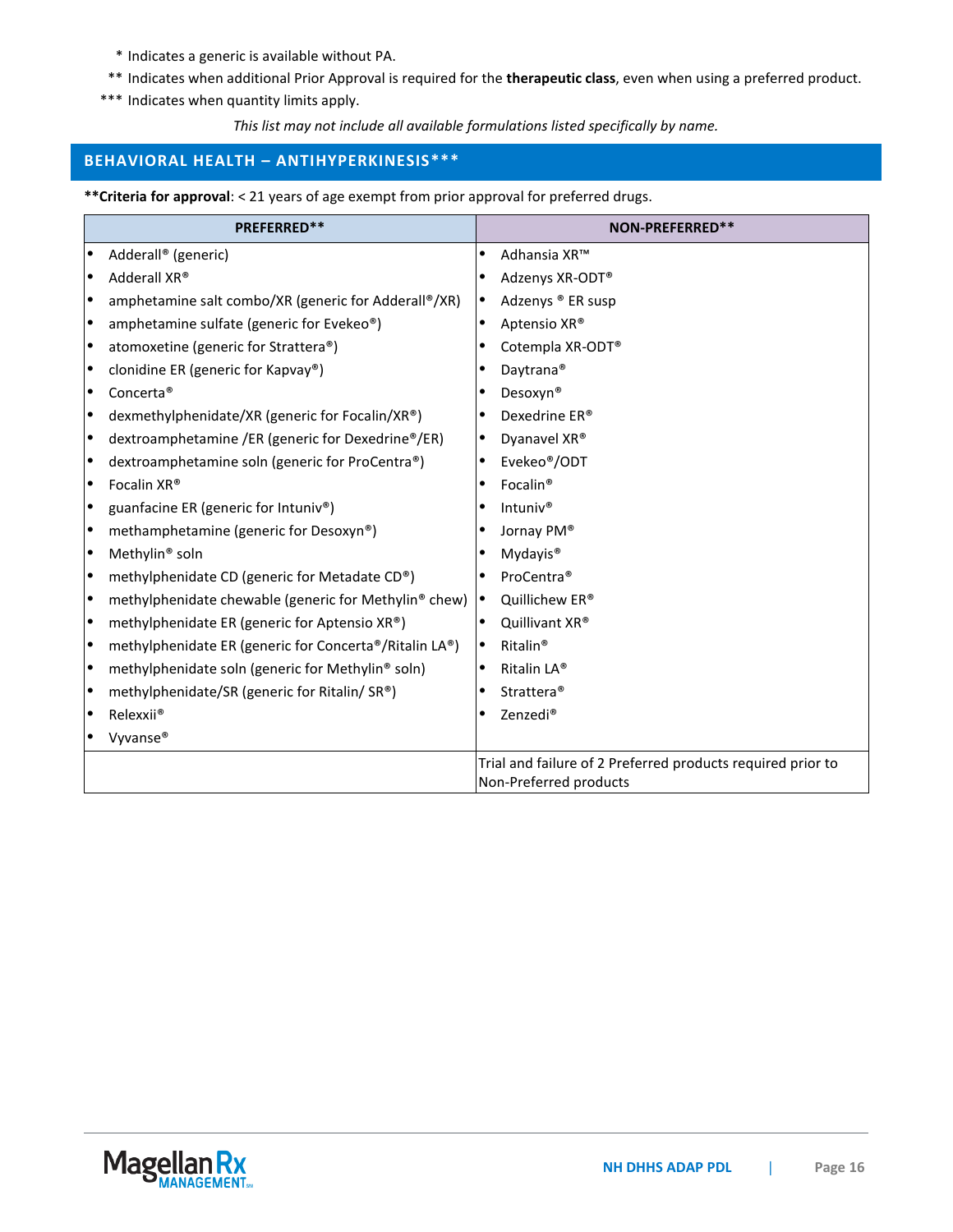- \* Indicates a generic is available without PA.
- \*\* Indicates when additional Prior Approval is required for the **therapeutic class**, even when using a preferred product.
- \*\*\* Indicates when quantity limits apply.

## <span id="page-15-0"></span>**BEHAVIORAL HEALTH – ANTIHYPERKINESIS\*\*\***

**\*\*Criteria for approval**: < 21 years of age exempt from prior approval for preferred drugs.

|           | PREFERRED**                                                       | NON-PREFERRED**                                             |
|-----------|-------------------------------------------------------------------|-------------------------------------------------------------|
| $\bullet$ | Adderall® (generic)                                               | Adhansia XR™                                                |
| $\bullet$ | Adderall XR®                                                      | Adzenys XR-ODT <sup>®</sup>                                 |
| $\bullet$ | amphetamine salt combo/XR (generic for Adderall <sup>®</sup> /XR) | Adzenys ® ER susp                                           |
| ٠         | amphetamine sulfate (generic for Evekeo®)                         | Aptensio XR®                                                |
| ٠         | atomoxetine (generic for Strattera®)                              | Cotempla XR-ODT <sup>®</sup>                                |
| ٠         | clonidine ER (generic for Kapvay®)                                | Daytrana®                                                   |
| $\bullet$ | Concerta <sup>®</sup>                                             | Desoxyn®                                                    |
| ٠         | dexmethylphenidate/XR (generic for Focalin/XR®)                   | Dexedrine ER®                                               |
| ٠         | dextroamphetamine /ER (generic for Dexedrine®/ER)                 | Dyanavel XR®                                                |
| ٠         | dextroamphetamine soln (generic for ProCentra®)                   | Evekeo <sup>®</sup> /ODT                                    |
| ٠         | Focalin XR®                                                       | Focalin <sup>®</sup>                                        |
| ٠         | guanfacine ER (generic for Intuniv®)                              | Intuniv <sup>®</sup>                                        |
| $\bullet$ | methamphetamine (generic for Desoxyn®)                            | Jornay PM®                                                  |
| $\bullet$ | Methylin <sup>®</sup> soln                                        | Mydayis <sup>®</sup>                                        |
| $\bullet$ | methylphenidate CD (generic for Metadate CD®)                     | ProCentra <sup>®</sup>                                      |
| $\bullet$ | methylphenidate chewable (generic for Methylin® chew)             | Quillichew ER®<br>٠                                         |
| $\bullet$ | methylphenidate ER (generic for Aptensio XR®)                     | Quillivant XR®<br>$\bullet$                                 |
| $\bullet$ | methylphenidate ER (generic for Concerta®/Ritalin LA®)            | Ritalin <sup>®</sup><br>$\bullet$                           |
| $\bullet$ | methylphenidate soln (generic for Methylin® soln)                 | Ritalin LA®<br>$\bullet$                                    |
| $\bullet$ | methylphenidate/SR (generic for Ritalin/ SR®)                     | Strattera <sup>®</sup>                                      |
| $\bullet$ | Relexxii <sup>®</sup>                                             | Zenzedi <sup>®</sup>                                        |
| $\bullet$ | Vyvanse®                                                          |                                                             |
|           |                                                                   | Trial and failure of 2 Preferred products required prior to |
|           |                                                                   | Non-Preferred products                                      |

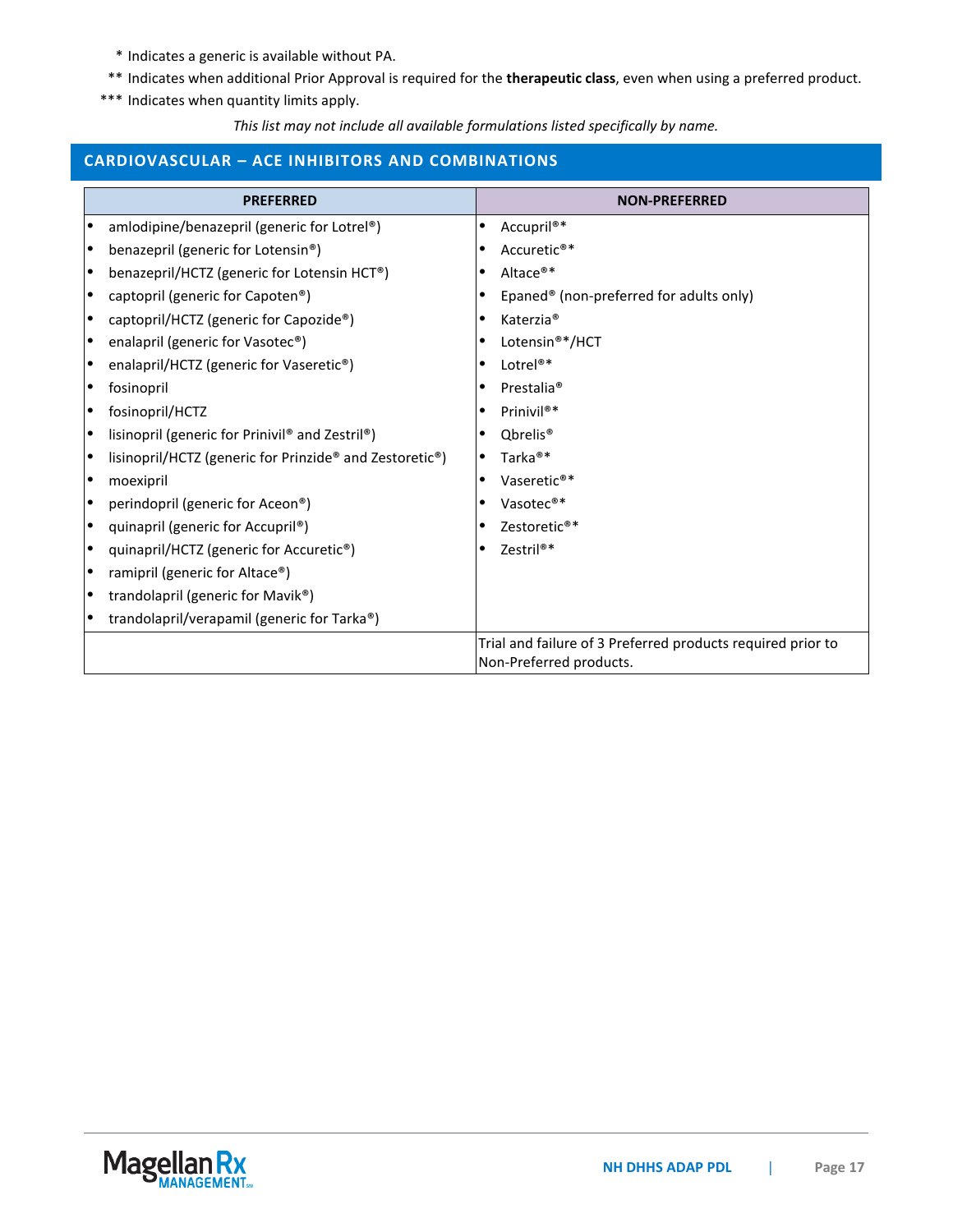- \* Indicates a generic is available without PA.
- \*\* Indicates when additional Prior Approval is required for the **therapeutic class**, even when using a preferred product.
- \*\*\* Indicates when quantity limits apply.

### <span id="page-16-0"></span>**CARDIOVASCULAR – ACE INHIBITORS AND COMBINATIONS**

|           | <b>PREFERRED</b>                                        | <b>NON-PREFERRED</b>                                                                   |
|-----------|---------------------------------------------------------|----------------------------------------------------------------------------------------|
| $\bullet$ | amlodipine/benazepril (generic for Lotrel®)             | Accupril®*                                                                             |
| $\bullet$ | benazepril (generic for Lotensin <sup>®</sup> )         | Accuretic®*                                                                            |
| ٠         | benazepril/HCTZ (generic for Lotensin HCT®)             | Altace <sup>®*</sup>                                                                   |
| $\bullet$ | captopril (generic for Capoten®)                        | Epaned® (non-preferred for adults only)                                                |
| $\bullet$ | captopril/HCTZ (generic for Capozide®)                  | Katerzia <sup>®</sup>                                                                  |
| $\bullet$ | enalapril (generic for Vasotec <sup>®</sup> )           | Lotensin <sup>®*</sup> /HCT                                                            |
| ٠         | enalapril/HCTZ (generic for Vaseretic®)                 | Lotrel <sup>®*</sup>                                                                   |
| ٠         | fosinopril                                              | Prestalia <sup>®</sup>                                                                 |
| $\bullet$ | fosinopril/HCTZ                                         | Prinivil <sup>®*</sup>                                                                 |
| $\bullet$ | lisinopril (generic for Prinivil® and Zestril®)         | Qbrelis <sup>®</sup>                                                                   |
| $\bullet$ | lisinopril/HCTZ (generic for Prinzide® and Zestoretic®) | Tarka <sup>®*</sup>                                                                    |
| $\bullet$ | moexipril                                               | Vaseretic <sup>®*</sup><br>٠                                                           |
| $\bullet$ | perindopril (generic for Aceon®)                        | Vasotec <sup>®*</sup><br>٠                                                             |
| $\bullet$ | quinapril (generic for Accupril®)                       | Zestoretic <sup>®*</sup>                                                               |
| $\bullet$ | quinapril/HCTZ (generic for Accuretic®)                 | Zestril <sup>®*</sup>                                                                  |
| $\bullet$ | ramipril (generic for Altace®)                          |                                                                                        |
| $\bullet$ | trandolapril (generic for Mavik®)                       |                                                                                        |
|           | trandolapril/verapamil (generic for Tarka®)             |                                                                                        |
|           |                                                         | Trial and failure of 3 Preferred products required prior to<br>Non-Preferred products. |

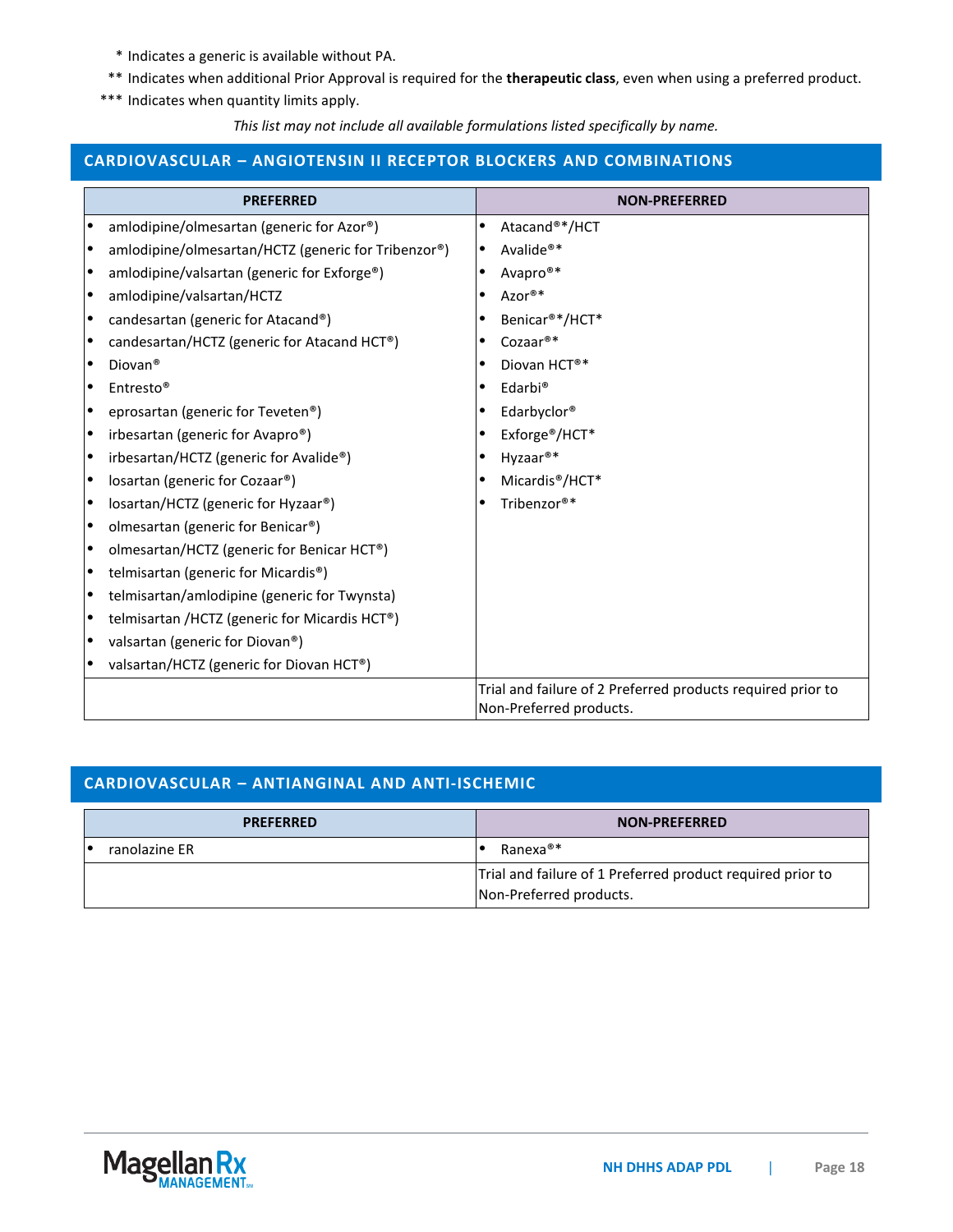- \* Indicates a generic is available without PA.
- \*\* Indicates when additional Prior Approval is required for the **therapeutic class**, even when using a preferred product.
- \*\*\* Indicates when quantity limits apply.

## <span id="page-17-0"></span>**CARDIOVASCULAR – ANGIOTENSIN II RECEPTOR BLOCKERS AND COMBINATIONS**

|           | <b>PREFERRED</b>                                         | <b>NON-PREFERRED</b>                                                                   |
|-----------|----------------------------------------------------------|----------------------------------------------------------------------------------------|
|           | amlodipine/olmesartan (generic for Azor®)                | Atacand <sup>®*</sup> /HCT                                                             |
| ٠         | amlodipine/olmesartan/HCTZ (generic for Tribenzor®)      | Avalide®*                                                                              |
| $\bullet$ | amlodipine/valsartan (generic for Exforge <sup>®</sup> ) | Avapro <sup>®*</sup><br>$\bullet$                                                      |
| $\bullet$ | amlodipine/valsartan/HCTZ                                | Azor®*<br>$\bullet$                                                                    |
| $\bullet$ | candesartan (generic for Atacand®)                       | Benicar <sup>®*</sup> /HCT*                                                            |
| ٠         | candesartan/HCTZ (generic for Atacand HCT®)              | Cozaar <sup>®</sup>                                                                    |
| ٠         | Diovan <sup>®</sup>                                      | Diovan HCT <sup>®*</sup>                                                               |
| ٠         | Entresto <sup>®</sup>                                    | Edarbi <sup>®</sup>                                                                    |
| ٠         | eprosartan (generic for Teveten®)                        | Edarbyclor <sup>®</sup>                                                                |
| ٠         | irbesartan (generic for Avapro®)                         | Exforge <sup>®</sup> /HCT*                                                             |
| $\bullet$ | irbesartan/HCTZ (generic for Avalide®)                   | Hyzaar <sup>®*</sup>                                                                   |
| $\bullet$ | losartan (generic for Cozaar®)                           | Micardis <sup>®</sup> /HCT*                                                            |
| ٠         | losartan/HCTZ (generic for Hyzaar <sup>®</sup> )         | Tribenzor®*                                                                            |
| ٠         | olmesartan (generic for Benicar®)                        |                                                                                        |
| ٠         | olmesartan/HCTZ (generic for Benicar HCT®)               |                                                                                        |
| ٠         | telmisartan (generic for Micardis <sup>®</sup> )         |                                                                                        |
| $\bullet$ | telmisartan/amlodipine (generic for Twynsta)             |                                                                                        |
| ٠         | telmisartan /HCTZ (generic for Micardis HCT®)            |                                                                                        |
| ٠         | valsartan (generic for Diovan®)                          |                                                                                        |
|           | valsartan/HCTZ (generic for Diovan HCT®)                 |                                                                                        |
|           |                                                          | Trial and failure of 2 Preferred products required prior to<br>Non-Preferred products. |

## <span id="page-17-1"></span>**CARDIOVASCULAR – ANTIANGINAL AND ANTI-ISCHEMIC**

| <b>PREFERRED</b> | <b>NON-PREFERRED</b>                                       |
|------------------|------------------------------------------------------------|
| ranolazine ER    | Ranexa <sup>®*</sup>                                       |
|                  | Trial and failure of 1 Preferred product required prior to |
|                  | Non-Preferred products.                                    |

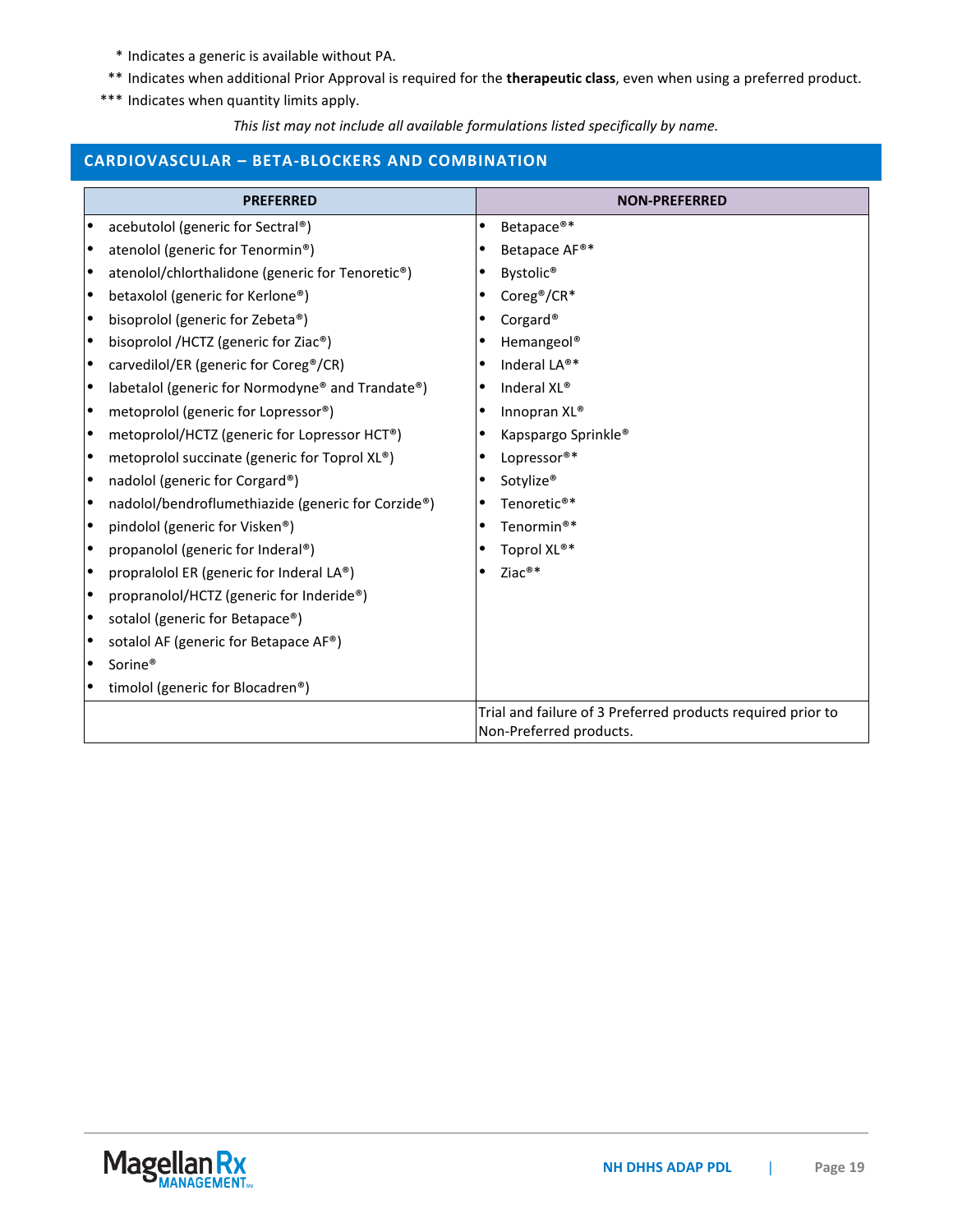- \* Indicates a generic is available without PA.
- \*\* Indicates when additional Prior Approval is required for the **therapeutic class**, even when using a preferred product.
- \*\*\* Indicates when quantity limits apply.

## <span id="page-18-0"></span>**CARDIOVASCULAR – BETA-BLOCKERS AND COMBINATION**

|           | <b>PREFERRED</b>                                   |           | <b>NON-PREFERRED</b>                                        |
|-----------|----------------------------------------------------|-----------|-------------------------------------------------------------|
|           | acebutolol (generic for Sectral®)                  | $\bullet$ | Betapace <sup>®*</sup>                                      |
| $\bullet$ | atenolol (generic for Tenormin <sup>®</sup> )      |           | Betapace AF <sup>®*</sup>                                   |
| ٠         | atenolol/chlorthalidone (generic for Tenoretic®)   |           | Bystolic <sup>®</sup>                                       |
| $\bullet$ | betaxolol (generic for Kerlone®)                   |           | Coreg <sup>®</sup> /CR*                                     |
| $\bullet$ | bisoprolol (generic for Zebeta®)                   | ٠         | Corgard <sup>®</sup>                                        |
| $\bullet$ | bisoprolol /HCTZ (generic for Ziac®)               |           | Hemangeol®                                                  |
|           | carvedilol/ER (generic for Coreg®/CR)              |           | Inderal LA®*                                                |
| $\bullet$ | labetalol (generic for Normodyne® and Trandate®)   |           | Inderal XL®                                                 |
|           | metoprolol (generic for Lopressor®)                |           | Innopran XL®                                                |
|           | metoprolol/HCTZ (generic for Lopressor HCT®)       |           | Kapspargo Sprinkle <sup>®</sup>                             |
|           | metoprolol succinate (generic for Toprol XL®)      |           | Lopressor <sup>®*</sup>                                     |
|           | nadolol (generic for Corgard®)                     |           | Sotylize®                                                   |
|           | nadolol/bendroflumethiazide (generic for Corzide®) |           | Tenoretic <sup>®*</sup>                                     |
|           | pindolol (generic for Visken®)                     |           | Tenormin <sup>®*</sup>                                      |
|           | propanolol (generic for Inderal®)                  |           | Toprol XL®*                                                 |
|           | propralolol ER (generic for Inderal LA®)           |           | Ziac®*                                                      |
| $\bullet$ | propranolol/HCTZ (generic for Inderide®)           |           |                                                             |
|           | sotalol (generic for Betapace®)                    |           |                                                             |
| ٠         | sotalol AF (generic for Betapace AF®)              |           |                                                             |
| ٠         | Sorine <sup>®</sup>                                |           |                                                             |
|           | timolol (generic for Blocadren <sup>®</sup> )      |           |                                                             |
|           |                                                    |           | Trial and failure of 3 Preferred products required prior to |
|           |                                                    |           | Non-Preferred products.                                     |

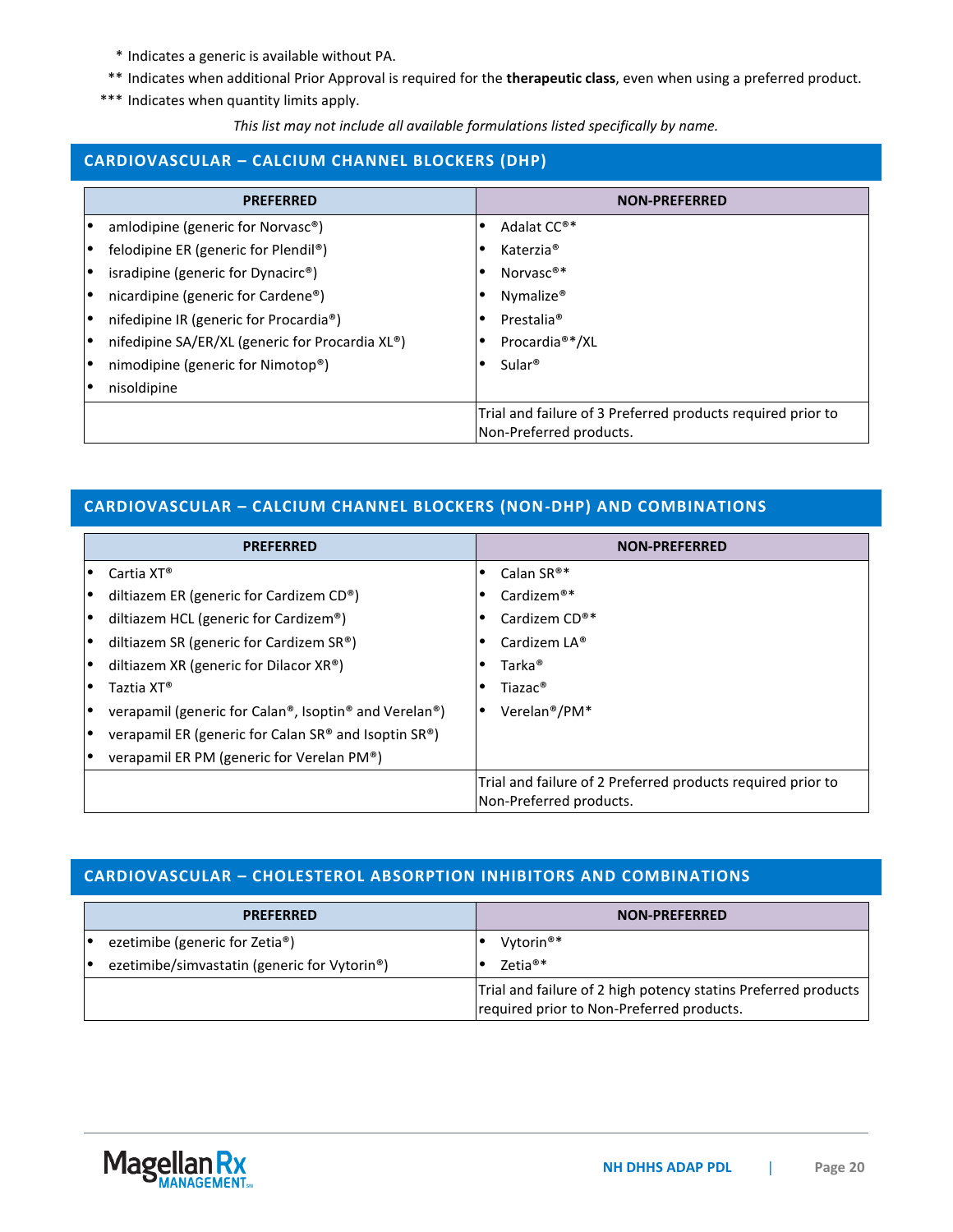- \* Indicates a generic is available without PA.
- \*\* Indicates when additional Prior Approval is required for the **therapeutic class**, even when using a preferred product.
- \*\*\* Indicates when quantity limits apply.

## <span id="page-19-0"></span>**CARDIOVASCULAR – CALCIUM CHANNEL BLOCKERS (DHP)**

| <b>PREFERRED</b>                                         | <b>NON-PREFERRED</b>                                        |
|----------------------------------------------------------|-------------------------------------------------------------|
| amlodipine (generic for Norvasc <sup>®</sup> )<br>l C    | Adalat CC®*                                                 |
| felodipine ER (generic for Plendil <sup>®</sup> )<br>∣ ● | Katerzia <sup>®</sup>                                       |
| isradipine (generic for Dynacirc <sup>®</sup> )<br>∣•    | Norvasc <sup>®*</sup>                                       |
| nicardipine (generic for Cardene <sup>®</sup> )<br>∣ ●   | Nymalize <sup>®</sup>                                       |
| nifedipine IR (generic for Procardia®)<br>ه ا            | Prestalia <sup>®</sup>                                      |
| nifedipine SA/ER/XL (generic for Procardia XL®)<br>ه ا   | Procardia <sup>®*</sup> /XL                                 |
| nimodipine (generic for Nimotop <sup>®</sup> )<br>l C    | Sular <sup>®</sup>                                          |
| nisoldipine<br>I C                                       |                                                             |
|                                                          | Trial and failure of 3 Preferred products required prior to |
|                                                          | Non-Preferred products.                                     |

## <span id="page-19-1"></span>**CARDIOVASCULAR – CALCIUM CHANNEL BLOCKERS (NON-DHP) AND COMBINATIONS**

|           | <b>PREFERRED</b>                                         | <b>NON-PREFERRED</b>                                                                   |
|-----------|----------------------------------------------------------|----------------------------------------------------------------------------------------|
| $\bullet$ | Cartia $XT^{\circledast}$                                | Calan SR <sup>®*</sup>                                                                 |
| ٠         | diltiazem ER (generic for Cardizem $CD^{\circledcirc}$ ) | Cardizem®*                                                                             |
| $\bullet$ | diltiazem HCL (generic for Cardizem®)                    | Cardizem CD <sup>®*</sup>                                                              |
|           | diltiazem SR (generic for Cardizem SR®)                  | Cardizem LA®                                                                           |
|           | diltiazem XR (generic for Dilacor $XR^{\circ}$ )         | Tarka <sup>®</sup>                                                                     |
|           | Taztia XT®                                               | Tiazac <sup>®</sup>                                                                    |
|           | verapamil (generic for Calan®, Isoptin® and Verelan®)    | Verelan <sup>®</sup> /PM <sup>*</sup>                                                  |
| $\bullet$ | verapamil ER (generic for Calan SR® and Isoptin SR®)     |                                                                                        |
| $\bullet$ | verapamil ER PM (generic for Verelan PM®)                |                                                                                        |
|           |                                                          | Trial and failure of 2 Preferred products required prior to<br>Non-Preferred products. |

## <span id="page-19-2"></span>**CARDIOVASCULAR – CHOLESTEROL ABSORPTION INHIBITORS AND COMBINATIONS**

|     | <b>PREFERRED</b>                             | <b>NON-PREFERRED</b>                                                                                        |
|-----|----------------------------------------------|-------------------------------------------------------------------------------------------------------------|
| ، ا | ezetimibe (generic for Zetia®)               | Vytorin <sup>®*</sup>                                                                                       |
| ، ا | ezetimibe/simvastatin (generic for Vytorin®) | $7$ etia <sup>®*</sup>                                                                                      |
|     |                                              | Trial and failure of 2 high potency statins Preferred products<br>required prior to Non-Preferred products. |

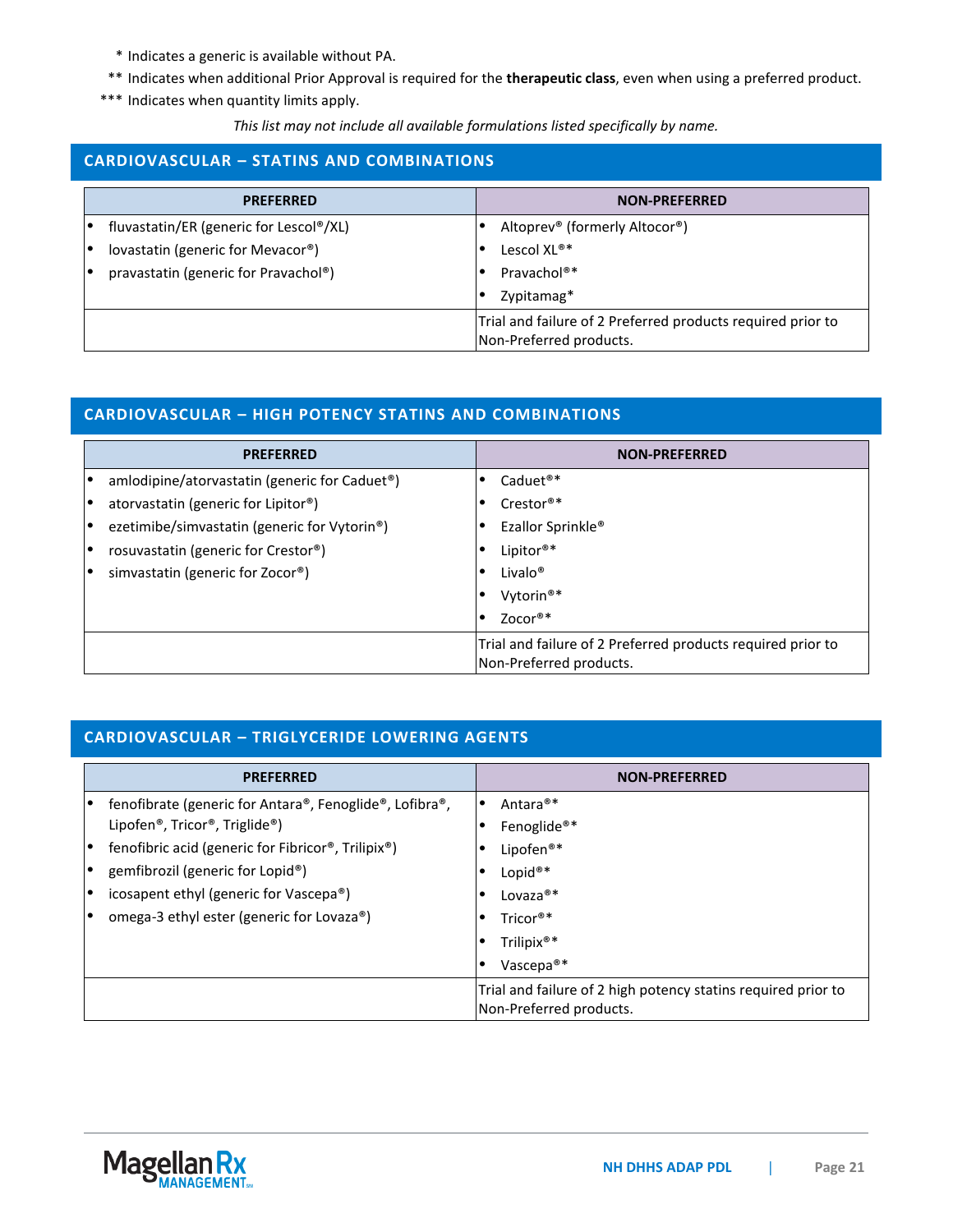- \* Indicates a generic is available without PA.
- \*\* Indicates when additional Prior Approval is required for the **therapeutic class**, even when using a preferred product.
- \*\*\* Indicates when quantity limits apply.

<span id="page-20-0"></span>

|                                          | <b>CARDIOVASCULAR - STATINS AND COMBINATIONS</b> |                                                             |  |  |
|------------------------------------------|--------------------------------------------------|-------------------------------------------------------------|--|--|
| <b>PREFERRED</b><br><b>NON-PREFERRED</b> |                                                  |                                                             |  |  |
|                                          | fluvastatin/ER (generic for Lescol®/XL)          | Altoprev® (formerly Altocor®)                               |  |  |
|                                          | lovastatin (generic for Mevacor®)                | Lescol XL®*                                                 |  |  |
|                                          | pravastatin (generic for Pravachol®)             | Pravachol®*                                                 |  |  |
|                                          |                                                  | Zypitamag*                                                  |  |  |
|                                          |                                                  | Trial and failure of 2 Preferred products required prior to |  |  |
|                                          |                                                  | Non-Preferred products.                                     |  |  |

## <span id="page-20-1"></span>**CARDIOVASCULAR – HIGH POTENCY STATINS AND COMBINATIONS**

|           | <b>PREFERRED</b>                                           | <b>NON-PREFERRED</b>                                                                   |  |
|-----------|------------------------------------------------------------|----------------------------------------------------------------------------------------|--|
|           | amlodipine/atorvastatin (generic for Caduet <sup>®</sup> ) | Caduet <sup>®*</sup>                                                                   |  |
| $\bullet$ | atorvastatin (generic for Lipitor®)                        | Crestor <sup>®*</sup>                                                                  |  |
| $\bullet$ | ezetimibe/simvastatin (generic for Vytorin®)               | Ezallor Sprinkle <sup>®</sup>                                                          |  |
| $\bullet$ | rosuvastatin (generic for Crestor®)                        | Lipitor <sup>®*</sup>                                                                  |  |
|           | simvastatin (generic for Zocor®)                           | Livalo <sup>®</sup>                                                                    |  |
|           |                                                            | Vytorin <sup>®*</sup>                                                                  |  |
|           |                                                            | Zocor® $*$                                                                             |  |
|           |                                                            | Trial and failure of 2 Preferred products required prior to<br>Non-Preferred products. |  |

## <span id="page-20-2"></span>**CARDIOVASCULAR – TRIGLYCERIDE LOWERING AGENTS**

|           | <b>PREFERRED</b>                                        | <b>NON-PREFERRED</b>                                                                     |
|-----------|---------------------------------------------------------|------------------------------------------------------------------------------------------|
|           | fenofibrate (generic for Antara®, Fenoglide®, Lofibra®, | Antara <sup>®*</sup>                                                                     |
|           | Lipofen®, Tricor®, Triglide®)                           | Fenoglide <sup>®*</sup>                                                                  |
| $\bullet$ | fenofibric acid (generic for Fibricor®, Trilipix®)      | Lipofen <sup>®*</sup>                                                                    |
| ٠         | gemfibrozil (generic for Lopid®)                        | Lopid <sup>®*</sup>                                                                      |
| lo        | icosapent ethyl (generic for Vascepa®)                  | Lovaza <sup>®*</sup>                                                                     |
| $\bullet$ | omega-3 ethyl ester (generic for Lovaza®)               | Tricor®*                                                                                 |
|           |                                                         | Trilipix <sup>®*</sup>                                                                   |
|           |                                                         | Vascepa <sup>®*</sup>                                                                    |
|           |                                                         | Trial and failure of 2 high potency statins required prior to<br>Non-Preferred products. |

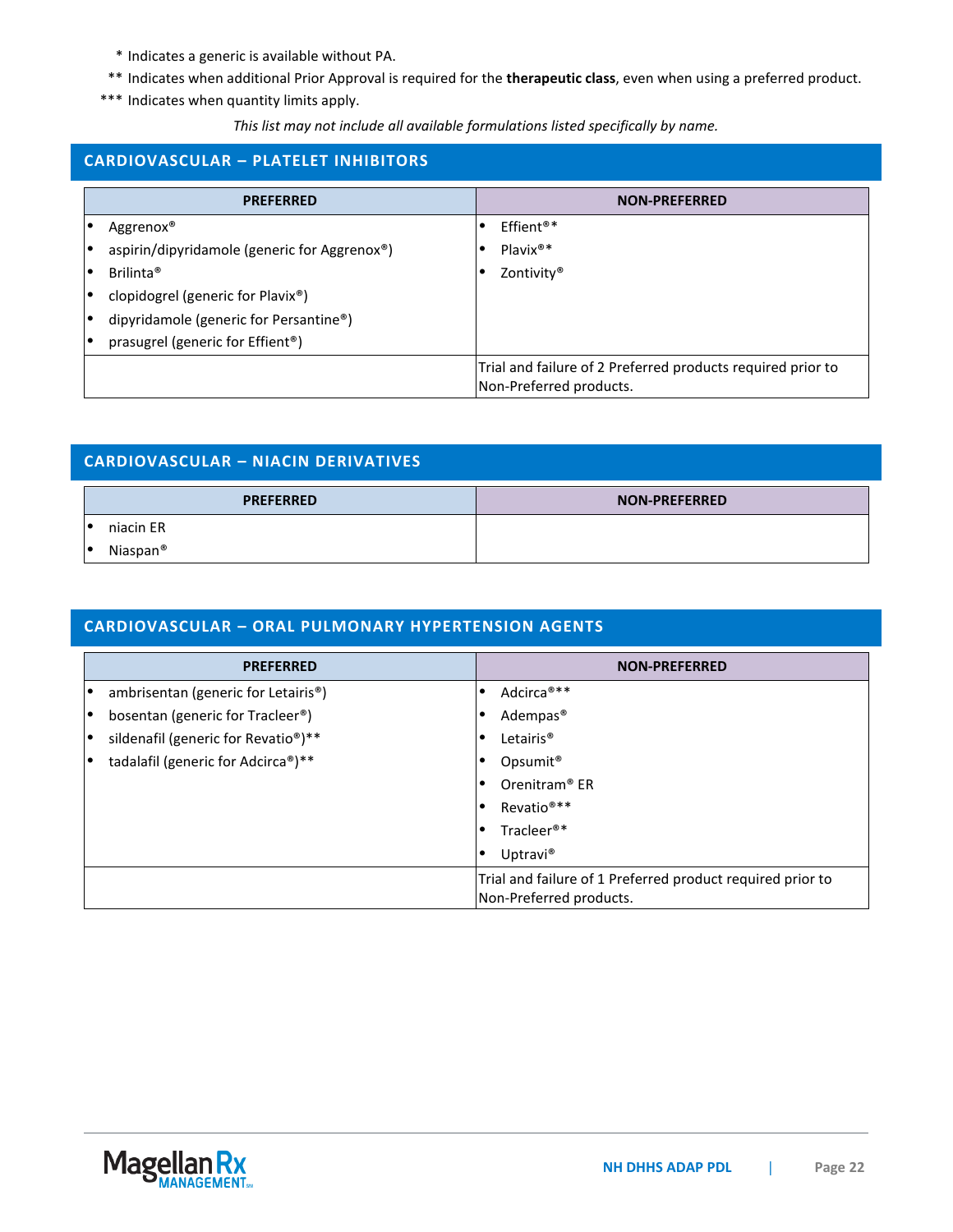- \* Indicates a generic is available without PA.
- \*\* Indicates when additional Prior Approval is required for the **therapeutic class**, even when using a preferred product.
- \*\*\* Indicates when quantity limits apply.

## <span id="page-21-0"></span>**CARDIOVASCULAR – PLATELET INHIBITORS**

|     | <b>PREFERRED</b>                                          | <b>NON-PREFERRED</b>                                                                   |
|-----|-----------------------------------------------------------|----------------------------------------------------------------------------------------|
|     | Aggrenox <sup>®</sup>                                     | Effient <sup>®*</sup>                                                                  |
| I C | aspirin/dipyridamole (generic for Aggrenox <sup>®</sup> ) | Plavix <sup>®*</sup>                                                                   |
| ۰   | Brilinta <sup>®</sup>                                     | Zontivity <sup>®</sup>                                                                 |
| ∣ ● | clopidogrel (generic for Plavix®)                         |                                                                                        |
| ∣ ● | dipyridamole (generic for Persantine®)                    |                                                                                        |
| I C | prasugrel (generic for Effient <sup>®</sup> )             |                                                                                        |
|     |                                                           | Trial and failure of 2 Preferred products required prior to<br>Non-Preferred products. |

<span id="page-21-1"></span>

| <b>CARDIOVASCULAR - NIACIN DERIVATIVES</b> |                      |                      |  |
|--------------------------------------------|----------------------|----------------------|--|
|                                            | <b>PREFERRED</b>     | <b>NON-PREFERRED</b> |  |
|                                            | niacin ER            |                      |  |
|                                            | Niaspan <sup>®</sup> |                      |  |

## <span id="page-21-2"></span>**CARDIOVASCULAR – ORAL PULMONARY HYPERTENSION AGENTS**

|           | <b>PREFERRED</b>                              | <b>NON-PREFERRED</b>                                       |
|-----------|-----------------------------------------------|------------------------------------------------------------|
| ٠         | ambrisentan (generic for Letairis®)           | Adcirca®**                                                 |
| $\bullet$ | bosentan (generic for Tracleer <sup>®</sup> ) | Adempas <sup>®</sup>                                       |
| $\bullet$ | sildenafil (generic for Revatio®)**           | Letairis <sup>®</sup>                                      |
| $\bullet$ | tadalafil (generic for Adcirca®)**            | Opsumit <sup>®</sup>                                       |
|           |                                               | Orenitram <sup>®</sup> ER                                  |
|           |                                               | Revatio <sup>®**</sup>                                     |
|           |                                               | Tracleer <sup>®*</sup>                                     |
|           |                                               | Uptravi <sup>®</sup>                                       |
|           |                                               | Trial and failure of 1 Preferred product required prior to |
|           |                                               | Non-Preferred products.                                    |

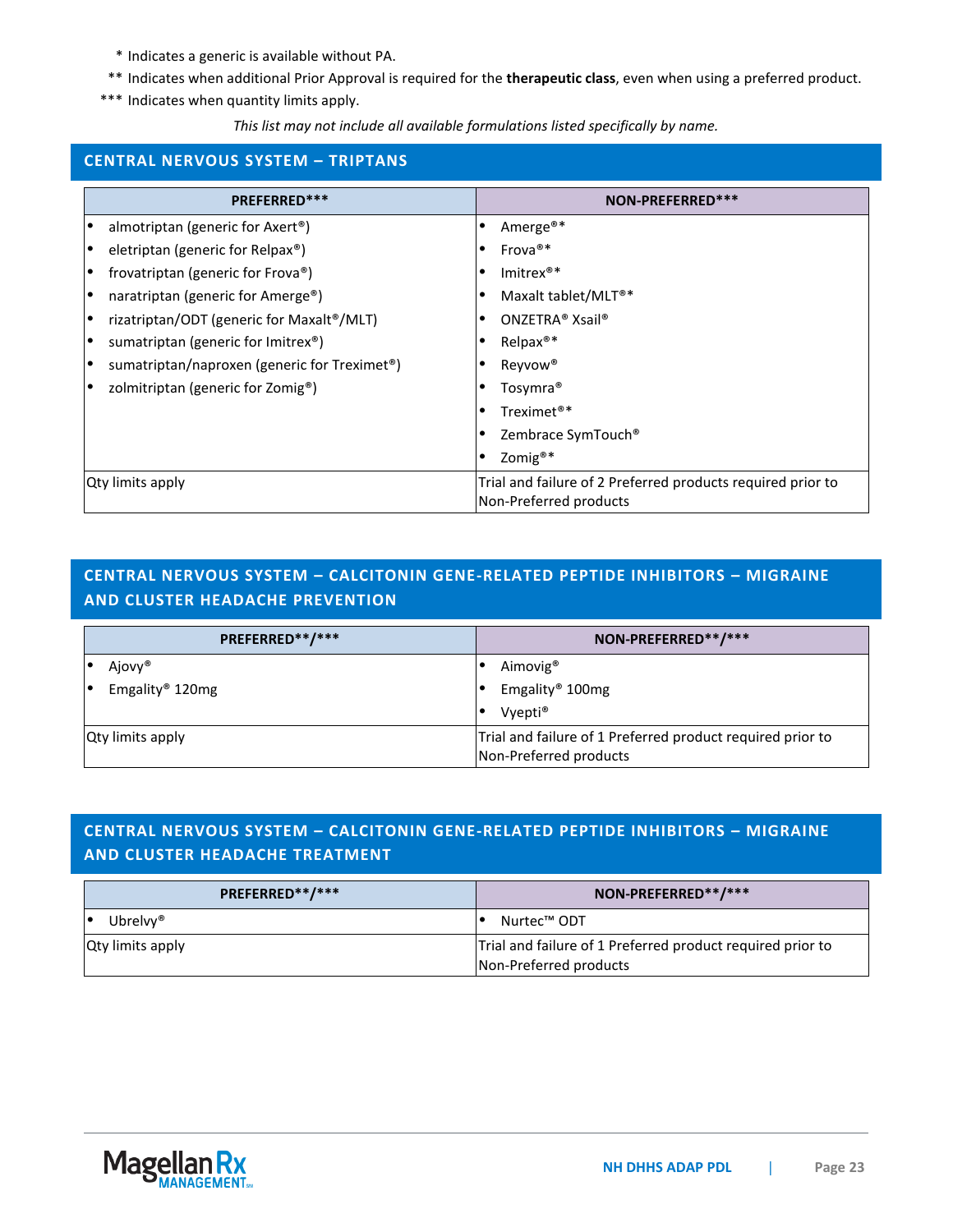- \* Indicates a generic is available without PA.
- \*\* Indicates when additional Prior Approval is required for the **therapeutic class**, even when using a preferred product.
- \*\*\* Indicates when quantity limits apply.

### <span id="page-22-0"></span>**CENTRAL NERVOUS SYSTEM – TRIPTANS**

|     | PREFERRED***                                              | NON-PREFERRED***                                                                      |
|-----|-----------------------------------------------------------|---------------------------------------------------------------------------------------|
| ∣ ● | almotriptan (generic for Axert <sup>®</sup> )             | Amerge <sup>®*</sup>                                                                  |
| I۰  | eletriptan (generic for Relpax®)                          | $Frova®*$                                                                             |
| lo  | frovatriptan (generic for Frova®)                         | $Imitrex^{\circ\,*}$                                                                  |
| l•  | naratriptan (generic for Amerge®)                         | Maxalt tablet/MLT <sup>®*</sup>                                                       |
| ∣ ● | rizatriptan/ODT (generic for Maxalt <sup>®</sup> /MLT)    | ONZETRA <sup>®</sup> Xsail <sup>®</sup>                                               |
| l•  | sumatriptan (generic for Imitrex <sup>®</sup> )           | $Relpax^{\circ\ast}$                                                                  |
| I۰  | sumatriptan/naproxen (generic for Treximet <sup>®</sup> ) | Reyvow <sup>®</sup>                                                                   |
| lo  | zolmitriptan (generic for Zomig <sup>®</sup> )            | Tosymra <sup>®</sup>                                                                  |
|     |                                                           | Treximet <sup>®*</sup>                                                                |
|     |                                                           | Zembrace SymTouch <sup>®</sup>                                                        |
|     |                                                           | Zomig <sup>®*</sup>                                                                   |
|     | <b>Qty limits apply</b>                                   | Trial and failure of 2 Preferred products required prior to<br>Non-Preferred products |

## <span id="page-22-1"></span>**CENTRAL NERVOUS SYSTEM – CALCITONIN GENE-RELATED PEPTIDE INHIBITORS – MIGRAINE AND CLUSTER HEADACHE PREVENTION**

| PREFERRED**/***                    | NON-PREFERRED**/***                                        |
|------------------------------------|------------------------------------------------------------|
| Ajovy <sup>®</sup>                 | Aimovig <sup>®</sup>                                       |
| Emgality <sup>®</sup> 120mg<br>∣ ● | Emgality <sup>®</sup> 100mg                                |
|                                    | Vyepti <sup>®</sup>                                        |
| <b>Qty limits apply</b>            | Trial and failure of 1 Preferred product required prior to |
|                                    | Non-Preferred products                                     |

## <span id="page-22-2"></span>**CENTRAL NERVOUS SYSTEM – CALCITONIN GENE-RELATED PEPTIDE INHIBITORS – MIGRAINE AND CLUSTER HEADACHE TREATMENT**

| PREFERRED**/***         | NON-PREFERRED**/***                                        |
|-------------------------|------------------------------------------------------------|
| Ubrelv $v^*$            | Nurtec™ ODT                                                |
| <b>Qty limits apply</b> | Trial and failure of 1 Preferred product required prior to |
|                         | Non-Preferred products                                     |

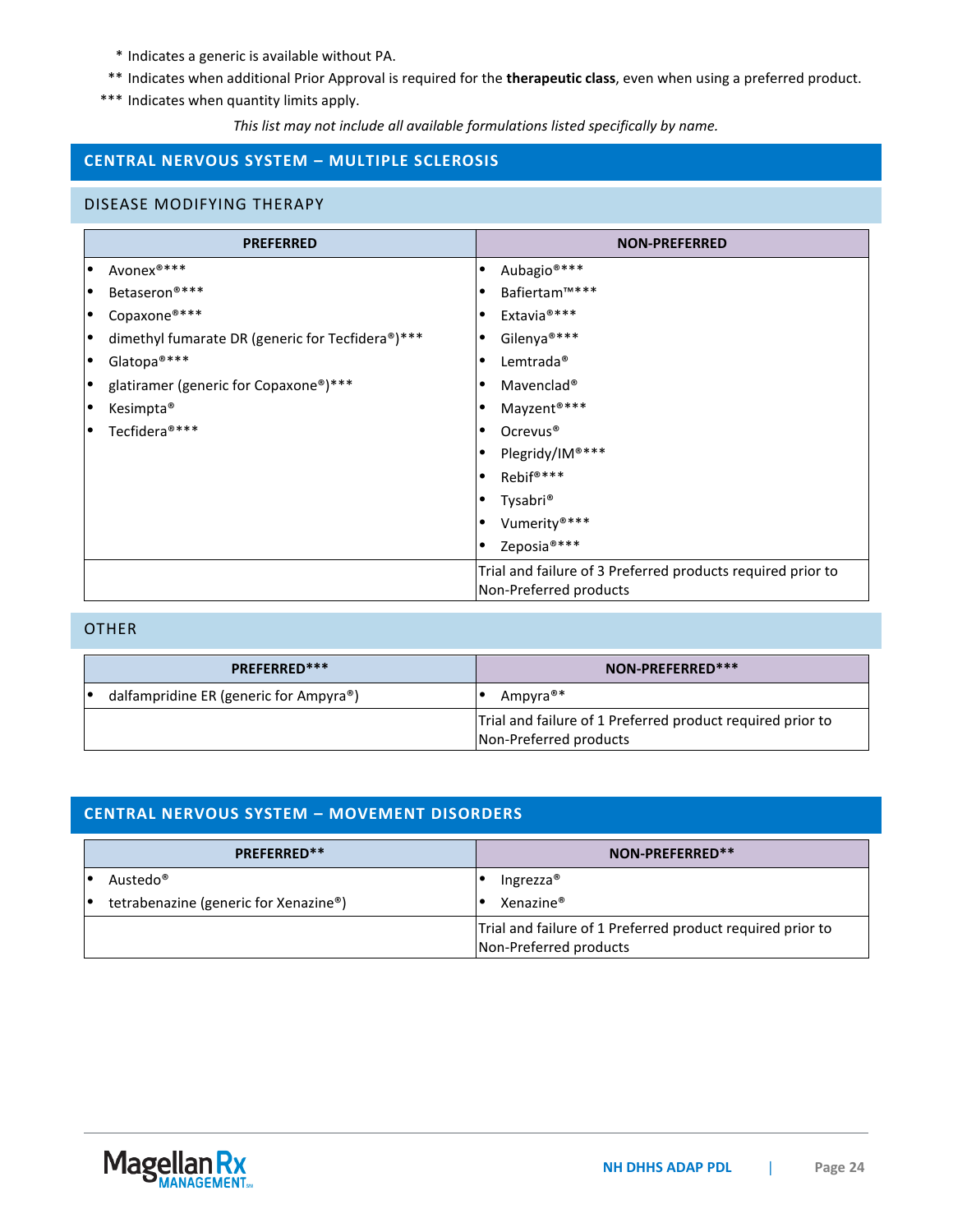- \* Indicates a generic is available without PA.
- \*\* Indicates when additional Prior Approval is required for the **therapeutic class**, even when using a preferred product.
- \*\*\* Indicates when quantity limits apply.

## <span id="page-23-0"></span>**CENTRAL NERVOUS SYSTEM – MULTIPLE SCLEROSIS**

#### DISEASE MODIFYING THERAPY

|           | <b>PREFERRED</b>                                 |           | <b>NON-PREFERRED</b>                                                                  |
|-----------|--------------------------------------------------|-----------|---------------------------------------------------------------------------------------|
| ٠         | Avonex®***                                       | $\bullet$ | Aubagio <sup>®***</sup>                                                               |
| ٠         | Betaseron <sup>®***</sup>                        | ٠         | Bafiertam™***                                                                         |
| ٠         | Copaxone <sup>®***</sup>                         | ٠         | Extavia <sup>®***</sup>                                                               |
| ٠         | dimethyl fumarate DR (generic for Tecfidera®)*** | ٠         | Gilenya <sup>®***</sup>                                                               |
| $\bullet$ | Glatopa®***                                      | ٠         | Lemtrada <sup>®</sup>                                                                 |
| $\bullet$ | glatiramer (generic for Copaxone®)***            |           | Mavenclad <sup>®</sup>                                                                |
| $\bullet$ | Kesimpta <sup>®</sup>                            |           | Mayzent <sup>®***</sup>                                                               |
| $\bullet$ | Tecfidera <sup>®***</sup>                        | ٠         | Ocrevus <sup>®</sup>                                                                  |
|           |                                                  |           | Plegridy/IM®***                                                                       |
|           |                                                  | ٠         | Rebif <sup>®***</sup>                                                                 |
|           |                                                  |           | Tysabri <sup>®</sup>                                                                  |
|           |                                                  |           | Vumerity®***                                                                          |
|           |                                                  |           | Zeposia <sup>®***</sup>                                                               |
|           |                                                  |           | Trial and failure of 3 Preferred products required prior to<br>Non-Preferred products |

#### **OTHER**

| <b>PREFERRED***</b>                           | NON-PREFERRED***                                                                     |
|-----------------------------------------------|--------------------------------------------------------------------------------------|
| dalfampridine ER (generic for Ampyra®)<br>∣ ● | Ampyra <sup>®*</sup>                                                                 |
|                                               | Trial and failure of 1 Preferred product required prior to<br>Non-Preferred products |

## <span id="page-23-1"></span>**CENTRAL NERVOUS SYSTEM – MOVEMENT DISORDERS**

|     | PREFERRED**                           | NON-PREFERRED**                                                                      |
|-----|---------------------------------------|--------------------------------------------------------------------------------------|
|     | Austedo <sup>®</sup>                  | Ingrezza <sup>®</sup>                                                                |
| ه ا | tetrabenazine (generic for Xenazine®) | Xenazine <sup>®</sup>                                                                |
|     |                                       | Trial and failure of 1 Preferred product required prior to<br>Non-Preferred products |

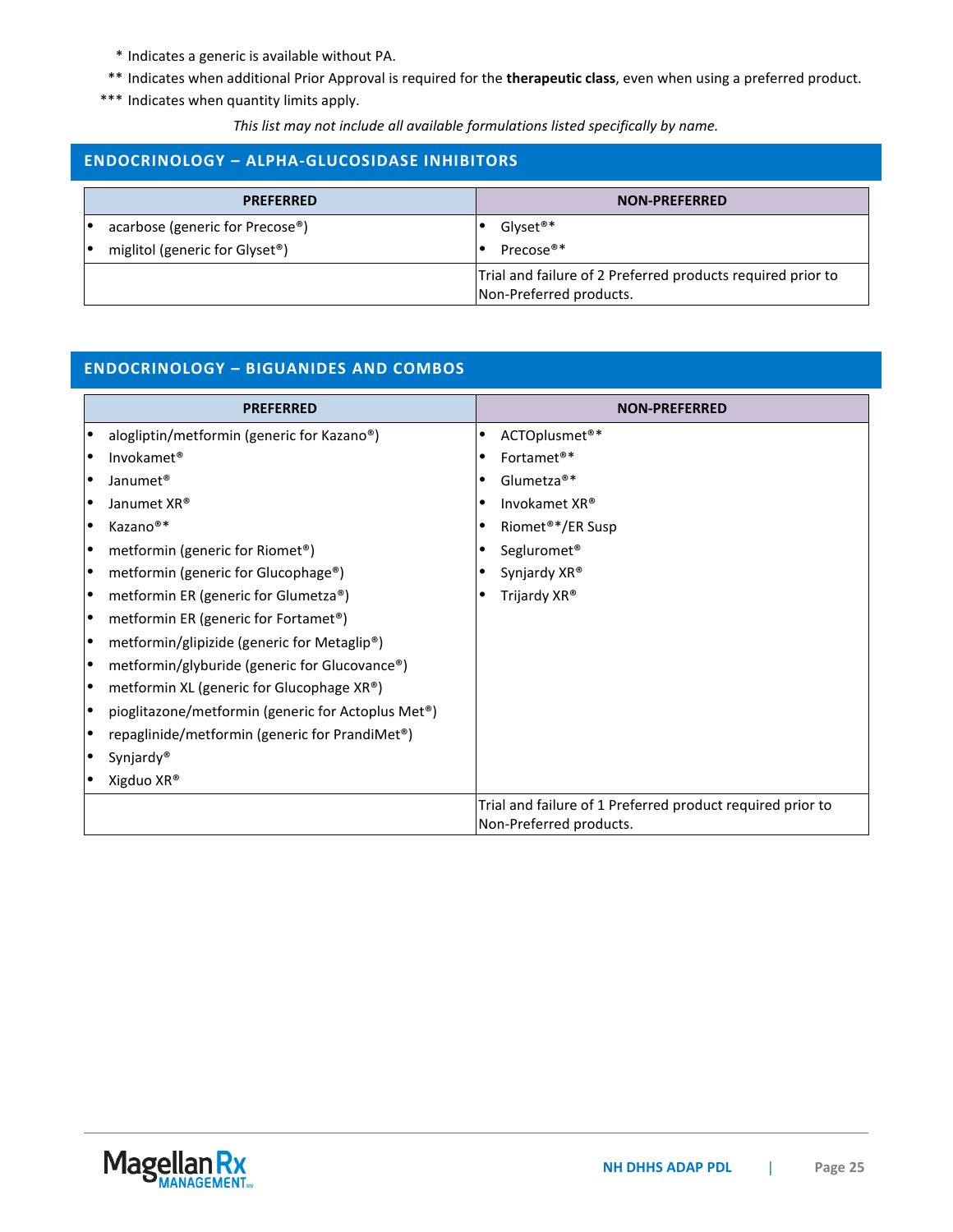- \* Indicates a generic is available without PA.
- \*\* Indicates when additional Prior Approval is required for the **therapeutic class**, even when using a preferred product.
- \*\*\* Indicates when quantity limits apply.

<span id="page-24-0"></span>

| <b>ENDOCRINOLOGY - ALPHA-GLUCOSIDASE INHIBITORS</b> |                                                                                        |  |
|-----------------------------------------------------|----------------------------------------------------------------------------------------|--|
| <b>PREFERRED</b>                                    | <b>NON-PREFERRED</b>                                                                   |  |
| acarbose (generic for Precose®)                     | Glyset <sup>®*</sup>                                                                   |  |
| miglitol (generic for Glyset <sup>®</sup> )         | Precose <sup>®*</sup>                                                                  |  |
|                                                     | Trial and failure of 2 Preferred products required prior to<br>Non-Preferred products. |  |

## <span id="page-24-1"></span>**ENDOCRINOLOGY – BIGUANIDES AND COMBOS**

|           | <b>PREFERRED</b>                                                | <b>NON-PREFERRED</b>                                       |
|-----------|-----------------------------------------------------------------|------------------------------------------------------------|
| $\bullet$ | alogliptin/metformin (generic for Kazano <sup>®</sup> )         | ACTOplusmet <sup>®*</sup>                                  |
| $\bullet$ | Invokamet <sup>®</sup>                                          | Fortamet <sup>®*</sup>                                     |
| ٠         | Janumet <sup>®</sup>                                            | Glumetza <sup>®*</sup>                                     |
| $\bullet$ | Janumet XR®                                                     | Invokamet XR®                                              |
| $\bullet$ | Kazano <sup>®*</sup>                                            | Riomet <sup>®*</sup> /ER Susp                              |
| $\bullet$ | metformin (generic for Riomet <sup>®</sup> )                    | Segluromet <sup>®</sup>                                    |
| $\bullet$ | metformin (generic for Glucophage®)                             | Synjardy XR®                                               |
| $\bullet$ | metformin ER (generic for Glumetza®)                            | Trijardy XR®                                               |
| ٠         | metformin ER (generic for Fortamet <sup>®</sup> )               |                                                            |
| ٠         | metformin/glipizide (generic for Metaglip <sup>®</sup> )        |                                                            |
| ٠         | metformin/glyburide (generic for Glucovance <sup>®</sup> )      |                                                            |
| ٠         | metformin XL (generic for Glucophage XR®)                       |                                                            |
| $\bullet$ | pioglitazone/metformin (generic for Actoplus Met <sup>®</sup> ) |                                                            |
| $\bullet$ | repaglinide/metformin (generic for PrandiMet <sup>®</sup> )     |                                                            |
| ٠         | Synjardy <sup>®</sup>                                           |                                                            |
| ٠         | Xigduo XR <sup>®</sup>                                          |                                                            |
|           |                                                                 | Trial and failure of 1 Preferred product required prior to |
|           |                                                                 | Non-Preferred products.                                    |

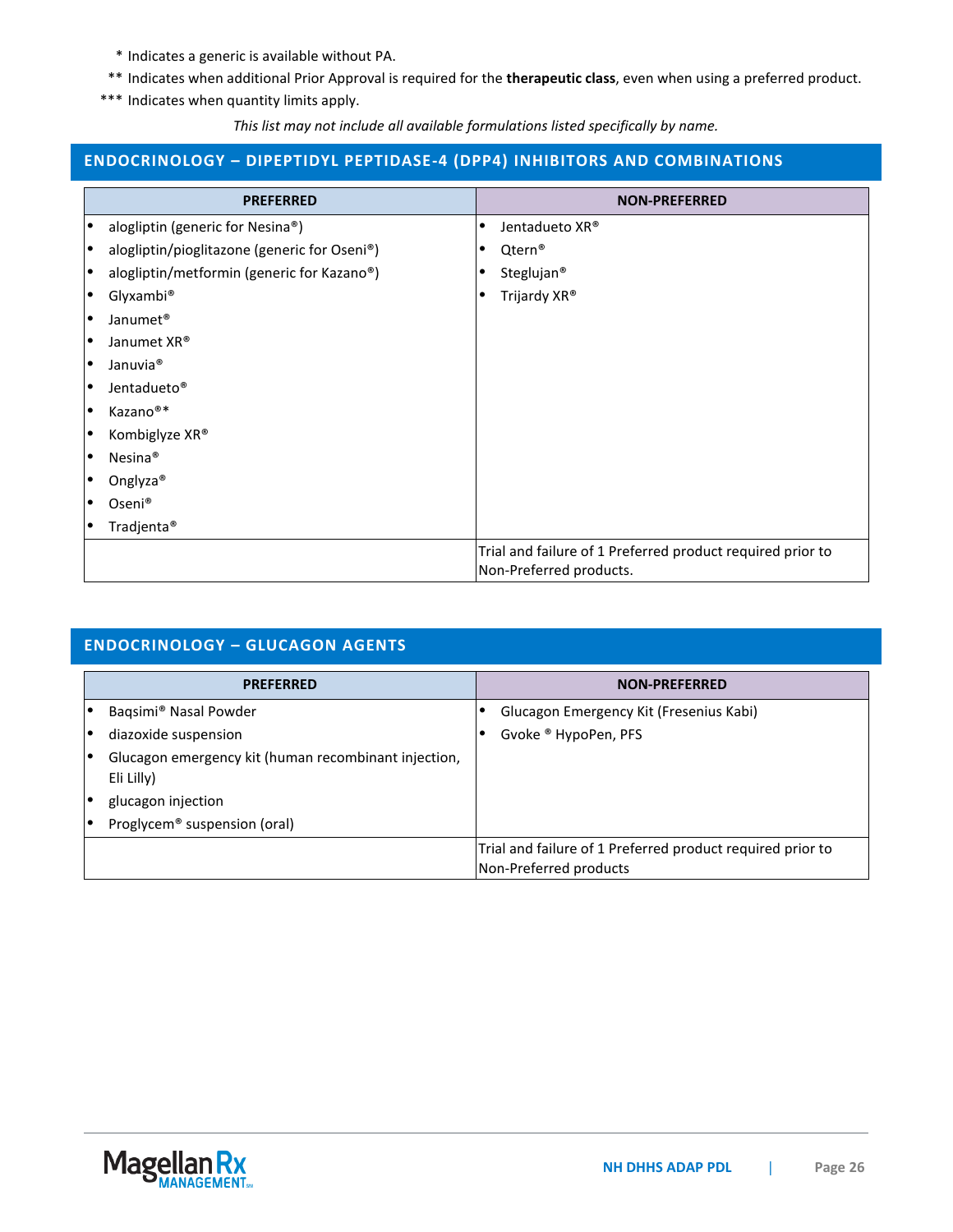- \* Indicates a generic is available without PA.
- \*\* Indicates when additional Prior Approval is required for the **therapeutic class**, even when using a preferred product.
- \*\*\* Indicates when quantity limits apply.

### <span id="page-25-0"></span>**ENDOCRINOLOGY – DIPEPTIDYL PEPTIDASE-4 (DPP4) INHIBITORS AND COMBINATIONS**

|           | <b>PREFERRED</b>                             | <b>NON-PREFERRED</b>                                                                  |
|-----------|----------------------------------------------|---------------------------------------------------------------------------------------|
| $\bullet$ | alogliptin (generic for Nesina®)             | Jentadueto XR®<br>٠                                                                   |
| $\bullet$ | alogliptin/pioglitazone (generic for Oseni®) | Qtern <sup>®</sup><br>٠                                                               |
| $\bullet$ | alogliptin/metformin (generic for Kazano®)   | Steglujan <sup>®</sup>                                                                |
| ٠         | Glyxambi <sup>®</sup>                        | Trijardy XR®<br>$\bullet$                                                             |
| ٠         | Janumet <sup>®</sup>                         |                                                                                       |
| ٠         | Janumet XR <sup>®</sup>                      |                                                                                       |
| ٠         | Januvia <sup>®</sup>                         |                                                                                       |
| ٠         | Jentadueto <sup>®</sup>                      |                                                                                       |
| $\bullet$ | Kazano <sup>®*</sup>                         |                                                                                       |
| $\bullet$ | Kombiglyze XR®                               |                                                                                       |
| ٠         | Nesina <sup>®</sup>                          |                                                                                       |
| ٠         | Onglyza <sup>®</sup>                         |                                                                                       |
| $\bullet$ | Oseni <sup>®</sup>                           |                                                                                       |
| $\bullet$ | Tradjenta <sup>®</sup>                       |                                                                                       |
|           |                                              | Trial and failure of 1 Preferred product required prior to<br>Non-Preferred products. |

## <span id="page-25-1"></span>**ENDOCRINOLOGY – GLUCAGON AGENTS**

|     | <b>PREFERRED</b>                                                   | <b>NON-PREFERRED</b>                                       |
|-----|--------------------------------------------------------------------|------------------------------------------------------------|
|     | Baqsimi <sup>®</sup> Nasal Powder                                  | Glucagon Emergency Kit (Fresenius Kabi)                    |
| і с | diazoxide suspension                                               | Gvoke ® HypoPen, PFS                                       |
| ∣ ● | Glucagon emergency kit (human recombinant injection,<br>Eli Lilly) |                                                            |
| I e | glucagon injection                                                 |                                                            |
| і е | Proglycem <sup>®</sup> suspension (oral)                           |                                                            |
|     |                                                                    | Trial and failure of 1 Preferred product required prior to |
|     |                                                                    | Non-Preferred products                                     |

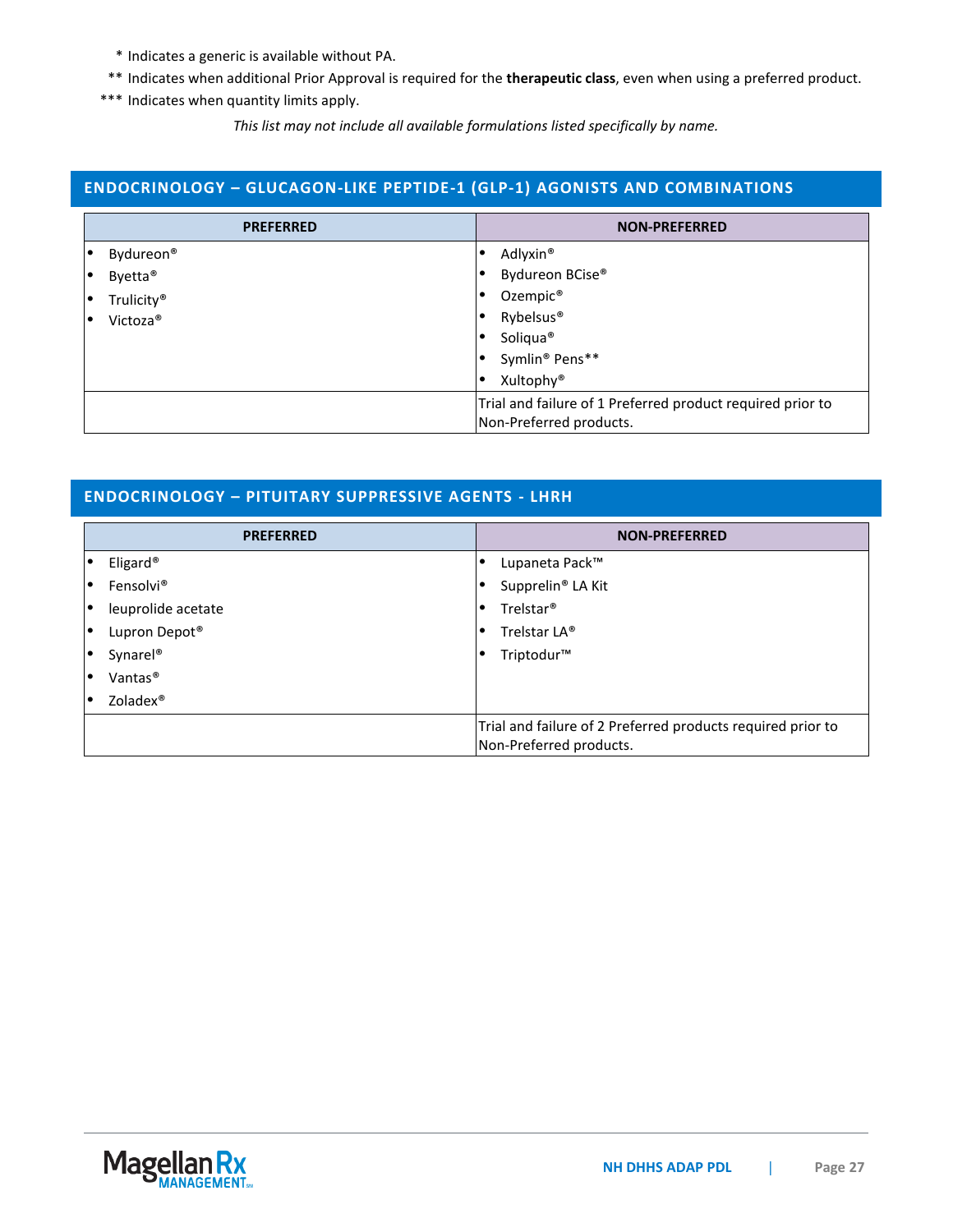- \* Indicates a generic is available without PA.
- \*\* Indicates when additional Prior Approval is required for the **therapeutic class**, even when using a preferred product.
- \*\*\* Indicates when quantity limits apply.

## <span id="page-26-0"></span>**ENDOCRINOLOGY – GLUCAGON-LIKE PEPTIDE-1 (GLP-1) AGONISTS AND COMBINATIONS**

| <b>PREFERRED</b>            | <b>NON-PREFERRED</b>                                       |
|-----------------------------|------------------------------------------------------------|
| Bydureon <sup>®</sup><br>∣● | Adlyxin <sup>®</sup>                                       |
| Byetta <sup>®</sup><br>∣•   | Bydureon BCise®                                            |
| Trulicity®<br>∣•            | Ozempic <sup>®</sup>                                       |
| Victoza <sup>®</sup><br>і е | Rybelsus <sup>®</sup>                                      |
|                             | Soliqua <sup>®</sup><br>l C                                |
|                             | Symlin <sup>®</sup> Pens**                                 |
|                             | Xultophy®<br>l C                                           |
|                             | Trial and failure of 1 Preferred product required prior to |
|                             | Non-Preferred products.                                    |

## <span id="page-26-1"></span>**ENDOCRINOLOGY – PITUITARY SUPPRESSIVE AGENTS - LHRH**

|           | <b>PREFERRED</b>          | <b>NON-PREFERRED</b>                                                                   |
|-----------|---------------------------|----------------------------------------------------------------------------------------|
| $\bullet$ | Eligard <sup>®</sup>      | Lupaneta Pack™                                                                         |
| l•        | Fensolvi <sup>®</sup>     | Supprelin <sup>®</sup> LA Kit                                                          |
| l•        | leuprolide acetate        | Trelstar <sup>®</sup>                                                                  |
| l•        | Lupron Depot <sup>®</sup> | Trelstar LA®                                                                           |
| l•        | Synarel <sup>®</sup>      | Triptodur <sup>™</sup>                                                                 |
| I۰        | Vantas <sup>®</sup>       |                                                                                        |
| ∣ ●       | Zoladex <sup>®</sup>      |                                                                                        |
|           |                           | Trial and failure of 2 Preferred products required prior to<br>Non-Preferred products. |

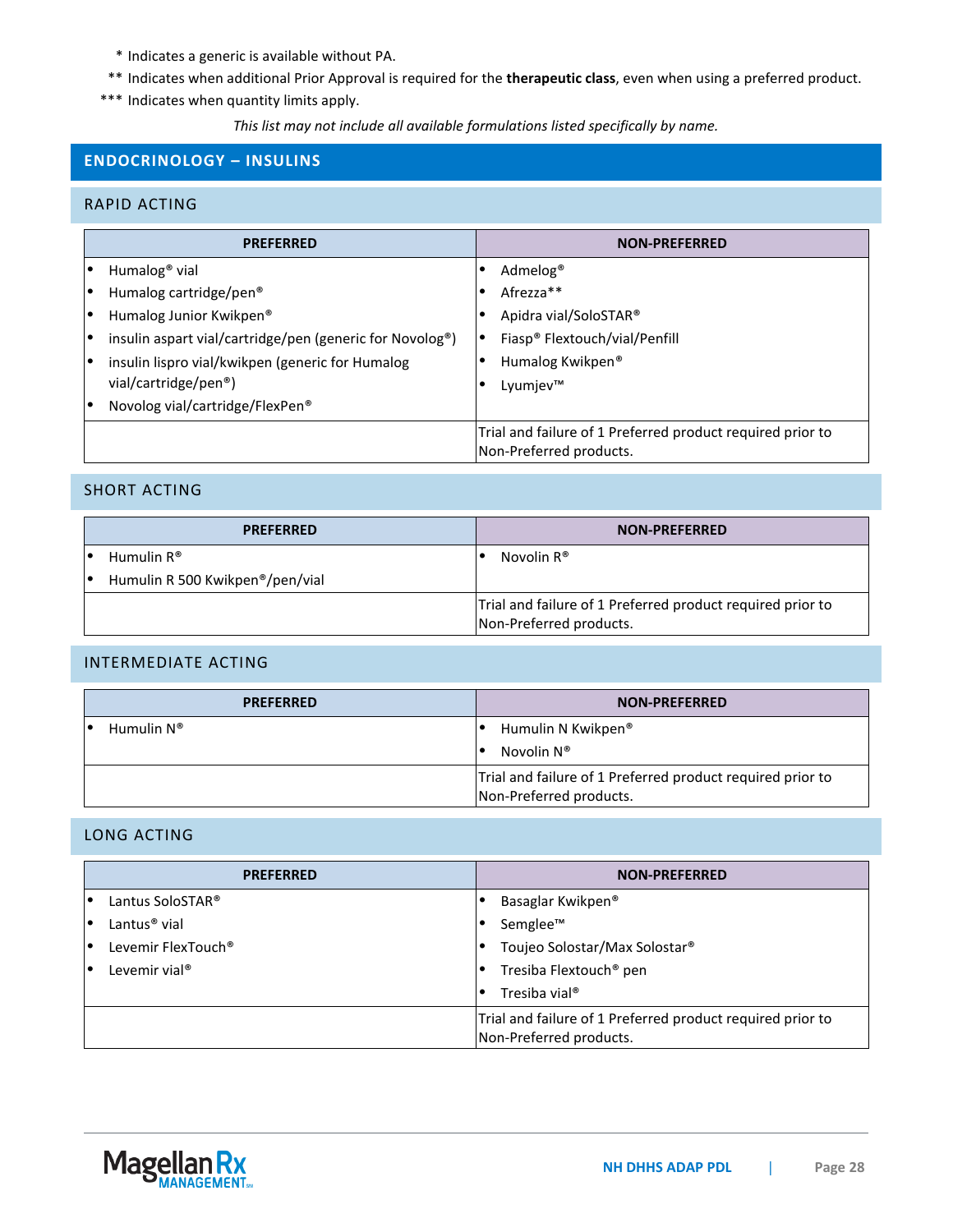- \* Indicates a generic is available without PA.
- \*\* Indicates when additional Prior Approval is required for the **therapeutic class**, even when using a preferred product.
- \*\*\* Indicates when quantity limits apply.

### <span id="page-27-0"></span>**ENDOCRINOLOGY – INSULINS**

#### RAPID ACTING

|           | <b>PREFERRED</b>                                                                                                                     | <b>NON-PREFERRED</b>                                                                  |
|-----------|--------------------------------------------------------------------------------------------------------------------------------------|---------------------------------------------------------------------------------------|
|           | Humalog <sup>®</sup> vial                                                                                                            | Admelog <sup>®</sup>                                                                  |
|           | Humalog cartridge/pen <sup>®</sup>                                                                                                   | Afrezza <sup>**</sup>                                                                 |
| $\bullet$ | Humalog Junior Kwikpen®                                                                                                              | Apidra vial/SoloSTAR®                                                                 |
| $\bullet$ | insulin aspart vial/cartridge/pen (generic for Novolog <sup>®</sup> )                                                                | Fiasp® Flextouch/vial/Penfill                                                         |
| $\bullet$ | insulin lispro vial/kwikpen (generic for Humalog<br>vial/cartridge/pen <sup>®</sup> )<br>Novolog vial/cartridge/FlexPen <sup>®</sup> | Humalog Kwikpen®<br>Lyumjev™                                                          |
|           |                                                                                                                                      | Trial and failure of 1 Preferred product required prior to<br>Non-Preferred products. |

### SHORT ACTING

|     | <b>PREFERRED</b>                             | <b>NON-PREFERRED</b>                                                                  |
|-----|----------------------------------------------|---------------------------------------------------------------------------------------|
| ∣ ● | Humulin $R^{\circledast}$                    | Novolin $R^{\circledast}$                                                             |
| 10  | Humulin R 500 Kwikpen <sup>®</sup> /pen/vial |                                                                                       |
|     |                                              | Trial and failure of 1 Preferred product required prior to<br>Non-Preferred products. |

## INTERMEDIATE ACTING

| <b>PREFERRED</b>          | <b>NON-PREFERRED</b>                                                                  |
|---------------------------|---------------------------------------------------------------------------------------|
| Humulin $N^{\circ}$<br>10 | Humulin N Kwikpen®<br>Novolin N®                                                      |
|                           | Trial and failure of 1 Preferred product required prior to<br>Non-Preferred products. |

## LONG ACTING

|     | <b>PREFERRED</b>               | <b>NON-PREFERRED</b>                                       |
|-----|--------------------------------|------------------------------------------------------------|
| ١c  | Lantus SoloSTAR <sup>®</sup>   | Basaglar Kwikpen <sup>®</sup>                              |
| ه ا | Lantus <sup>®</sup> vial       | Semglee™                                                   |
| ı e | Levemir FlexTouch <sup>®</sup> | Toujeo Solostar/Max Solostar <sup>®</sup>                  |
| ، ا | Levemir vial <sup>®</sup>      | Tresiba Flextouch <sup>®</sup> pen                         |
|     |                                | Tresiba vial <sup>®</sup>                                  |
|     |                                | Trial and failure of 1 Preferred product required prior to |
|     |                                | Non-Preferred products.                                    |

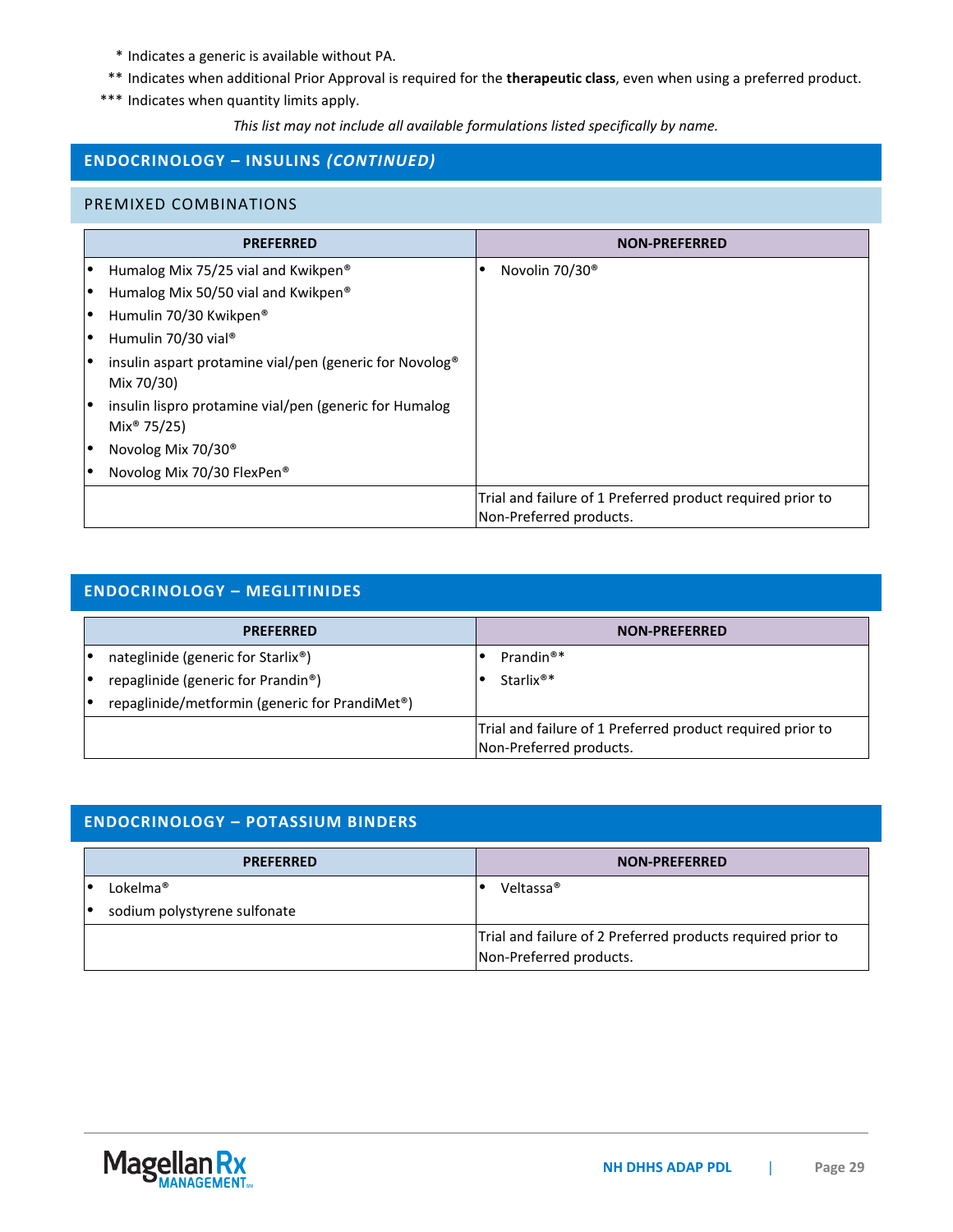- \* Indicates a generic is available without PA.
- \*\* Indicates when additional Prior Approval is required for the **therapeutic class**, even when using a preferred product.
- \*\*\* Indicates when quantity limits apply.

### <span id="page-28-0"></span>**ENDOCRINOLOGY – INSULINS** *(CONTINUED)*

#### PREMIXED COMBINATIONS

|           | <b>PREFERRED</b>                                                                  | <b>NON-PREFERRED</b>                                                                  |
|-----------|-----------------------------------------------------------------------------------|---------------------------------------------------------------------------------------|
|           | Humalog Mix 75/25 vial and Kwikpen®                                               | Novolin 70/30 <sup>®</sup>                                                            |
| і е       | Humalog Mix 50/50 vial and Kwikpen®                                               |                                                                                       |
| ∙         | Humulin 70/30 Kwikpen®                                                            |                                                                                       |
| $\bullet$ | Humulin 70/30 vial <sup>®</sup>                                                   |                                                                                       |
| і е       | insulin aspart protamine vial/pen (generic for Novolog <sup>®</sup><br>Mix 70/30) |                                                                                       |
| <b>10</b> | insulin lispro protamine vial/pen (generic for Humalog<br>Mix <sup>®</sup> 75/25) |                                                                                       |
| ∣•        | Novolog Mix 70/30 <sup>®</sup>                                                    |                                                                                       |
|           | Novolog Mix 70/30 FlexPen <sup>®</sup>                                            |                                                                                       |
|           |                                                                                   | Trial and failure of 1 Preferred product required prior to<br>Non-Preferred products. |

## <span id="page-28-1"></span>**ENDOCRINOLOGY – MEGLITINIDES**

|     | <b>PREFERRED</b>                                            | <b>NON-PREFERRED</b>                                       |
|-----|-------------------------------------------------------------|------------------------------------------------------------|
| ١c  | nateglinide (generic for Starlix®)                          | Prandin <sup>®*</sup>                                      |
| ı c | repaglinide (generic for Prandin®)                          | Starlix <sup>®*</sup>                                      |
| ı c | repaglinide/metformin (generic for PrandiMet <sup>®</sup> ) |                                                            |
|     |                                                             | Trial and failure of 1 Preferred product required prior to |
|     |                                                             | Non-Preferred products.                                    |

## <span id="page-28-2"></span>**ENDOCRINOLOGY – POTASSIUM BINDERS**

| <b>PREFERRED</b>                                                  | <b>NON-PREFERRED</b>                                                                   |
|-------------------------------------------------------------------|----------------------------------------------------------------------------------------|
| Lokelma <sup>®</sup><br>١c<br>sodium polystyrene sulfonate<br>∣ € | Veltassa <sup>®</sup>                                                                  |
|                                                                   | Trial and failure of 2 Preferred products required prior to<br>Non-Preferred products. |

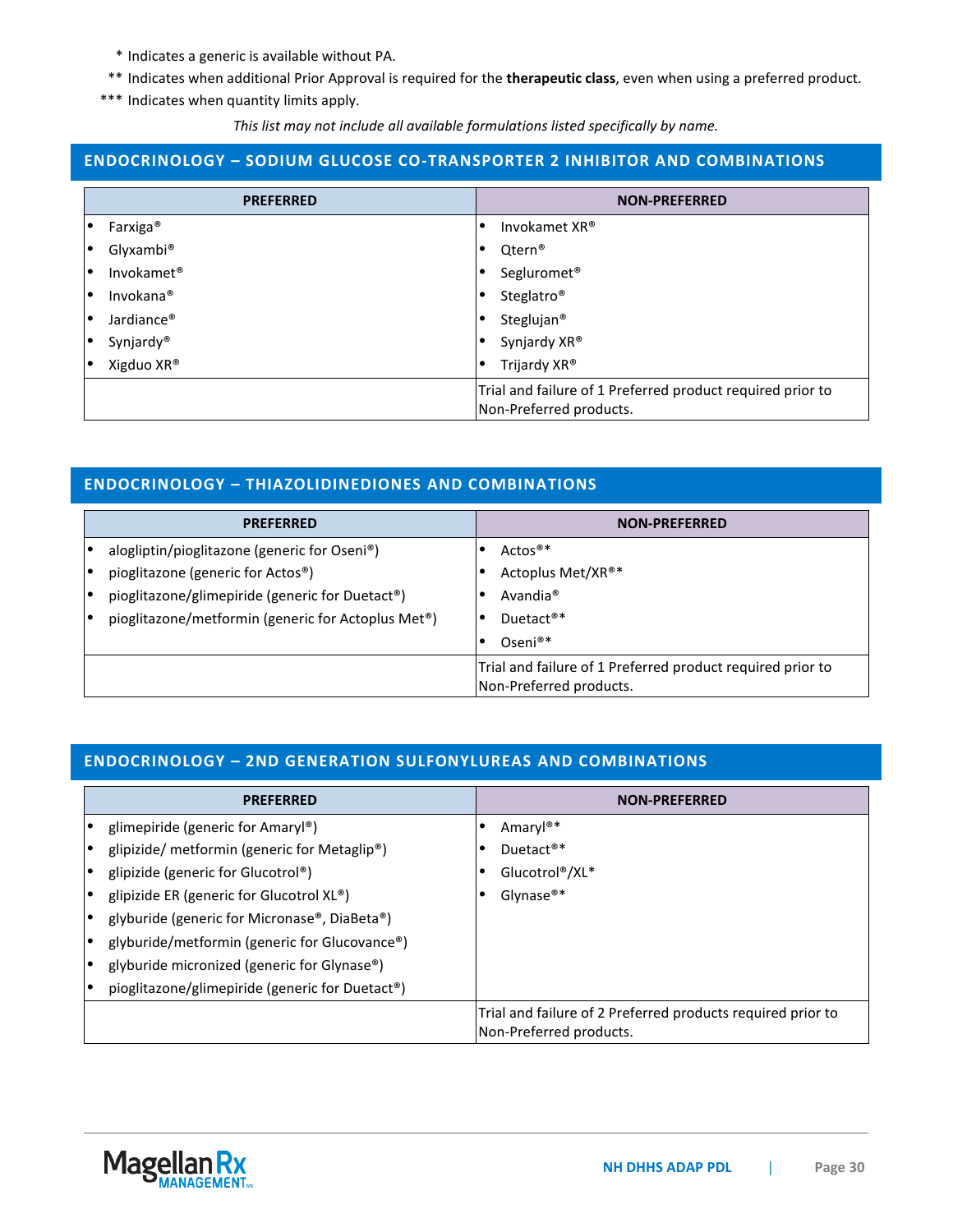- \* Indicates a generic is available without PA.
- \*\* Indicates when additional Prior Approval is required for the **therapeutic class**, even when using a preferred product.
- \*\*\* Indicates when quantity limits apply.

## <span id="page-29-0"></span>**ENDOCRINOLOGY – SODIUM GLUCOSE CO-TRANSPORTER 2 INHIBITOR AND COMBINATIONS**

| <b>PREFERRED</b>                    | <b>NON-PREFERRED</b>                                                                  |
|-------------------------------------|---------------------------------------------------------------------------------------|
| Farxiga <sup>®</sup><br>٠           | Invokamet XR®                                                                         |
| Glyxambi <sup>®</sup><br>$\bullet$  | $Q$ tern <sup>®</sup>                                                                 |
| Invokamet <sup>®</sup><br>$\bullet$ | Segluromet <sup>®</sup>                                                               |
| Invokana <sup>®</sup><br>∙          | Steglatro <sup>®</sup>                                                                |
| Jardiance <sup>®</sup><br>$\bullet$ | Steglujan <sup>®</sup>                                                                |
| Synjardy®<br>$\bullet$              | Synjardy XR®                                                                          |
| Xigduo XR®<br>$\bullet$             | Trijardy XR®                                                                          |
|                                     | Trial and failure of 1 Preferred product required prior to<br>Non-Preferred products. |

## <span id="page-29-1"></span>**ENDOCRINOLOGY – THIAZOLIDINEDIONES AND COMBINATIONS**

|     | <b>PREFERRED</b>                                                | <b>NON-PREFERRED</b>                                                                  |
|-----|-----------------------------------------------------------------|---------------------------------------------------------------------------------------|
|     | alogliptin/pioglitazone (generic for Oseni®)                    | $Actos^{\circ*}$                                                                      |
| I C | pioglitazone (generic for Actos®)                               | Actoplus Met/XR®*                                                                     |
| I C | pioglitazone/glimepiride (generic for Duetact®)                 | Avandia <sup>®</sup>                                                                  |
| I C | pioglitazone/metformin (generic for Actoplus Met <sup>®</sup> ) | Duetact <sup>®*</sup>                                                                 |
|     |                                                                 | Oseni <sup>®</sup>                                                                    |
|     |                                                                 | Trial and failure of 1 Preferred product required prior to<br>Non-Preferred products. |

#### <span id="page-29-2"></span>**ENDOCRINOLOGY – 2ND GENERATION SULFONYLUREAS AND COMBINATIONS**

|           | <b>PREFERRED</b>                                          | <b>NON-PREFERRED</b>                                        |
|-----------|-----------------------------------------------------------|-------------------------------------------------------------|
| ٠         | glimepiride (generic for Amaryl®)                         | Amaryl <sup>®*</sup>                                        |
| ٠         | glipizide/ metformin (generic for Metaglip <sup>®</sup> ) | Duetact <sup>®*</sup>                                       |
| $\bullet$ | glipizide (generic for Glucotrol <sup>®</sup> )           | Glucotrol <sup>®</sup> /XL <sup>*</sup>                     |
| $\bullet$ | glipizide ER (generic for Glucotrol XL®)                  | Glynase <sup>®*</sup>                                       |
| ٠         | glyburide (generic for Micronase®, DiaBeta®)              |                                                             |
| $\bullet$ | glyburide/metformin (generic for Glucovance®)             |                                                             |
| $\bullet$ | glyburide micronized (generic for Glynase®)               |                                                             |
| $\bullet$ | pioglitazone/glimepiride (generic for Duetact®)           |                                                             |
|           |                                                           | Trial and failure of 2 Preferred products required prior to |
|           |                                                           | Non-Preferred products.                                     |

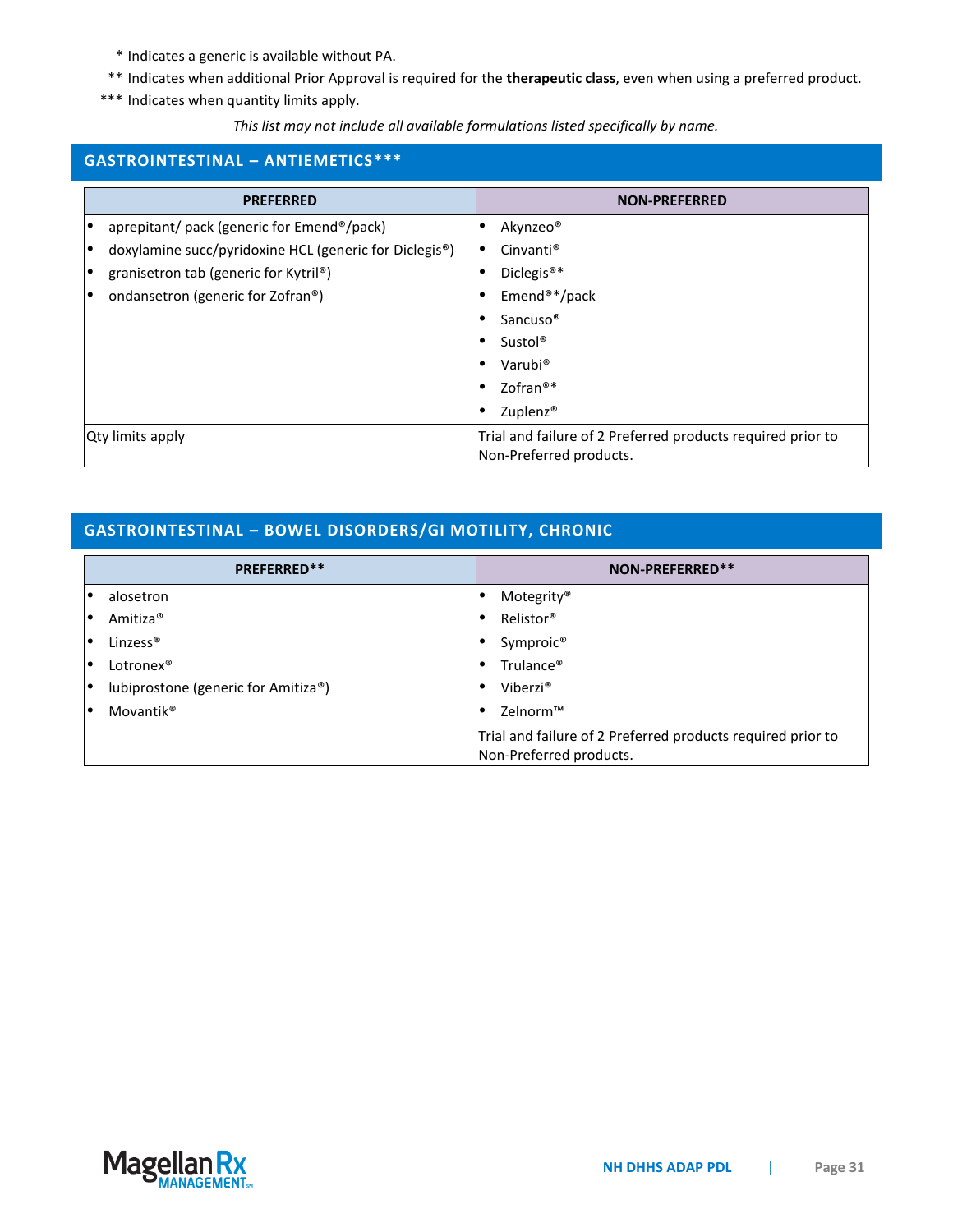- \* Indicates a generic is available without PA.
- \*\* Indicates when additional Prior Approval is required for the **therapeutic class**, even when using a preferred product.
- \*\*\* Indicates when quantity limits apply.

## <span id="page-30-0"></span>**GASTROINTESTINAL – ANTIEMETICS\*\*\***

|                         | <b>PREFERRED</b>                                       |           | <b>NON-PREFERRED</b>                                                                   |
|-------------------------|--------------------------------------------------------|-----------|----------------------------------------------------------------------------------------|
| $\bullet$               | aprepitant/ pack (generic for Emend®/pack)             |           | Akynzeo®                                                                               |
| ∙                       | doxylamine succ/pyridoxine HCL (generic for Diclegis®) | $\bullet$ | Cinvanti <sup>®</sup>                                                                  |
| lo                      | granisetron tab (generic for Kytril®)                  |           | Diclegis <sup>®*</sup>                                                                 |
| ∣ ●                     | ondansetron (generic for Zofran <sup>®</sup> )         |           | Emend <sup>®*</sup> /pack                                                              |
|                         |                                                        |           | Sancuso <sup>®</sup>                                                                   |
|                         |                                                        |           | Sustol <sup>®</sup>                                                                    |
|                         |                                                        |           | Varubi <sup>®</sup>                                                                    |
|                         |                                                        |           | Zofran <sup>®*</sup>                                                                   |
|                         |                                                        |           | Zuplenz®                                                                               |
| <b>Qty limits apply</b> |                                                        |           | Trial and failure of 2 Preferred products required prior to<br>Non-Preferred products. |

### <span id="page-30-1"></span>**GASTROINTESTINAL – BOWEL DISORDERS/GI MOTILITY, CHRONIC**

|     | PREFERRED**                         | NON-PREFERRED**                                             |
|-----|-------------------------------------|-------------------------------------------------------------|
|     | alosetron                           | Motegrity <sup>®</sup>                                      |
| ∣•  | Amitiza <sup>®</sup>                | Relistor®                                                   |
| ∣ ● | Linzess <sup>®</sup>                | Symproic <sup>®</sup>                                       |
| ∣•  | Lotronex®                           | Trulance <sup>®</sup>                                       |
| ∣•  | lubiprostone (generic for Amitiza®) | Viberzi <sup>®</sup>                                        |
| ∣●  | Movantik <sup>®</sup>               | Zelnorm™                                                    |
|     |                                     | Trial and failure of 2 Preferred products required prior to |
|     |                                     | Non-Preferred products.                                     |

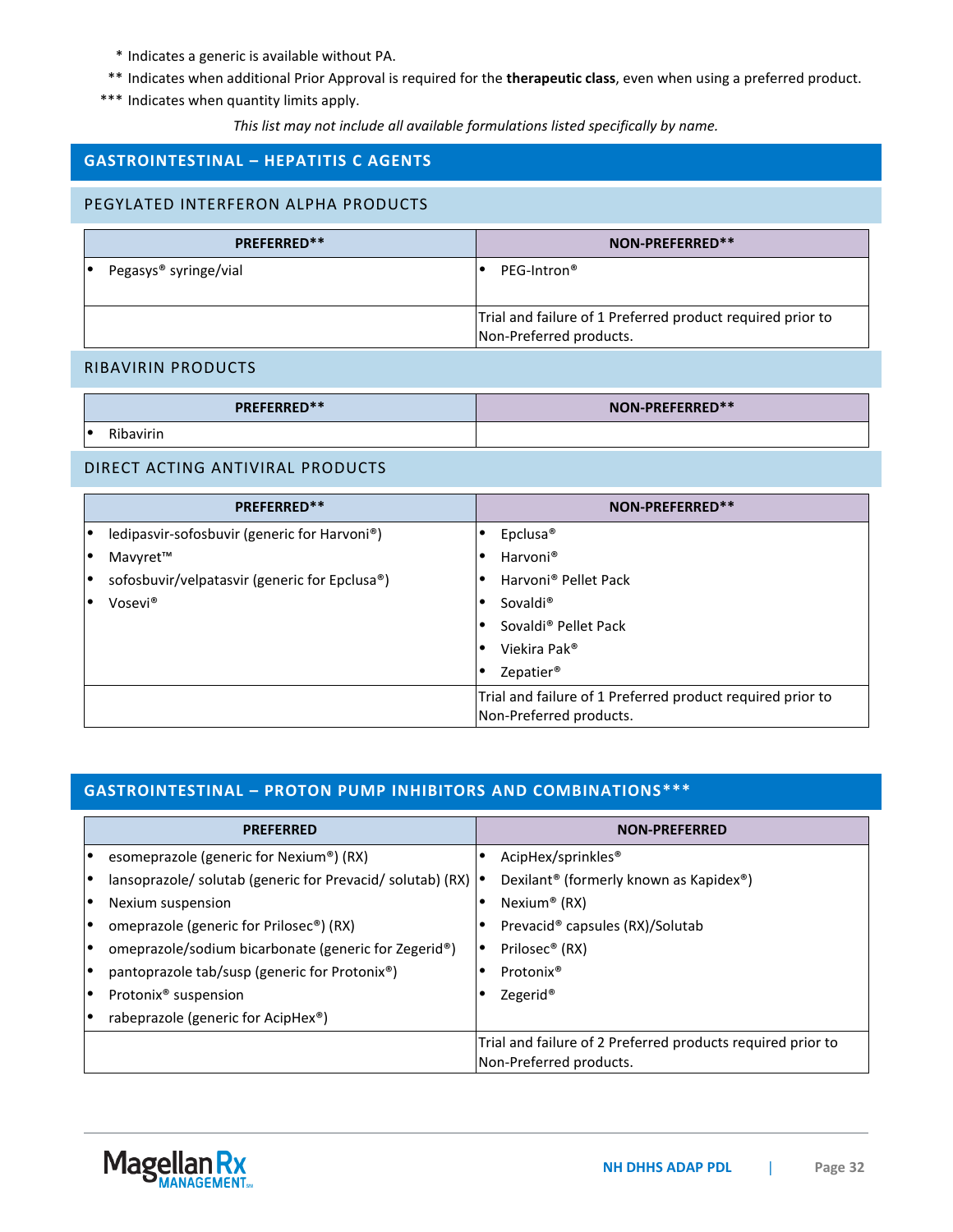- \* Indicates a generic is available without PA.
- \*\* Indicates when additional Prior Approval is required for the **therapeutic class**, even when using a preferred product.
- \*\*\* Indicates when quantity limits apply.

## <span id="page-31-0"></span>**GASTROINTESTINAL – HEPATITIS C AGENTS**

#### PEGYLATED INTERFERON ALPHA PRODUCTS

| PREFERRED**                              | NON-PREFERRED**                                                                       |
|------------------------------------------|---------------------------------------------------------------------------------------|
| Pegasys <sup>®</sup> syringe/vial<br>∣ ● | PEG-Intron®                                                                           |
|                                          | Trial and failure of 1 Preferred product required prior to<br>Non-Preferred products. |

#### RIBAVIRIN PRODUCTS

| <b>PREFERRED**</b> | NON-PREFERRED** |
|--------------------|-----------------|
| Ribavirin          |                 |

#### DIRECT ACTING ANTIVIRAL PRODUCTS

|           | PREFERRED**                                   | NON-PREFERRED**                                            |
|-----------|-----------------------------------------------|------------------------------------------------------------|
| і е       | ledipasvir-sofosbuvir (generic for Harvoni®)  | Epclusa <sup>®</sup>                                       |
| ∣ ●       | Mavyret™                                      | Harvoni <sup>®</sup>                                       |
| ∙         | sofosbuvir/velpatasvir (generic for Epclusa®) | Harvoni <sup>®</sup> Pellet Pack                           |
| $\bullet$ | Vosevi <sup>®</sup>                           | Sovaldi <sup>®</sup>                                       |
|           |                                               | Sovaldi <sup>®</sup> Pellet Pack                           |
|           |                                               | Viekira Pak <sup>®</sup>                                   |
|           |                                               | Zepatier <sup>®</sup>                                      |
|           |                                               | Trial and failure of 1 Preferred product required prior to |
|           |                                               | Non-Preferred products.                                    |

### <span id="page-31-1"></span>**GASTROINTESTINAL – PROTON PUMP INHIBITORS AND COMBINATIONS\*\*\***

|           | <b>PREFERRED</b>                                               | <b>NON-PREFERRED</b>                                            |
|-----------|----------------------------------------------------------------|-----------------------------------------------------------------|
|           | esomeprazole (generic for Nexium®) (RX)                        | AcipHex/sprinkles <sup>®</sup>                                  |
| I C       | lansoprazole/ solutab (generic for Prevacid/ solutab) (RX)   • | Dexilant <sup>®</sup> (formerly known as Kapidex <sup>®</sup> ) |
| і е       | Nexium suspension                                              | Nexium <sup>®</sup> (RX)                                        |
| l C       | omeprazole (generic for Prilosec <sup>®</sup> ) (RX)           | Prevacid® capsules (RX)/Solutab                                 |
| ∣●        | omeprazole/sodium bicarbonate (generic for Zegerid®)           | Prilosec <sup>®</sup> (RX)                                      |
| ∣ ●       | pantoprazole tab/susp (generic for Protonix <sup>®</sup> )     | Protonix <sup>®</sup>                                           |
| <b>10</b> | Protonix <sup>®</sup> suspension                               | Zegerid <sup>®</sup>                                            |
| l C       | rabeprazole (generic for AcipHex®)                             |                                                                 |
|           |                                                                | Trial and failure of 2 Preferred products required prior to     |
|           |                                                                | Non-Preferred products.                                         |

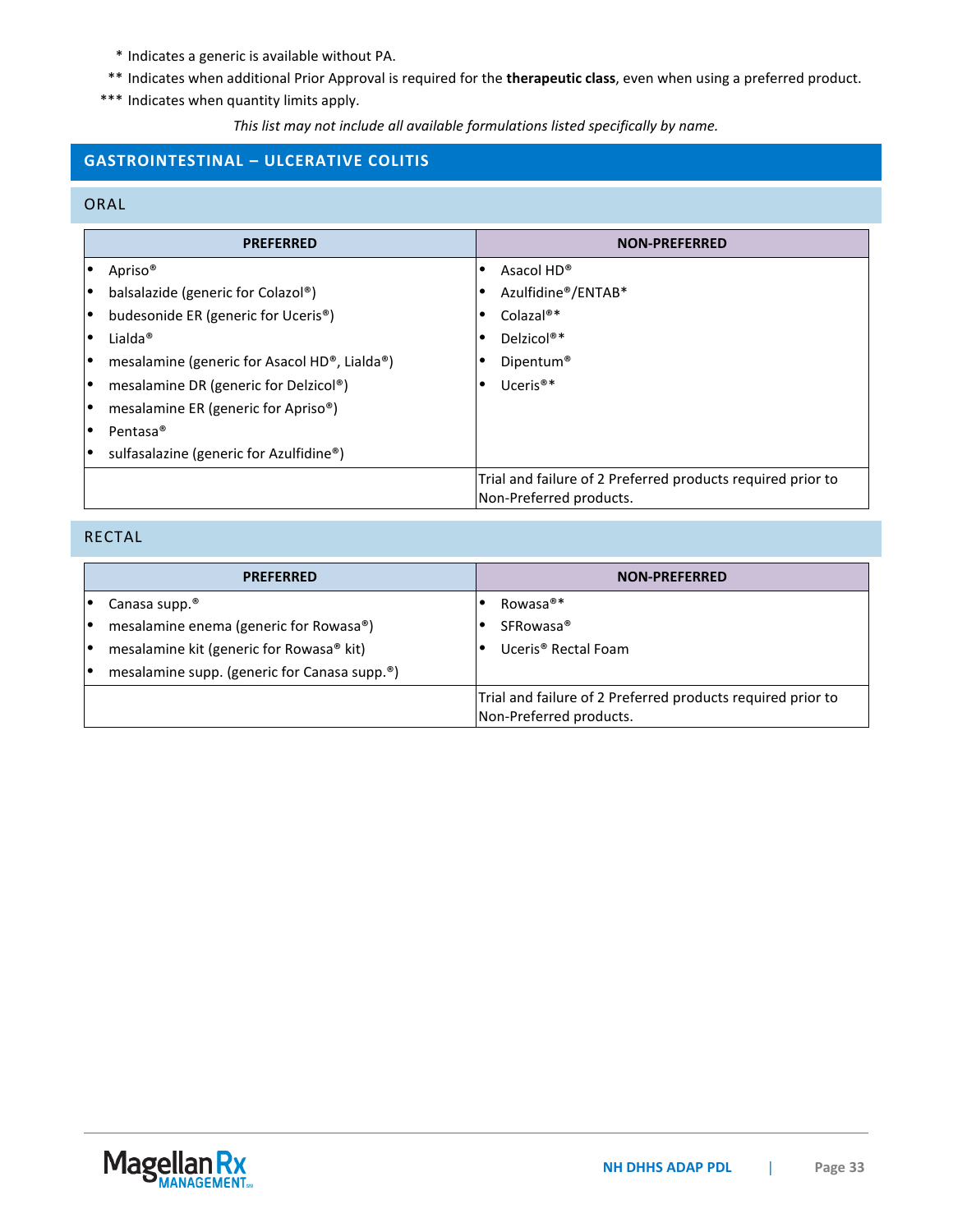- \* Indicates a generic is available without PA.
- \*\* Indicates when additional Prior Approval is required for the **therapeutic class**, even when using a preferred product.
- \*\*\* Indicates when quantity limits apply.

## <span id="page-32-0"></span>**GASTROINTESTINAL – ULCERATIVE COLITIS**

#### ORAL

|           | <b>PREFERRED</b>                                 | <b>NON-PREFERRED</b>                                        |
|-----------|--------------------------------------------------|-------------------------------------------------------------|
| ٠         | Apriso <sup>®</sup>                              | Asacol HD®                                                  |
| ٠         | balsalazide (generic for Colazol®)               | Azulfidine®/ENTAB*                                          |
| ٠         | budesonide ER (generic for Uceris <sup>®</sup> ) | Colazal <sup>®*</sup>                                       |
| $\bullet$ | Lialda <sup>®</sup>                              | Delzicol®*                                                  |
| $\bullet$ | mesalamine (generic for Asacol HD®, Lialda®)     | Dipentum <sup>®</sup>                                       |
| $\bullet$ | mesalamine DR (generic for Delzicol®)            | Uceris <sup>®*</sup>                                        |
| $\bullet$ | mesalamine ER (generic for Apriso <sup>®</sup> ) |                                                             |
| $\bullet$ | Pentasa <sup>®</sup>                             |                                                             |
| ٠         | sulfasalazine (generic for Azulfidine®)          |                                                             |
|           |                                                  | Trial and failure of 2 Preferred products required prior to |
|           |                                                  | Non-Preferred products.                                     |

## RECTAL

| <b>PREFERRED</b>                                          | <b>NON-PREFERRED</b>                                                                   |
|-----------------------------------------------------------|----------------------------------------------------------------------------------------|
| Canasa supp. <sup>®</sup>                                 | Rowasa <sup>®*</sup>                                                                   |
| mesalamine enema (generic for Rowasa®)                    | SFRowasa <sup>®</sup>                                                                  |
| mesalamine kit (generic for Rowasa® kit)                  | Uceris <sup>®</sup> Rectal Foam                                                        |
| mesalamine supp. (generic for Canasa supp. <sup>®</sup> ) |                                                                                        |
|                                                           | Trial and failure of 2 Preferred products required prior to<br>Non-Preferred products. |

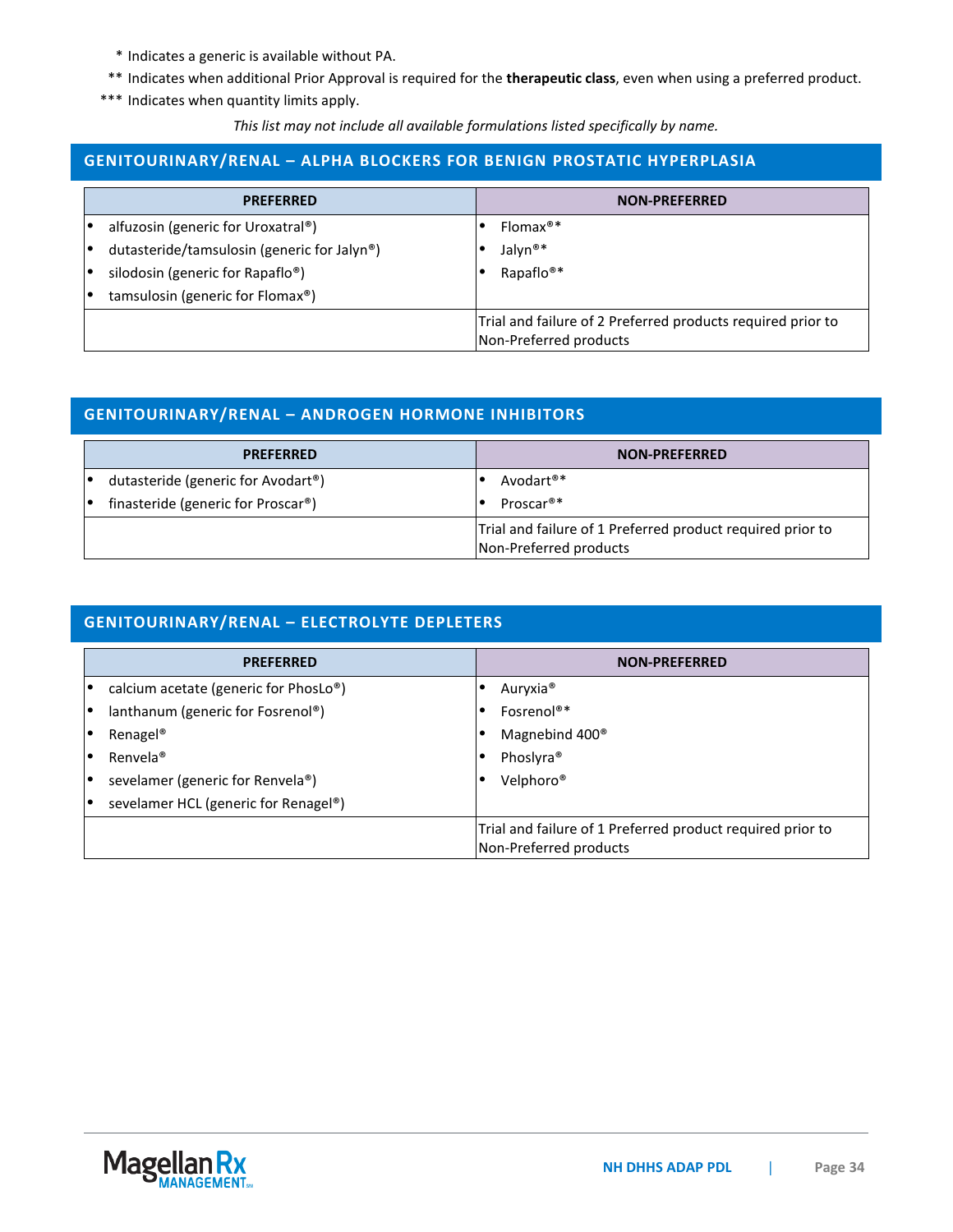- \* Indicates a generic is available without PA.
- \*\* Indicates when additional Prior Approval is required for the **therapeutic class**, even when using a preferred product.
- \*\*\* Indicates when quantity limits apply.

### <span id="page-33-0"></span>**GENITOURINARY/RENAL – ALPHA BLOCKERS FOR BENIGN PROSTATIC HYPERPLASIA**

| <b>PREFERRED</b>                              | <b>NON-PREFERRED</b>                                        |
|-----------------------------------------------|-------------------------------------------------------------|
| alfuzosin (generic for Uroxatral®)            | $Flomax^{\circ\ast}$                                        |
| dutasteride/tamsulosin (generic for Jalyn®)   | Jalyn <sup>®*</sup>                                         |
| silodosin (generic for Rapaflo <sup>®</sup> ) | Rapaflo <sup>®*</sup>                                       |
| tamsulosin (generic for Flomax®)              |                                                             |
|                                               | Trial and failure of 2 Preferred products required prior to |
|                                               | Non-Preferred products                                      |

## <span id="page-33-1"></span>**GENITOURINARY/RENAL – ANDROGEN HORMONE INHIBITORS**

| <b>PREFERRED</b>                          | <b>NON-PREFERRED</b>                                                                 |
|-------------------------------------------|--------------------------------------------------------------------------------------|
| dutasteride (generic for Avodart®)<br>∣ ● | Avodart <sup>®*</sup>                                                                |
| finasteride (generic for Proscar®)<br>∣ ● | Proscar <sup>®*</sup>                                                                |
|                                           | Trial and failure of 1 Preferred product required prior to<br>Non-Preferred products |

## <span id="page-33-2"></span>**GENITOURINARY/RENAL – ELECTROLYTE DEPLETERS**

|           | <b>PREFERRED</b>                                   | <b>NON-PREFERRED</b>                                       |
|-----------|----------------------------------------------------|------------------------------------------------------------|
| $\bullet$ | calcium acetate (generic for PhosLo <sup>®</sup> ) | Auryxia <sup>®</sup>                                       |
| ه ا       | lanthanum (generic for Fosrenol®)                  | Fosrenol <sup>®*</sup>                                     |
| ∣ ●       | Renagel <sup>®</sup>                               | Magnebind 400 <sup>®</sup>                                 |
| ∣ ●       | Renvela <sup>®</sup>                               | Phoslyra <sup>®</sup>                                      |
| ∣ ●       | sevelamer (generic for Renvela®)                   | Velphoro <sup>®</sup>                                      |
| і е       | sevelamer HCL (generic for Renagel®)               |                                                            |
|           |                                                    | Trial and failure of 1 Preferred product required prior to |
|           |                                                    | Non-Preferred products                                     |

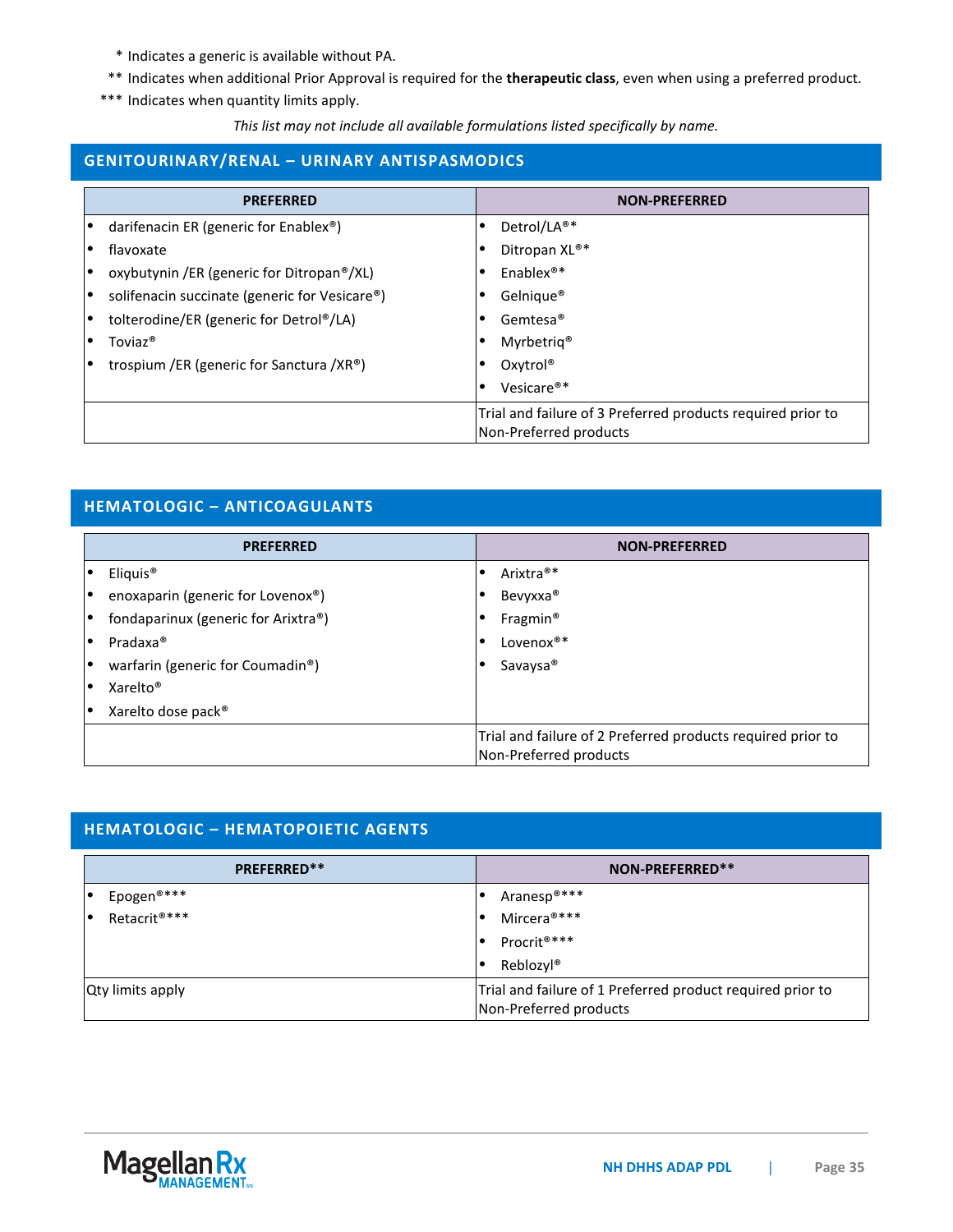- \* Indicates a generic is available without PA.
- \*\* Indicates when additional Prior Approval is required for the **therapeutic class**, even when using a preferred product.
- \*\*\* Indicates when quantity limits apply.

### <span id="page-34-0"></span>**GENITOURINARY/RENAL – URINARY ANTISPASMODICS**

|           | <b>PREFERRED</b>                                           | <b>NON-PREFERRED</b>                                                                  |
|-----------|------------------------------------------------------------|---------------------------------------------------------------------------------------|
|           | darifenacin ER (generic for Enablex <sup>®</sup> )         | Detrol/LA <sup>®*</sup>                                                               |
| O         | flavoxate                                                  | Ditropan XL®*                                                                         |
| l         | oxybutynin /ER (generic for Ditropan®/XL)                  | Enablex <sup>®*</sup>                                                                 |
| ∙         | solifenacin succinate (generic for Vesicare <sup>®</sup> ) | Gelnique <sup>®</sup>                                                                 |
| $\bullet$ | tolterodine/ER (generic for Detrol®/LA)                    | Gemtesa <sup>®</sup>                                                                  |
| $\bullet$ | Toviaz <sup>®</sup>                                        | Myrbetrig <sup>®</sup><br>٠                                                           |
|           | trospium /ER (generic for Sanctura /XR <sup>®</sup> )      | Oxytrol <sup>®</sup>                                                                  |
|           |                                                            | Vesicare <sup>®*</sup>                                                                |
|           |                                                            | Trial and failure of 3 Preferred products required prior to<br>Non-Preferred products |

## <span id="page-34-1"></span>**HEMATOLOGIC – ANTICOAGULANTS**

| <b>PREFERRED</b>                              | <b>NON-PREFERRED</b>                                                                  |
|-----------------------------------------------|---------------------------------------------------------------------------------------|
| Eliquis <sup>®</sup>                          | Arixtra <sup>®*</sup>                                                                 |
| enoxaparin (generic for Lovenox®)             | Bevyxxa <sup>®</sup>                                                                  |
| fondaparinux (generic for Arixtra®)           | Fragmin <sup>®</sup>                                                                  |
| Pradaxa <sup>®</sup>                          | Lovenox®*                                                                             |
| warfarin (generic for Coumadin <sup>®</sup> ) | Savaysa <sup>®</sup>                                                                  |
| Xarelto <sup>®</sup>                          |                                                                                       |
| Xarelto dose pack <sup>®</sup>                |                                                                                       |
|                                               | Trial and failure of 2 Preferred products required prior to<br>Non-Preferred products |
|                                               |                                                                                       |

### <span id="page-34-2"></span>**HEMATOLOGIC – HEMATOPOIETIC AGENTS**

| PREFERRED**             | NON-PREFERRED**                                                                      |
|-------------------------|--------------------------------------------------------------------------------------|
| Epogen®***<br>∣ ●       | Aranesp <sup>®***</sup>                                                              |
| Retacrit®***<br>∣ ●     | Mircera <sup>®***</sup>                                                              |
|                         | Procrit®***                                                                          |
|                         | Reblozyl®                                                                            |
| <b>Qty limits apply</b> | Trial and failure of 1 Preferred product required prior to<br>Non-Preferred products |

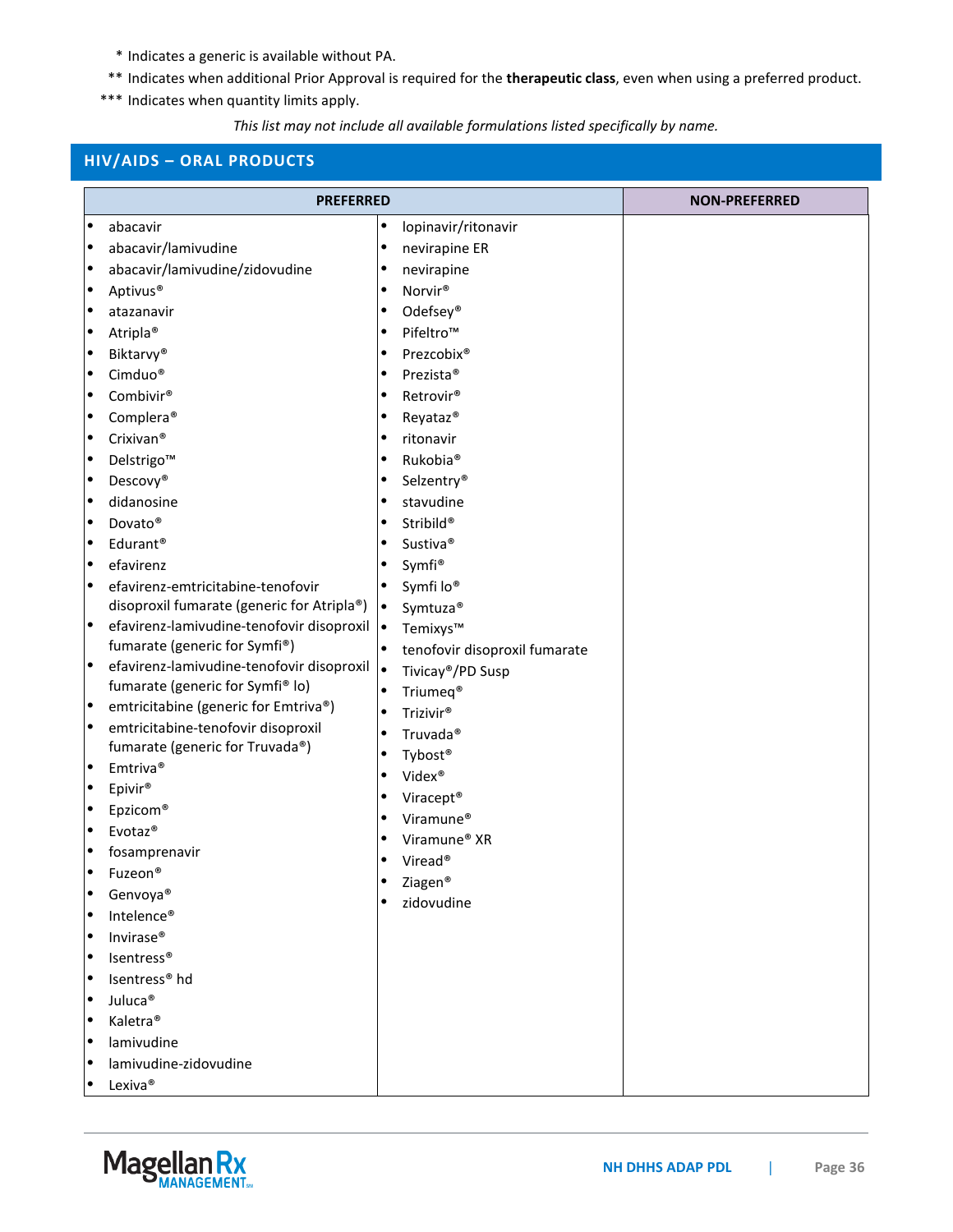- \* Indicates a generic is available without PA.
- \*\* Indicates when additional Prior Approval is required for the **therapeutic class**, even when using a preferred product.
- \*\*\* Indicates when quantity limits apply.

### <span id="page-35-0"></span>**HIV/AIDS – ORAL PRODUCTS**

|           | <b>PREFERRED</b>                            |                                            | <b>NON-PREFERRED</b> |
|-----------|---------------------------------------------|--------------------------------------------|----------------------|
| $\bullet$ | abacavir                                    | $\bullet$<br>lopinavir/ritonavir           |                      |
| $\bullet$ | abacavir/lamivudine                         | $\bullet$<br>nevirapine ER                 |                      |
| $\bullet$ | abacavir/lamivudine/zidovudine              | $\bullet$<br>nevirapine                    |                      |
| l•        | Aptivus <sup>®</sup>                        | Norvir <sup>®</sup><br>$\bullet$           |                      |
| lo        | atazanavir                                  | Odefsey <sup>®</sup><br>$\bullet$          |                      |
| $\bullet$ | Atripla <sup>®</sup>                        | Pifeltro™<br>$\bullet$                     |                      |
| $\bullet$ | <b>Biktarvy®</b>                            | Prezcobix <sup>®</sup><br>$\bullet$        |                      |
| lo        | Cimduo <sup>®</sup>                         | Prezista <sup>®</sup><br>$\bullet$         |                      |
| $\bullet$ | Combivir <sup>®</sup>                       | Retrovir <sup>®</sup><br>$\bullet$         |                      |
| $\bullet$ | Complera <sup>®</sup>                       | Reyataz <sup>®</sup><br>$\bullet$          |                      |
| $\bullet$ | Crixivan <sup>®</sup>                       | ritonavir<br>$\bullet$                     |                      |
| l•        | Delstrigo™                                  | Rukobia <sup>®</sup><br>$\bullet$          |                      |
| lo        | Descovy®                                    | Selzentry®<br>$\bullet$                    |                      |
| lo        | didanosine                                  | stavudine<br>$\bullet$                     |                      |
| $\bullet$ | Dovato <sup>®</sup>                         | Stribild®<br>$\bullet$                     |                      |
| lo        | Edurant <sup>®</sup>                        | Sustiva <sup>®</sup><br>$\bullet$          |                      |
| $\bullet$ | efavirenz                                   | Symfi <sup>®</sup><br>$\bullet$            |                      |
| $\bullet$ | efavirenz-emtricitabine-tenofovir           | Symfi lo®<br>$\bullet$                     |                      |
|           | disoproxil fumarate (generic for Atripla®)  | Symtuza <sup>®</sup><br>$\bullet$          |                      |
| $\bullet$ | efavirenz-lamivudine-tenofovir disoproxil   | ١۰<br>Temixys™                             |                      |
|           | fumarate (generic for Symfi®)               | $\bullet$<br>tenofovir disoproxil fumarate |                      |
| l•        | efavirenz-lamivudine-tenofovir disoproxil   | I۰<br>Tivicay®/PD Susp                     |                      |
|           | fumarate (generic for Symfi® lo)            | $\bullet$<br>Triumeq <sup>®</sup>          |                      |
| l•        | emtricitabine (generic for Emtriva®)        | Trizivir <sup>®</sup><br>$\bullet$         |                      |
| l•        | emtricitabine-tenofovir disoproxil          | $\bullet$<br>Truvada®                      |                      |
| $\bullet$ | fumarate (generic for Truvada®)             | $\bullet$<br>Tybost <sup>®</sup>           |                      |
| lo        | Emtriva <sup>®</sup>                        | Videx®<br>$\bullet$                        |                      |
| $\bullet$ | Epivir <sup>®</sup>                         | $\bullet$<br>Viracept <sup>®</sup>         |                      |
| $\bullet$ | Epzicom <sup>®</sup><br>Evotaz <sup>®</sup> | Viramune <sup>®</sup><br>$\bullet$         |                      |
| l•        | fosamprenavir                               | Viramune <sup>®</sup> XR<br>$\bullet$      |                      |
| $\bullet$ | Fuzeon®                                     | Viread <sup>®</sup><br>$\bullet$           |                      |
| $\bullet$ | Genvoya®                                    | Ziagen <sup>®</sup><br>$\bullet$           |                      |
| l•        | Intelence®                                  | zidovudine<br>$\bullet$                    |                      |
| $\bullet$ | Invirase®                                   |                                            |                      |
| $\bullet$ | <b>Isentress®</b>                           |                                            |                      |
| lo        | Isentress <sup>®</sup> hd                   |                                            |                      |
| $\bullet$ | Juluca <sup>®</sup>                         |                                            |                      |
| lo        | Kaletra <sup>®</sup>                        |                                            |                      |
| $\bullet$ | lamivudine                                  |                                            |                      |
|           | lamivudine-zidovudine                       |                                            |                      |
|           | Lexiva <sup>®</sup>                         |                                            |                      |

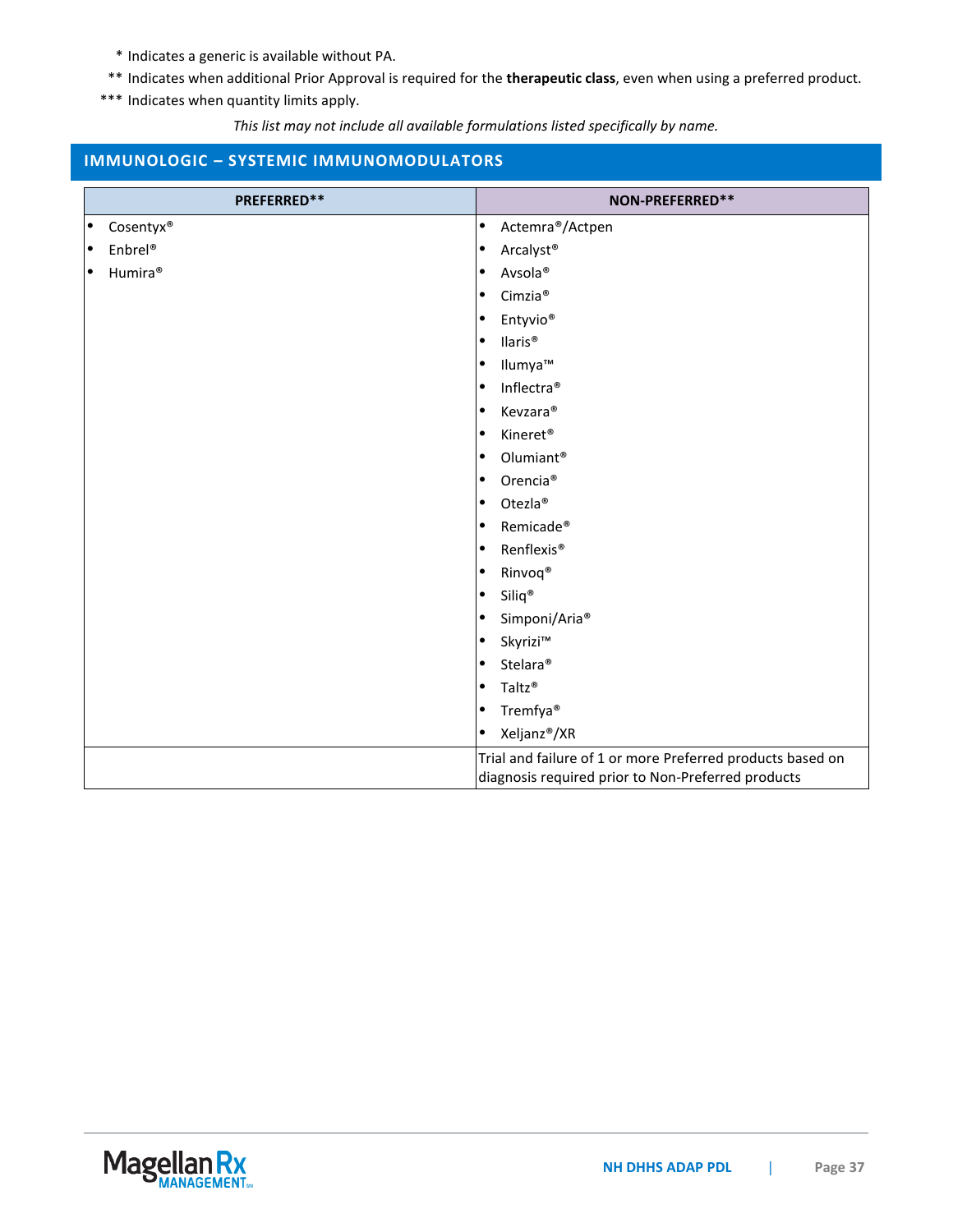- \* Indicates a generic is available without PA.
- \*\* Indicates when additional Prior Approval is required for the **therapeutic class**, even when using a preferred product.
- \*\*\* Indicates when quantity limits apply.

<span id="page-36-0"></span>

| <b>IMMUNOLOGIC - SYSTEMIC IMMUNOMODULATORS</b> |                                                            |  |
|------------------------------------------------|------------------------------------------------------------|--|
| PREFERRED**                                    | NON-PREFERRED**                                            |  |
| Cosentyx®<br>$\bullet$                         | Actemra®/Actpen<br>$\bullet$                               |  |
| Enbrel <sup>®</sup><br>٠                       | Arcalyst <sup>®</sup><br>$\bullet$                         |  |
| Humira <sup>®</sup><br>$\bullet$               | Avsola®<br>٠                                               |  |
|                                                | Cimzia <sup>®</sup>                                        |  |
|                                                | Entyvio <sup>®</sup><br>$\bullet$                          |  |
|                                                | Ilaris <sup>®</sup><br>٠                                   |  |
|                                                | Ilumya™<br>$\bullet$                                       |  |
|                                                | Inflectra <sup>®</sup><br>$\bullet$                        |  |
|                                                | Kevzara®<br>$\bullet$                                      |  |
|                                                | Kineret <sup>®</sup><br>٠                                  |  |
|                                                | Olumiant <sup>®</sup><br>$\bullet$                         |  |
|                                                | Orencia <sup>®</sup><br>٠                                  |  |
|                                                | Otezla <sup>®</sup><br>٠                                   |  |
|                                                | Remicade <sup>®</sup><br>٠                                 |  |
|                                                | Renflexis <sup>®</sup><br>$\bullet$                        |  |
|                                                | Rinvoq <sup>®</sup><br>$\bullet$                           |  |
|                                                | Siliq <sup>®</sup><br>$\bullet$                            |  |
|                                                | Simponi/Aria <sup>®</sup><br>$\bullet$                     |  |
|                                                | Skyrizi™<br>$\bullet$                                      |  |
|                                                | Stelara <sup>®</sup><br>$\bullet$                          |  |
|                                                | Taltz <sup>®</sup><br>$\bullet$                            |  |
|                                                | Tremfya <sup>®</sup><br>$\bullet$                          |  |
|                                                | Xeljanz®/XR<br>٠                                           |  |
|                                                | Trial and failure of 1 or more Preferred products based on |  |
|                                                | diagnosis required prior to Non-Preferred products         |  |

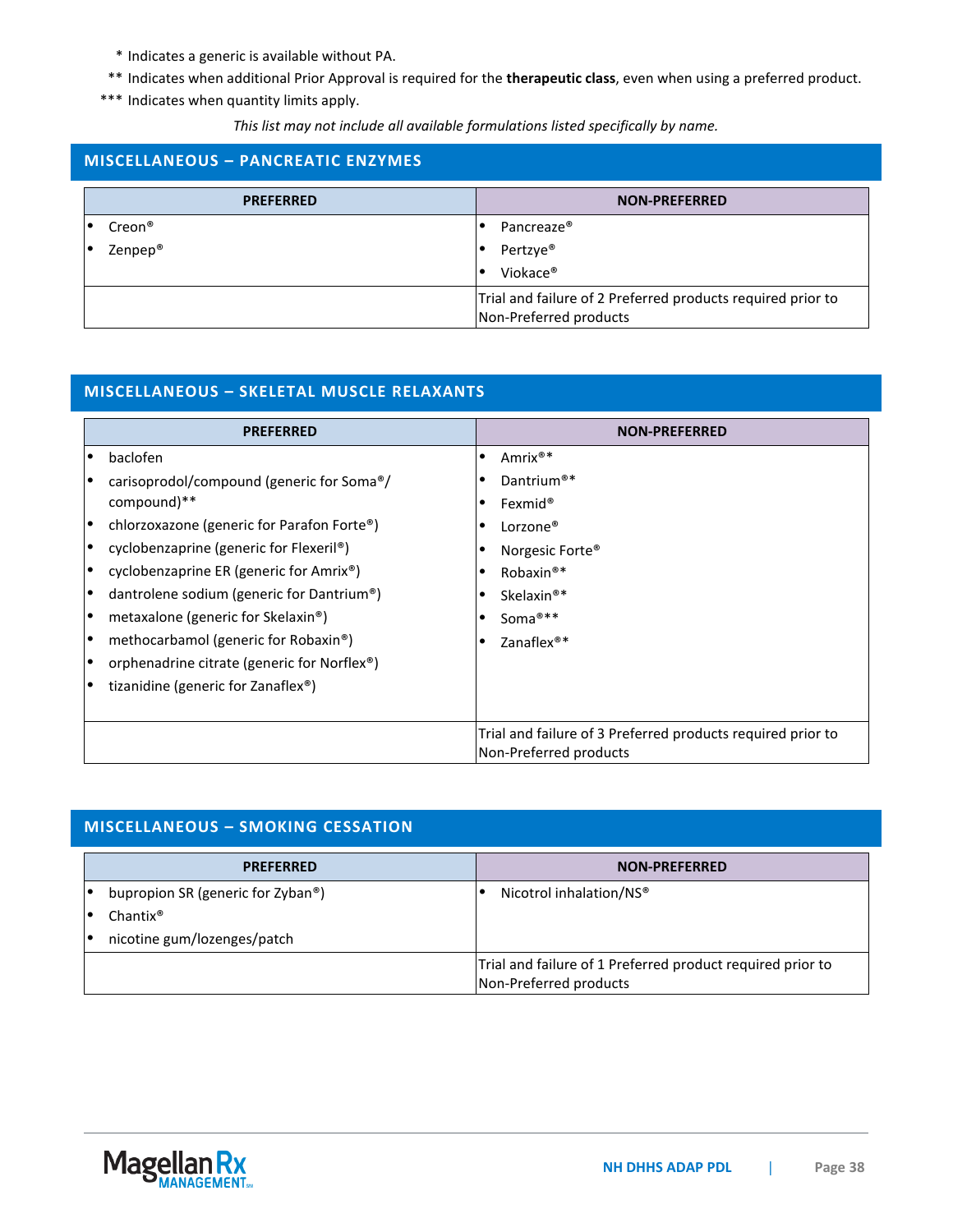- \* Indicates a generic is available without PA.
- \*\* Indicates when additional Prior Approval is required for the **therapeutic class**, even when using a preferred product.
- \*\*\* Indicates when quantity limits apply.

<span id="page-37-0"></span>

| <b>MISCELLANEOUS - PANCREATIC ENZYMES</b> |                    |                                                                                       |
|-------------------------------------------|--------------------|---------------------------------------------------------------------------------------|
|                                           | <b>PREFERRED</b>   | <b>NON-PREFERRED</b>                                                                  |
|                                           | Creon <sup>®</sup> | Pancreaze <sup>®</sup>                                                                |
|                                           | Zenpep®            | Pertzye <sup>®</sup>                                                                  |
|                                           |                    | Viokace®                                                                              |
|                                           |                    | Trial and failure of 2 Preferred products required prior to<br>Non-Preferred products |

#### <span id="page-37-1"></span>**MISCELLANEOUS – SKELETAL MUSCLE RELAXANTS**

|           | <b>PREFERRED</b>                                         |   | <b>NON-PREFERRED</b>                                        |
|-----------|----------------------------------------------------------|---|-------------------------------------------------------------|
| $\bullet$ | baclofen                                                 | ٠ | Amrix <sup>®*</sup>                                         |
|           | carisoprodol/compound (generic for Soma®/                |   | Dantrium <sup>®*</sup>                                      |
|           | compound)**                                              |   | Fexmid <sup>®</sup>                                         |
| $\bullet$ | chlorzoxazone (generic for Parafon Forte®)               |   | Lorzone <sup>®</sup>                                        |
| $\bullet$ | cyclobenzaprine (generic for Flexeril <sup>®</sup> )     |   | Norgesic Forte <sup>®</sup>                                 |
| $\bullet$ | cyclobenzaprine ER (generic for Amrix®)                  |   | Robaxin <sup>®*</sup>                                       |
| $\bullet$ | dantrolene sodium (generic for Dantrium®)                |   | Skelaxin <sup>®*</sup>                                      |
|           | metaxalone (generic for Skelaxin <sup>®</sup> )          |   | Soma <sup>®**</sup>                                         |
| $\bullet$ | methocarbamol (generic for Robaxin <sup>®</sup> )        |   | Zanaflex <sup>®*</sup>                                      |
|           | orphenadrine citrate (generic for Norflex <sup>®</sup> ) |   |                                                             |
|           | tizanidine (generic for Zanaflex <sup>®</sup> )          |   |                                                             |
|           |                                                          |   |                                                             |
|           |                                                          |   | Trial and failure of 3 Preferred products required prior to |
|           |                                                          |   | Non-Preferred products                                      |

<span id="page-37-2"></span>

| <b>MISCELLANEOUS - SMOKING CESSATION</b> |                                                                           |                                                                                      |
|------------------------------------------|---------------------------------------------------------------------------|--------------------------------------------------------------------------------------|
| <b>PREFERRED</b>                         |                                                                           | <b>NON-PREFERRED</b>                                                                 |
| ∣•                                       | bupropion SR (generic for Zyban <sup>®</sup> )<br>$Chantix^{\circledast}$ | Nicotrol inhalation/NS <sup>®</sup>                                                  |
|                                          | nicotine gum/lozenges/patch                                               |                                                                                      |
|                                          |                                                                           | Trial and failure of 1 Preferred product required prior to<br>Non-Preferred products |

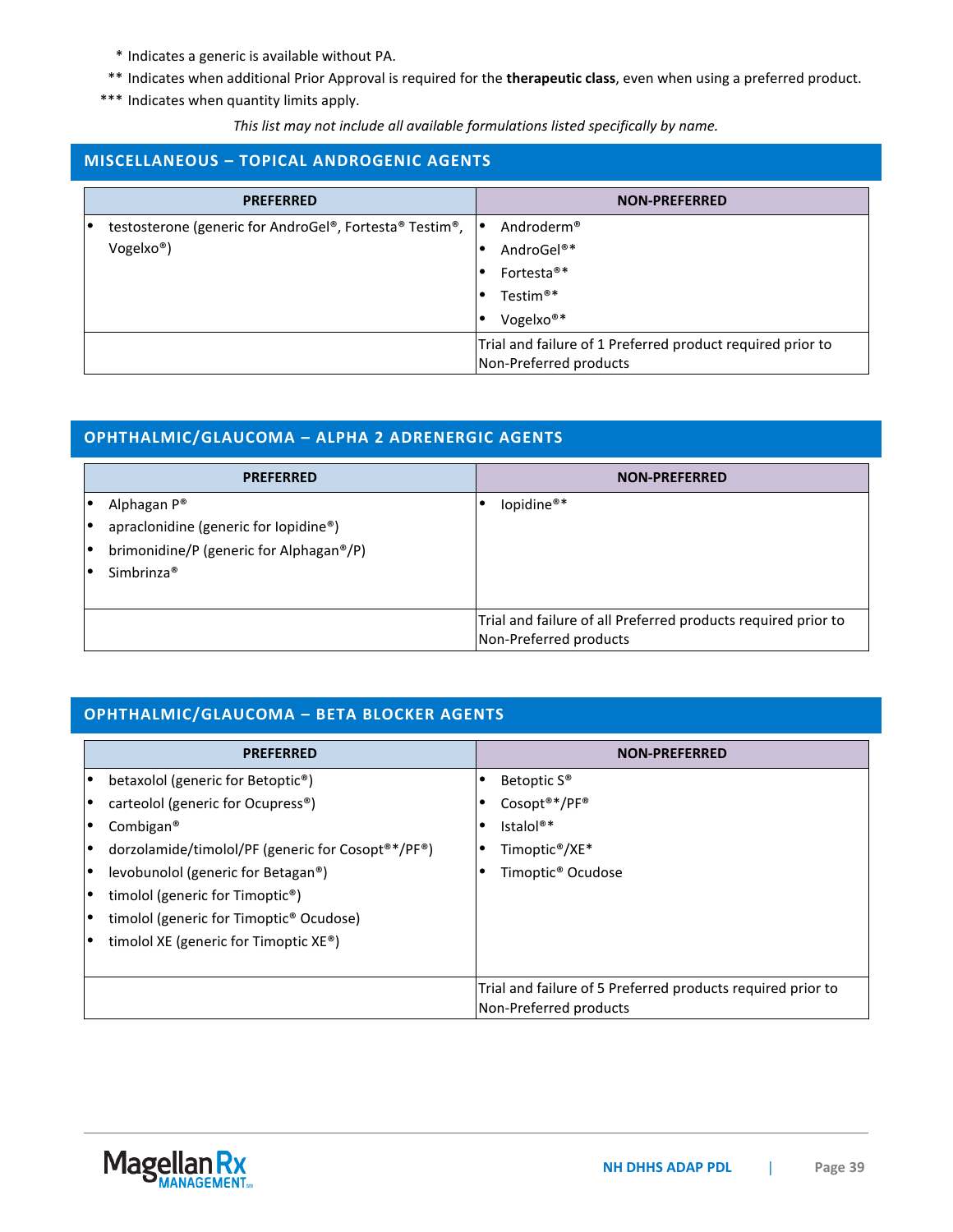- \* Indicates a generic is available without PA.
- \*\* Indicates when additional Prior Approval is required for the **therapeutic class**, even when using a preferred product.
- \*\*\* Indicates when quantity limits apply.

<span id="page-38-0"></span>

| <b>MISCELLANEOUS - TOPICAL ANDROGENIC AGENTS</b>           |                                                                                      |  |
|------------------------------------------------------------|--------------------------------------------------------------------------------------|--|
| <b>PREFERRED</b>                                           | <b>NON-PREFERRED</b>                                                                 |  |
| testosterone (generic for AndroGel®, Fortesta® Testim®,  ● | Androderm <sup>®</sup>                                                               |  |
| $Vogelxo®$ )                                               | AndroGel <sup>®*</sup>                                                               |  |
|                                                            | Fortesta <sup>®*</sup>                                                               |  |
|                                                            | Testim <sup>®*</sup>                                                                 |  |
|                                                            | Vogelxo <sup>®*</sup>                                                                |  |
|                                                            | Trial and failure of 1 Preferred product required prior to<br>Non-Preferred products |  |

## <span id="page-38-1"></span>**OPHTHALMIC/GLAUCOMA – ALPHA 2 ADRENERGIC AGENTS**

|     | <b>PREFERRED</b>                        | <b>NON-PREFERRED</b>                                          |
|-----|-----------------------------------------|---------------------------------------------------------------|
| ı e | Alphagan $P^{\circledast}$              | lopidine <sup>®*</sup>                                        |
| ı c | apraclonidine (generic for lopidine®)   |                                                               |
| ه ا | brimonidine/P (generic for Alphagan®/P) |                                                               |
| ، ا | Simbrinza <sup>®</sup>                  |                                                               |
|     |                                         |                                                               |
|     |                                         | Trial and failure of all Preferred products required prior to |
|     |                                         | Non-Preferred products                                        |

## <span id="page-38-2"></span>**OPHTHALMIC/GLAUCOMA – BETA BLOCKER AGENTS**

|     | <b>PREFERRED</b>                                       | <b>NON-PREFERRED</b>                                                                  |
|-----|--------------------------------------------------------|---------------------------------------------------------------------------------------|
| і е | betaxolol (generic for Betoptic <sup>®</sup> )         | Betoptic S <sup>®</sup>                                                               |
| l C | carteolol (generic for Ocupress <sup>®</sup> )         | Cosopt <sup>®*</sup> /PF®                                                             |
| і е | Combigan <sup>®</sup>                                  | Istalo $\mathbb{R}^*$                                                                 |
| і е | dorzolamide/timolol/PF (generic for Cosopt®*/PF®)      | Timoptic <sup>®</sup> /XE <sup>*</sup>                                                |
| ∣ ● | levobunolol (generic for Betagan <sup>®</sup> )        | Timoptic <sup>®</sup> Ocudose                                                         |
| і е | timolol (generic for Timoptic <sup>®</sup> )           |                                                                                       |
| і е | timolol (generic for Timoptic <sup>®</sup> Ocudose)    |                                                                                       |
|     | timolol XE (generic for Timoptic $XE^{\circledcirc}$ ) |                                                                                       |
|     |                                                        |                                                                                       |
|     |                                                        | Trial and failure of 5 Preferred products required prior to<br>Non-Preferred products |

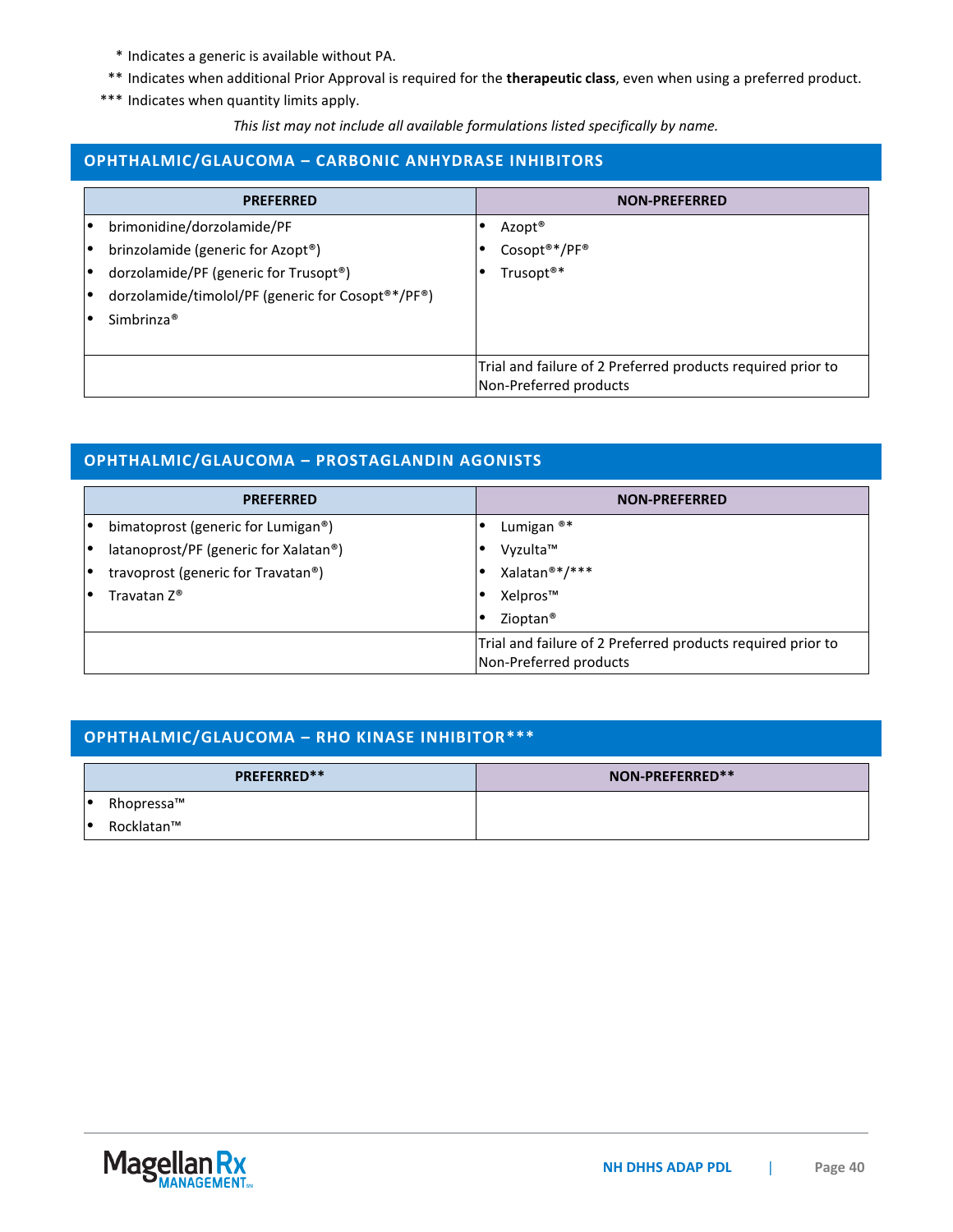- \* Indicates a generic is available without PA.
- \*\* Indicates when additional Prior Approval is required for the **therapeutic class**, even when using a preferred product.
- \*\*\* Indicates when quantity limits apply.

### <span id="page-39-0"></span>**OPHTHALMIC/GLAUCOMA – CARBONIC ANHYDRASE INHIBITORS**

|     | <b>PREFERRED</b>                                                            | <b>NON-PREFERRED</b>                                        |
|-----|-----------------------------------------------------------------------------|-------------------------------------------------------------|
|     | brimonidine/dorzolamide/PF                                                  | Azopt <sup>®</sup>                                          |
| і с | brinzolamide (generic for Azopt®)                                           | Cosopt <sup>®*</sup> /PF®                                   |
| l C | dorzolamide/PF (generic for Trusopt®)                                       | Trusopt®*                                                   |
| ∣ ● | dorzolamide/timolol/PF (generic for Cosopt <sup>®*</sup> /PF <sup>®</sup> ) |                                                             |
|     | Simbrinza <sup>®</sup>                                                      |                                                             |
|     |                                                                             |                                                             |
|     |                                                                             | Trial and failure of 2 Preferred products required prior to |
|     |                                                                             | Non-Preferred products                                      |

## <span id="page-39-1"></span>**OPHTHALMIC/GLAUCOMA – PROSTAGLANDIN AGONISTS**

|     | <b>PREFERRED</b>                      | <b>NON-PREFERRED</b>                                        |
|-----|---------------------------------------|-------------------------------------------------------------|
|     | bimatoprost (generic for Lumigan®)    | Lumigan <sup>®*</sup>                                       |
| I C | latanoprost/PF (generic for Xalatan®) | Vyzulta™                                                    |
| ∣ € | travoprost (generic for Travatan®)    | Xalatan®*/***                                               |
|     | Travatan $Z^{\circledast}$            | Xelpros™                                                    |
|     |                                       | Zioptan <sup>®</sup>                                        |
|     |                                       | Trial and failure of 2 Preferred products required prior to |
|     |                                       | Non-Preferred products                                      |

### <span id="page-39-2"></span>**OPHTHALMIC/GLAUCOMA – RHO KINASE INHIBITOR\*\*\***

|    | PREFERRED** | NON-PREFERRED** |
|----|-------------|-----------------|
| 1● | Rhopressa™  |                 |
| 1● | Rocklatan™  |                 |

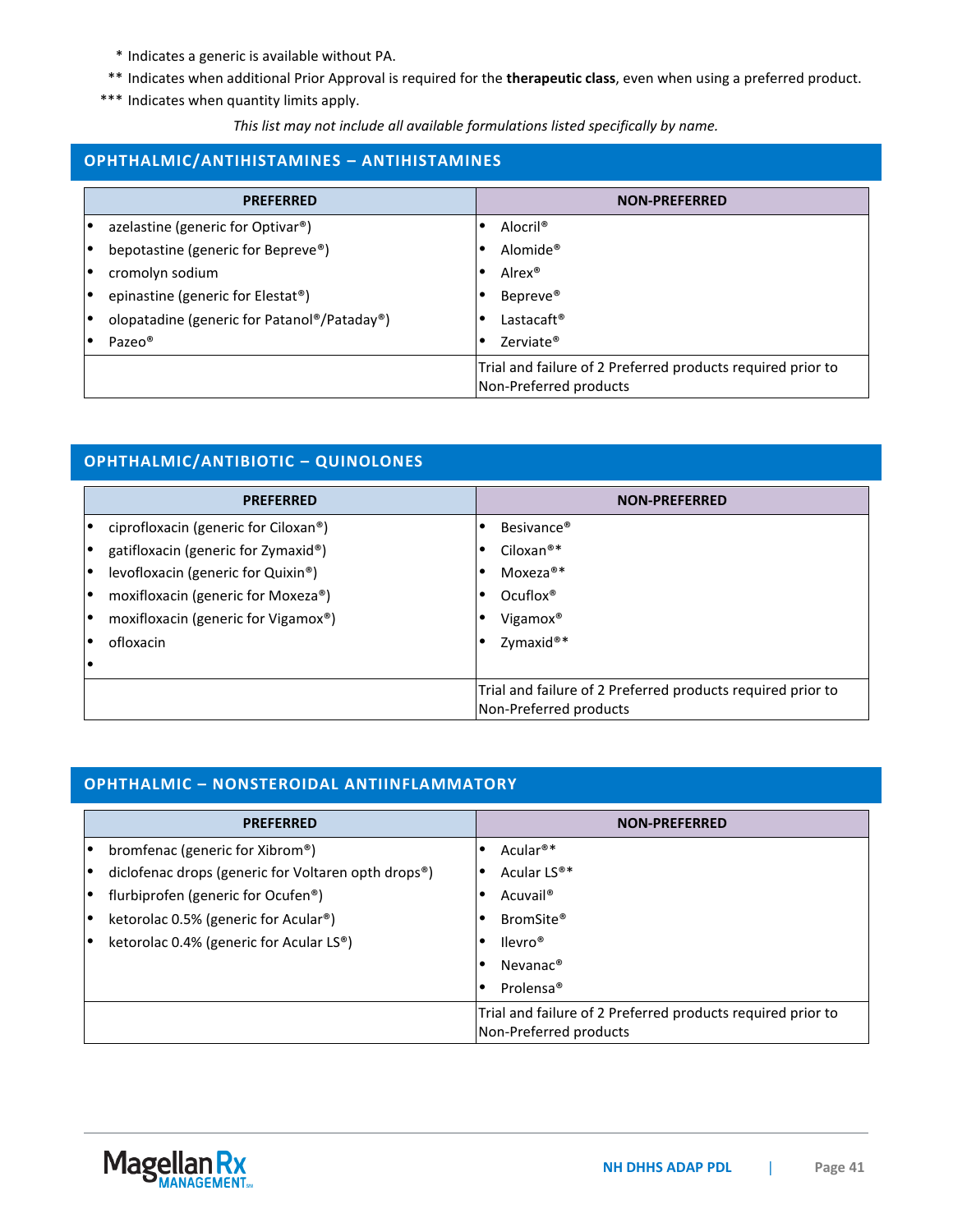- \* Indicates a generic is available without PA.
- \*\* Indicates when additional Prior Approval is required for the **therapeutic class**, even when using a preferred product.
- \*\*\* Indicates when quantity limits apply.

## <span id="page-40-0"></span>**OPHTHALMIC/ANTIHISTAMINES – ANTIHISTAMINES**

|           | <b>PREFERRED</b>                               | <b>NON-PREFERRED</b>                                                                  |  |
|-----------|------------------------------------------------|---------------------------------------------------------------------------------------|--|
|           | azelastine (generic for Optivar <sup>®</sup> ) | Alocril <sup>®</sup>                                                                  |  |
| <b>10</b> | bepotastine (generic for Bepreve®)             | Alomide <sup>®</sup>                                                                  |  |
| ه ا       | cromolyn sodium                                | Alrex <sup>®</sup>                                                                    |  |
| l C       | epinastine (generic for Elestat®)              | Bepreve <sup>®</sup>                                                                  |  |
| і с       | olopatadine (generic for Patanol®/Pataday®)    | Lastacaft <sup>®</sup>                                                                |  |
|           | Pazeo <sup>®</sup>                             | Zerviate <sup>®</sup>                                                                 |  |
|           |                                                | Trial and failure of 2 Preferred products required prior to<br>Non-Preferred products |  |

## <span id="page-40-1"></span>**OPHTHALMIC/ANTIBIOTIC – QUINOLONES**

|     | <b>PREFERRED</b>                                  | <b>NON-PREFERRED</b>                                        |
|-----|---------------------------------------------------|-------------------------------------------------------------|
|     | ciprofloxacin (generic for Ciloxan <sup>®</sup> ) | Besivance <sup>®</sup>                                      |
|     | gatifloxacin (generic for Zymaxid®)               | Ciloxan <sup>®*</sup>                                       |
| O   | levofloxacin (generic for Quixin®)                | Moxeza <sup>®*</sup>                                        |
|     | moxifloxacin (generic for Moxeza®)                | $Ocuflox^{\circledcirc}$                                    |
|     | moxifloxacin (generic for Vigamox®)               | Vigamox <sup>®</sup>                                        |
| l C | ofloxacin                                         | Zymaxid <sup>®*</sup>                                       |
|     |                                                   |                                                             |
|     |                                                   | Trial and failure of 2 Preferred products required prior to |
|     |                                                   | Non-Preferred products                                      |

#### <span id="page-40-2"></span>**OPHTHALMIC – NONSTEROIDAL ANTIINFLAMMATORY**

|     | <b>PREFERRED</b>                                     | <b>NON-PREFERRED</b>                                                                  |
|-----|------------------------------------------------------|---------------------------------------------------------------------------------------|
|     | bromfenac (generic for Xibrom®)                      | Acular <sup>®*</sup>                                                                  |
| l C | diclofenac drops (generic for Voltaren opth drops®)  | Acular LS <sup>®*</sup>                                                               |
|     | flurbiprofen (generic for Ocufen <sup>®</sup> )      | Acuvail <sup>®</sup>                                                                  |
| ∣ ● | ketorolac 0.5% (generic for Acular <sup>®</sup> )    | BromSite®                                                                             |
| і е | ketorolac 0.4% (generic for Acular LS <sup>®</sup> ) | llevro <sup>®</sup>                                                                   |
|     |                                                      | Nevanac <sup>®</sup>                                                                  |
|     |                                                      | Prolensa <sup>®</sup>                                                                 |
|     |                                                      | Trial and failure of 2 Preferred products required prior to<br>Non-Preferred products |

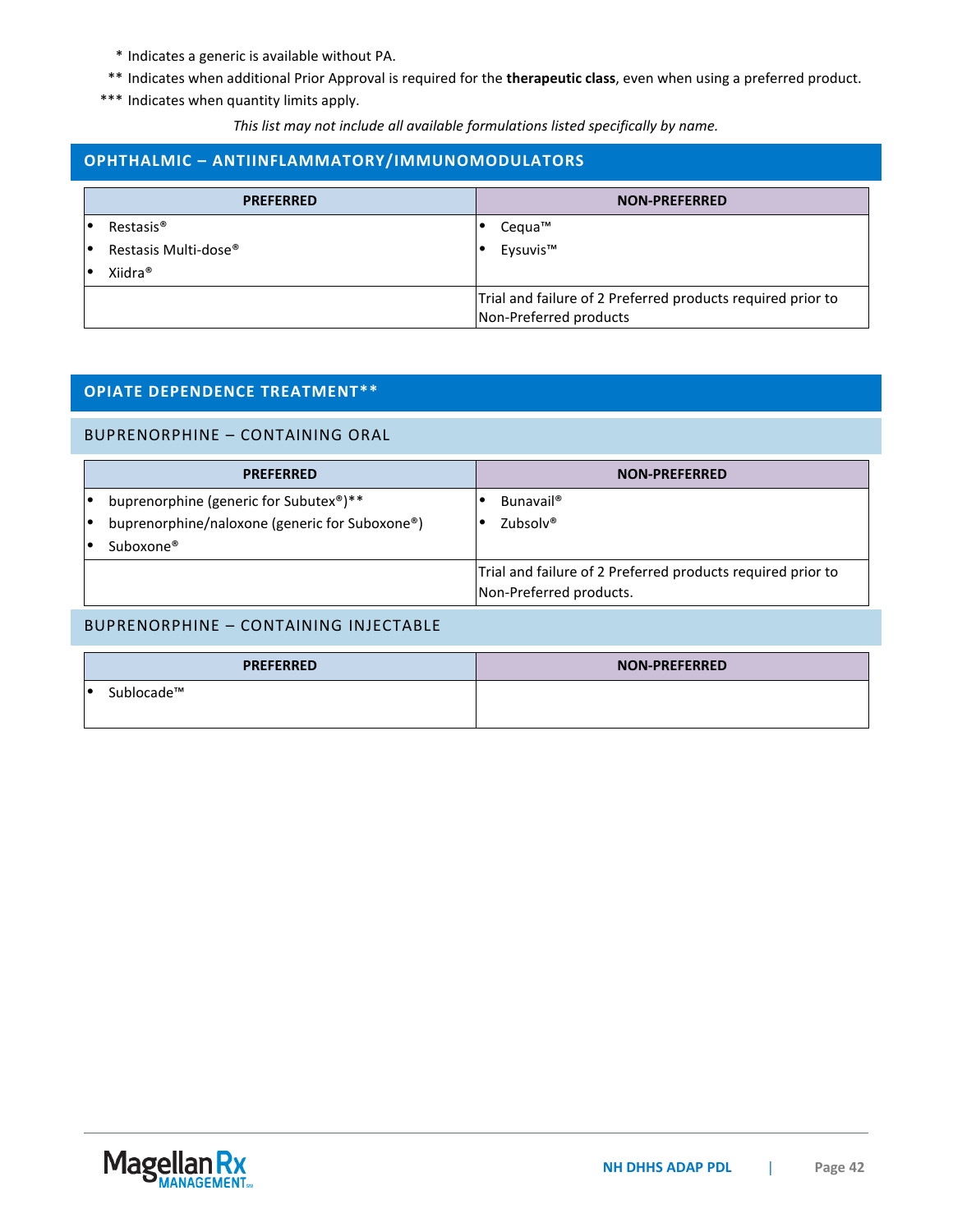- \* Indicates a generic is available without PA.
- \*\* Indicates when additional Prior Approval is required for the **therapeutic class**, even when using a preferred product.
- \*\*\* Indicates when quantity limits apply.

<span id="page-41-0"></span>

| <b>OPHTHALMIC - ANTIINFLAMMATORY/IMMUNOMODULATORS</b> |                                  |                                                                                       |  |
|-------------------------------------------------------|----------------------------------|---------------------------------------------------------------------------------------|--|
| <b>NON-PREFERRED</b><br><b>PREFERRED</b>              |                                  |                                                                                       |  |
|                                                       | Restasis <sup>®</sup>            | Cequa™                                                                                |  |
|                                                       | Restasis Multi-dose <sup>®</sup> | Eysuvis™                                                                              |  |
|                                                       | Xiidra <sup>®</sup>              |                                                                                       |  |
|                                                       |                                  | Trial and failure of 2 Preferred products required prior to<br>Non-Preferred products |  |

### <span id="page-41-1"></span>**OPIATE DEPENDENCE TREATMENT\*\***

#### BUPRENORPHINE – CONTAINING ORAL

| <b>PREFERRED</b>                                            | <b>NON-PREFERRED</b>                                        |
|-------------------------------------------------------------|-------------------------------------------------------------|
| buprenorphine (generic for Subutex®)**                      | <b>Bunavail</b> <sup>®</sup>                                |
| buprenorphine/naloxone (generic for Suboxone <sup>®</sup> ) | Zubsolv <sup>®</sup>                                        |
| Suboxone <sup>®</sup>                                       |                                                             |
|                                                             | Trial and failure of 2 Preferred products required prior to |
|                                                             | Non-Preferred products.                                     |

## BUPRENORPHINE – CONTAINING INJECTABLE

|    | <b>PREFERRED</b> | <b>NON-PREFERRED</b> |
|----|------------------|----------------------|
| ١o | Sublocade™       |                      |

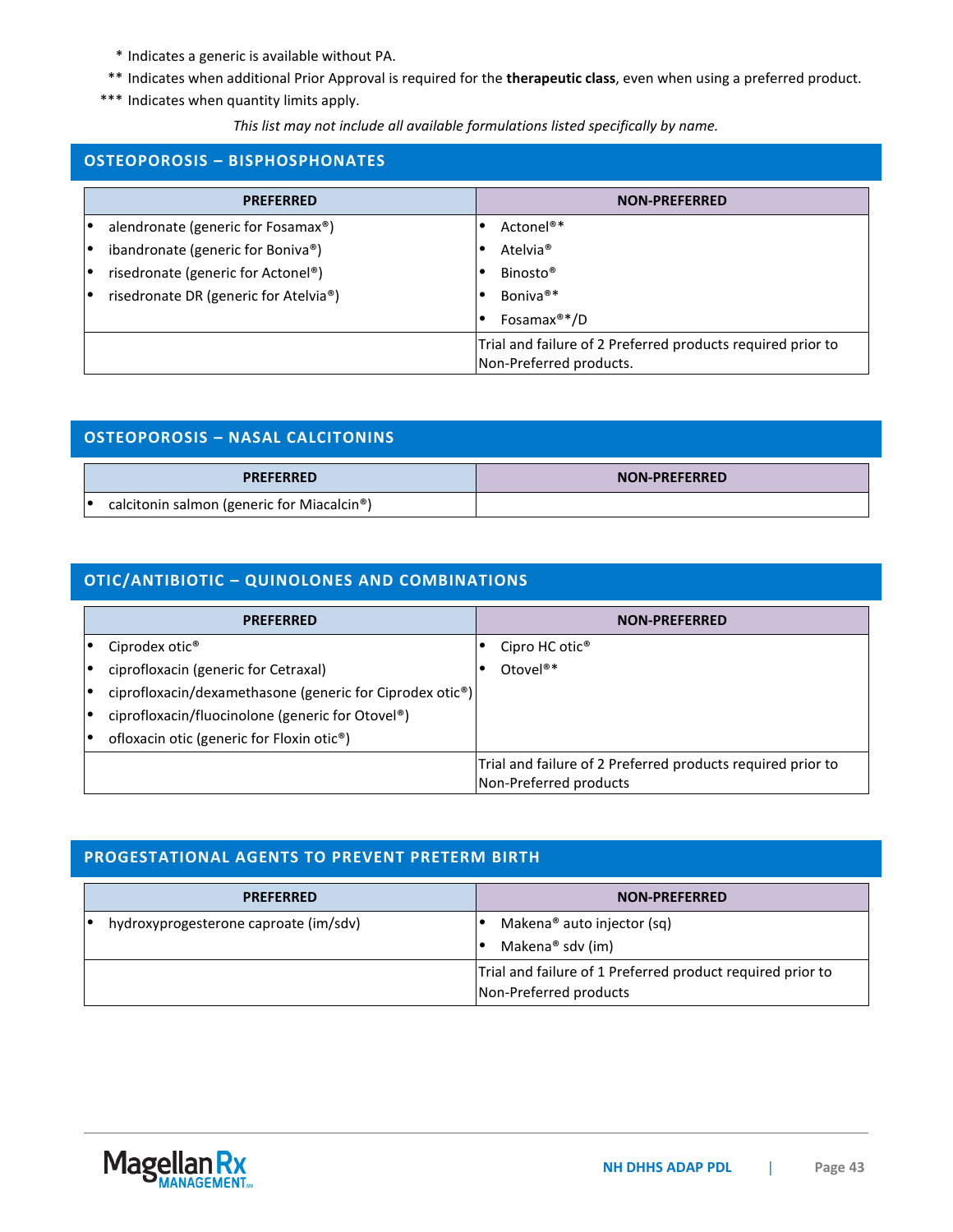- \* Indicates a generic is available without PA.
- \*\* Indicates when additional Prior Approval is required for the **therapeutic class**, even when using a preferred product.
- \*\*\* Indicates when quantity limits apply.

## <span id="page-42-0"></span>**OSTEOPOROSIS – BISPHOSPHONATES**

|   | <b>PREFERRED</b>                      | <b>NON-PREFERRED</b>                                                                   |
|---|---------------------------------------|----------------------------------------------------------------------------------------|
|   | alendronate (generic for Fosamax®)    | Actonel <sup>®*</sup>                                                                  |
|   | ibandronate (generic for Boniva®)     | Atelvia <sup>®</sup>                                                                   |
| O | risedronate (generic for Actonel®)    | Binosto <sup>®</sup>                                                                   |
|   | risedronate DR (generic for Atelvia®) | Boniva <sup>®*</sup>                                                                   |
|   |                                       | Fosamax <sup>®*</sup> /D                                                               |
|   |                                       | Trial and failure of 2 Preferred products required prior to<br>Non-Preferred products. |

## <span id="page-42-1"></span>**OSTEOPOROSIS – NASAL CALCITONINS**

| <b>PREFERRED</b>                                 | <b>NON-PREFERRED</b> |
|--------------------------------------------------|----------------------|
| calcitonin salmon (generic for Miacalcin®)<br>∣• |                      |

### <span id="page-42-2"></span>**OTIC/ANTIBIOTIC – QUINOLONES AND COMBINATIONS**

| <b>PREFERRED</b>                                         | <b>NON-PREFERRED</b>                                        |
|----------------------------------------------------------|-------------------------------------------------------------|
| Ciprodex otic <sup>®</sup>                               | Cipro HC otic <sup>®</sup>                                  |
| ciprofloxacin (generic for Cetraxal)                     | Otovel <sup>®*</sup>                                        |
| ciprofloxacin/dexamethasone (generic for Ciprodex otic®) |                                                             |
| ciprofloxacin/fluocinolone (generic for Otovel®)         |                                                             |
| ofloxacin otic (generic for Floxin otic <sup>®</sup> )   |                                                             |
|                                                          | Trial and failure of 2 Preferred products required prior to |
|                                                          | Non-Preferred products                                      |

## <span id="page-42-3"></span>**PROGESTATIONAL AGENTS TO PREVENT PRETERM BIRTH**

| <b>PREFERRED</b>                             | <b>NON-PREFERRED</b>                                       |
|----------------------------------------------|------------------------------------------------------------|
| hydroxyprogesterone caproate (im/sdv)<br>ه ا | Makena <sup>®</sup> auto injector (sq)                     |
|                                              | Makena® sdv (im)                                           |
|                                              | Trial and failure of 1 Preferred product required prior to |
|                                              | Non-Preferred products                                     |

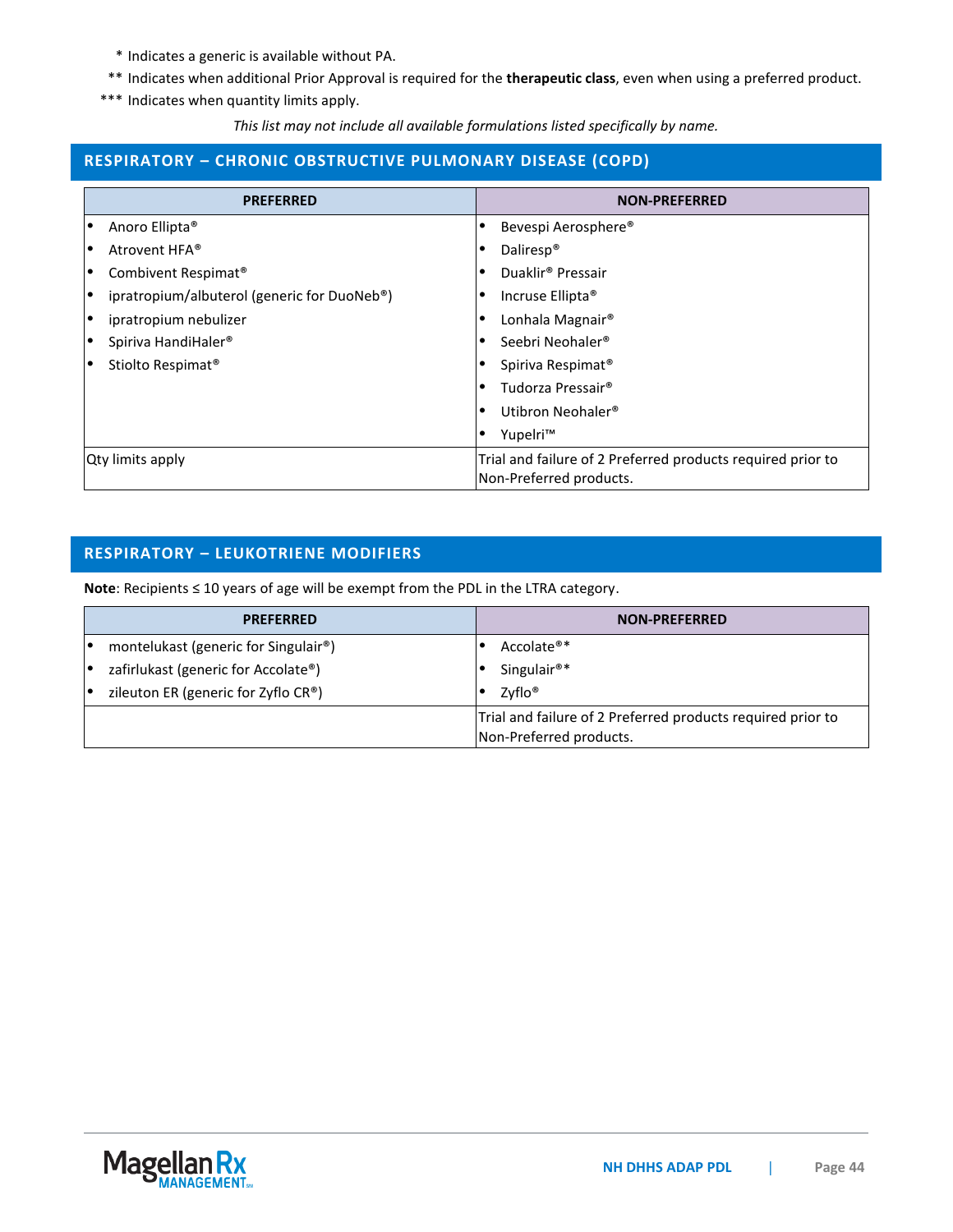- \* Indicates a generic is available without PA.
- \*\* Indicates when additional Prior Approval is required for the **therapeutic class**, even when using a preferred product.
- \*\*\* Indicates when quantity limits apply.

### <span id="page-43-0"></span>**RESPIRATORY – CHRONIC OBSTRUCTIVE PULMONARY DISEASE (COPD)**

| <b>PREFERRED</b>                                 | <b>NON-PREFERRED</b>                                                                   |
|--------------------------------------------------|----------------------------------------------------------------------------------------|
| Anoro Ellipta <sup>®</sup><br>٠                  | Bevespi Aerosphere <sup>®</sup>                                                        |
| Atrovent HFA®<br>∙                               | Daliresp <sup>®</sup>                                                                  |
| Combivent Respimat <sup>®</sup><br>٠             | Duaklir <sup>®</sup> Pressair                                                          |
| ipratropium/albuterol (generic for DuoNeb®)<br>l | Incruse Ellipta <sup>®</sup>                                                           |
| ipratropium nebulizer<br>∙                       | Lonhala Magnair <sup>®</sup>                                                           |
| Spiriva HandiHaler <sup>®</sup><br>$\bullet$     | Seebri Neohaler <sup>®</sup>                                                           |
| Stiolto Respimat <sup>®</sup><br>$\bullet$       | Spiriva Respimat <sup>®</sup>                                                          |
|                                                  | Tudorza Pressair <sup>®</sup>                                                          |
|                                                  | Utibron Neohaler <sup>®</sup>                                                          |
|                                                  | Yupelri™                                                                               |
| <b>Qty limits apply</b>                          | Trial and failure of 2 Preferred products required prior to<br>Non-Preferred products. |

### <span id="page-43-1"></span>**RESPIRATORY – LEUKOTRIENE MODIFIERS**

**Note**: Recipients ≤ 10 years of age will be exempt from the PDL in the LTRA category.

| <b>PREFERRED</b>                     | <b>NON-PREFERRED</b>                                        |
|--------------------------------------|-------------------------------------------------------------|
| montelukast (generic for Singulair®) | Accolate <sup>®*</sup>                                      |
| zafirlukast (generic for Accolate®)  | Singulair <sup>®*</sup>                                     |
| zileuton ER (generic for Zyflo CR®)  | Zvflo <sup>®</sup>                                          |
|                                      | Trial and failure of 2 Preferred products required prior to |
|                                      | Non-Preferred products.                                     |

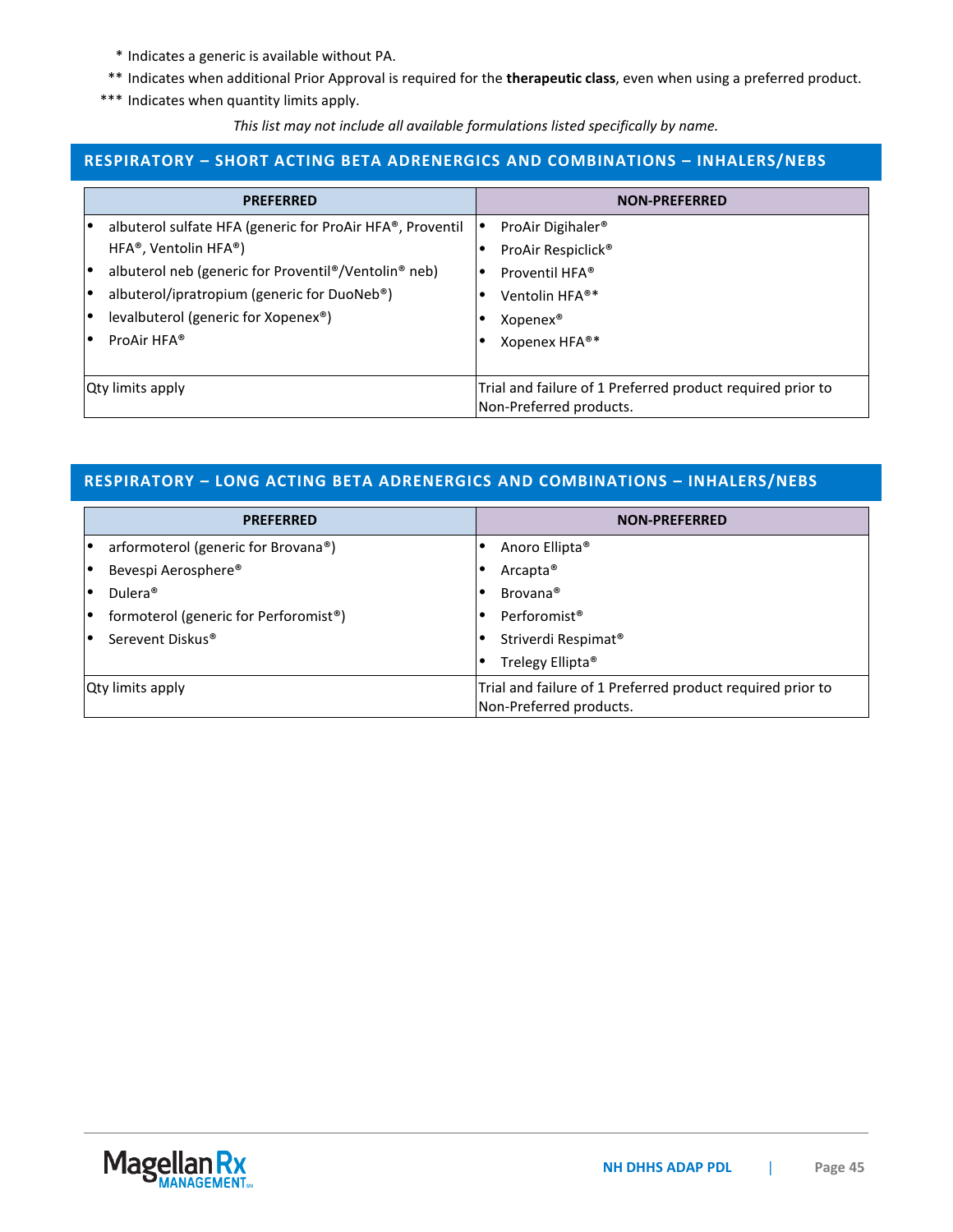- \* Indicates a generic is available without PA.
- \*\* Indicates when additional Prior Approval is required for the **therapeutic class**, even when using a preferred product.
- \*\*\* Indicates when quantity limits apply.

### <span id="page-44-0"></span>**RESPIRATORY – SHORT ACTING BETA ADRENERGICS AND COMBINATIONS – INHALERS/NEBS**

| <b>PREFERRED</b>                                            | <b>NON-PREFERRED</b>                                       |
|-------------------------------------------------------------|------------------------------------------------------------|
| albuterol sulfate HFA (generic for ProAir HFA®, Proventil   | ProAir Digihaler <sup>®</sup>                              |
| HFA®, Ventolin HFA®)                                        | ProAir Respiclick <sup>®</sup>                             |
| albuterol neb (generic for Proventil®/Ventolin® neb)<br>l C | Proventil HFA <sup>®</sup>                                 |
| albuterol/ipratropium (generic for DuoNeb®)                 | Ventolin HFA <sup>®*</sup>                                 |
| levalbuterol (generic for Xopenex <sup>®</sup> )<br>і с     | Xopenex <sup>®</sup>                                       |
| ProAir HFA®<br>і е                                          | Xopenex HFA <sup>®*</sup>                                  |
|                                                             |                                                            |
| <b>Qty limits apply</b>                                     | Trial and failure of 1 Preferred product required prior to |
|                                                             | Non-Preferred products.                                    |

## <span id="page-44-1"></span>**RESPIRATORY – LONG ACTING BETA ADRENERGICS AND COMBINATIONS – INHALERS/NEBS**

| <b>PREFERRED</b>                                                | <b>NON-PREFERRED</b>                                                                  |
|-----------------------------------------------------------------|---------------------------------------------------------------------------------------|
| arformoterol (generic for Brovana®)                             | Anoro Ellipta <sup>®</sup>                                                            |
| Bevespi Aerosphere <sup>®</sup><br>$\bullet$                    | Arcapta <sup>®</sup>                                                                  |
| Dulera <sup>®</sup><br>∙                                        | Brovana <sup>®</sup>                                                                  |
| formoterol (generic for Perforomist <sup>®</sup> )<br>$\bullet$ | Perforomist <sup>®</sup>                                                              |
| Serevent Diskus <sup>®</sup><br>$\bullet$                       | Striverdi Respimat <sup>®</sup>                                                       |
|                                                                 | Trelegy Ellipta <sup>®</sup><br>٠                                                     |
| <b>Qty limits apply</b>                                         | Trial and failure of 1 Preferred product required prior to<br>Non-Preferred products. |

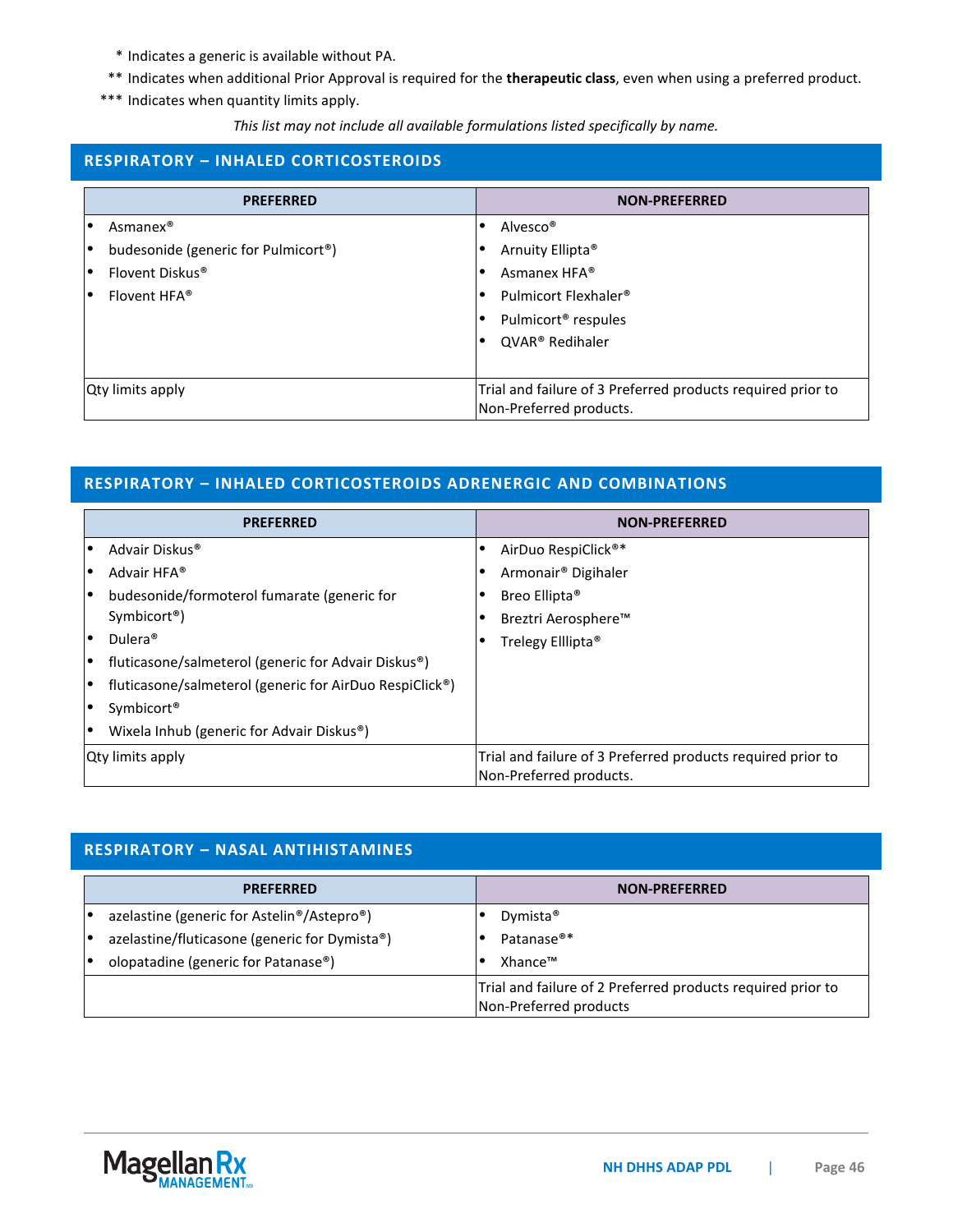- \* Indicates a generic is available without PA.
- \*\* Indicates when additional Prior Approval is required for the **therapeutic class**, even when using a preferred product.
- \*\*\* Indicates when quantity limits apply.

## <span id="page-45-0"></span>**RESPIRATORY – INHALED CORTICOSTEROIDS PREFERRED NON-PREFERRED** Asmanex® budesonide (generic for Pulmicort®) Flovent Diskus® Flovent HFA® Alvesco® Arnuity Ellipta® Asmanex HFA® Pulmicort Flexhaler® Pulmicort® respules QVAR® Redihaler Qty limits apply **Trial and failure of 3 Preferred products required prior to** Trial and failure of 3 Preferred products required prior to Non-Preferred products.

### <span id="page-45-1"></span>**RESPIRATORY – INHALED CORTICOSTEROIDS ADRENERGIC AND COMBINATIONS**

|           | <b>PREFERRED</b>                                                     |                           | <b>NON-PREFERRED</b>                                                                   |
|-----------|----------------------------------------------------------------------|---------------------------|----------------------------------------------------------------------------------------|
|           | Advair Diskus <sup>®</sup>                                           |                           | AirDuo RespiClick <sup>®*</sup>                                                        |
|           | Advair HFA®                                                          |                           | Armonair <sup>®</sup> Digihaler                                                        |
| $\bullet$ | budesonide/formoterol fumarate (generic for                          | Breo Ellipta <sup>®</sup> |                                                                                        |
|           | Symbicort <sup>®</sup> )                                             |                           | Breztri Aerosphere™                                                                    |
| $\bullet$ | Dulera <sup>®</sup>                                                  |                           | Trelegy Elllipta <sup>®</sup>                                                          |
| ٠         | fluticasone/salmeterol (generic for Advair Diskus <sup>®</sup> )     |                           |                                                                                        |
| ٠         | fluticasone/salmeterol (generic for AirDuo RespiClick <sup>®</sup> ) |                           |                                                                                        |
| $\bullet$ | Symbicort <sup>®</sup>                                               |                           |                                                                                        |
|           | Wixela Inhub (generic for Advair Diskus <sup>®</sup> )               |                           |                                                                                        |
|           | <b>Qty limits apply</b>                                              |                           | Trial and failure of 3 Preferred products required prior to<br>Non-Preferred products. |

## <span id="page-45-2"></span>**RESPIRATORY – NASAL ANTIHISTAMINES**

|    | <b>PREFERRED</b>                              | <b>NON-PREFERRED</b>                                        |
|----|-----------------------------------------------|-------------------------------------------------------------|
| ١c | azelastine (generic for Astelin®/Astepro®)    | Dymista <sup>®</sup>                                        |
| ١c | azelastine/fluticasone (generic for Dymista®) | Patanase <sup>®*</sup>                                      |
| ١c | olopatadine (generic for Patanase®)           | Xhance™                                                     |
|    |                                               | Trial and failure of 2 Preferred products required prior to |
|    |                                               | Non-Preferred products                                      |

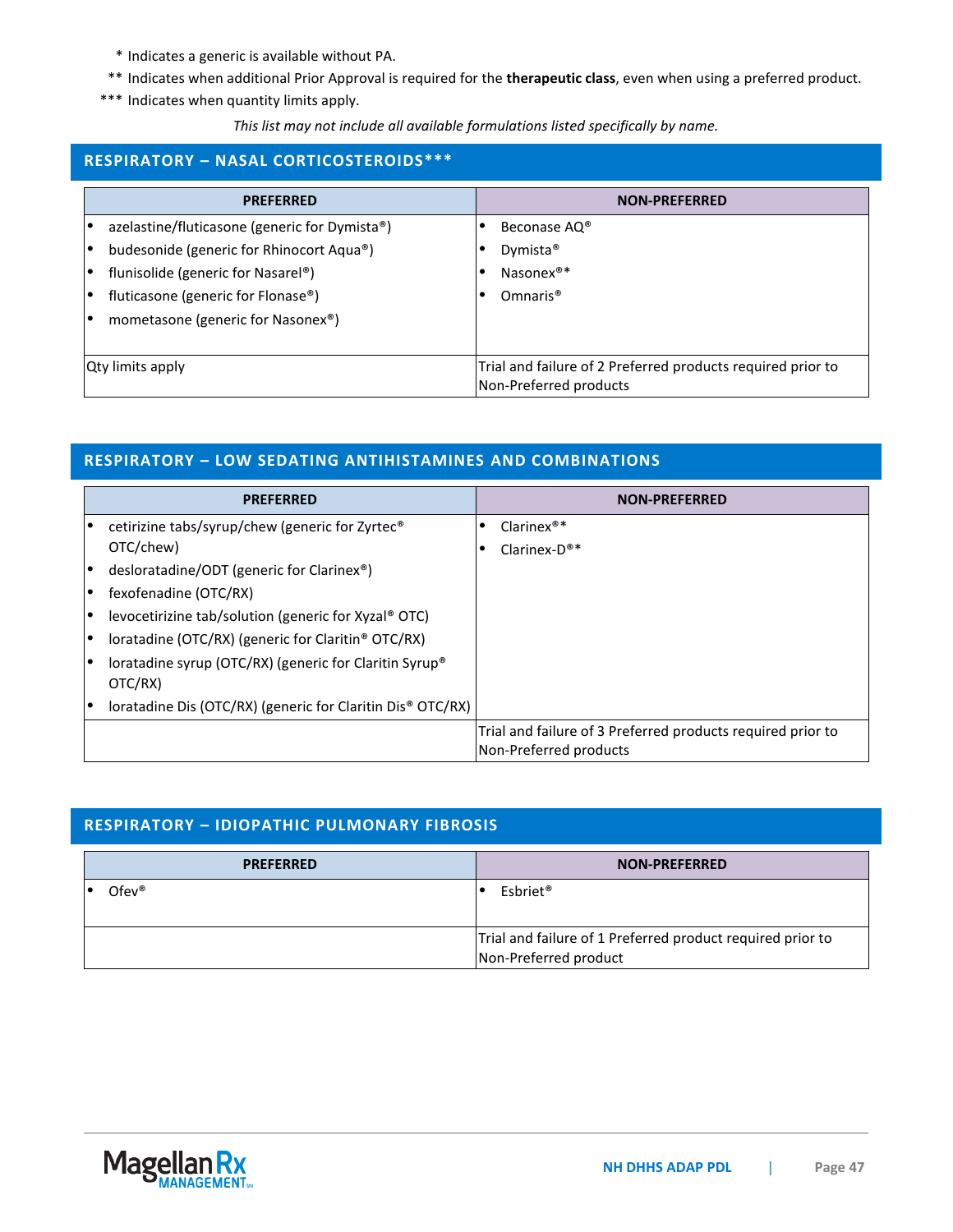- \* Indicates a generic is available without PA.
- \*\* Indicates when additional Prior Approval is required for the **therapeutic class**, even when using a preferred product.
- \*\*\* Indicates when quantity limits apply.

## <span id="page-46-0"></span>**RESPIRATORY – NASAL CORTICOSTEROIDS\*\*\***

|     | <b>PREFERRED</b>                                | <b>NON-PREFERRED</b>                                                                  |
|-----|-------------------------------------------------|---------------------------------------------------------------------------------------|
|     | azelastine/fluticasone (generic for Dymista®)   | Beconase AQ <sup>®</sup>                                                              |
| ı e | budesonide (generic for Rhinocort Aqua®)        | Dymista <sup>®</sup>                                                                  |
| ∣ ● | flunisolide (generic for Nasarel <sup>®</sup> ) | Nasonex <sup>®*</sup>                                                                 |
| ∣ ● | fluticasone (generic for Flonase®)              | Omnaris <sup>®</sup>                                                                  |
| ı c | mometasone (generic for Nasonex <sup>®</sup> )  |                                                                                       |
|     |                                                 |                                                                                       |
|     | <b>Qty limits apply</b>                         | Trial and failure of 2 Preferred products required prior to<br>Non-Preferred products |

## <span id="page-46-1"></span>**RESPIRATORY – LOW SEDATING ANTIHISTAMINES AND COMBINATIONS**

|           | <b>PREFERRED</b>                                                       | <b>NON-PREFERRED</b>                                        |
|-----------|------------------------------------------------------------------------|-------------------------------------------------------------|
| ∙         | cetirizine tabs/syrup/chew (generic for Zyrtec®                        | Clarinex <sup>®*</sup>                                      |
|           | OTC/chew)                                                              | Clarinex- $D^{\circledast *}$                               |
| O         | desloratadine/ODT (generic for Clarinex <sup>®</sup> )                 |                                                             |
| ∣ ●       | fexofenadine (OTC/RX)                                                  |                                                             |
| $\bullet$ | levocetirizine tab/solution (generic for Xyzal® OTC)                   |                                                             |
| $\bullet$ | loratadine (OTC/RX) (generic for Claritin <sup>®</sup> OTC/RX)         |                                                             |
| O         | loratadine syrup (OTC/RX) (generic for Claritin Syrup <sup>®</sup>     |                                                             |
|           | OTC/RX)                                                                |                                                             |
| $\bullet$ | loratadine Dis (OTC/RX) (generic for Claritin Dis <sup>®</sup> OTC/RX) |                                                             |
|           |                                                                        | Trial and failure of 3 Preferred products required prior to |
|           |                                                                        | Non-Preferred products                                      |

### <span id="page-46-2"></span>**RESPIRATORY – IDIOPATHIC PULMONARY FIBROSIS**

| <b>PREFERRED</b> | <b>NON-PREFERRED</b>                                                                |
|------------------|-------------------------------------------------------------------------------------|
| Ofev®            | Esbriet <sup>®</sup>                                                                |
|                  | Trial and failure of 1 Preferred product required prior to<br>Non-Preferred product |

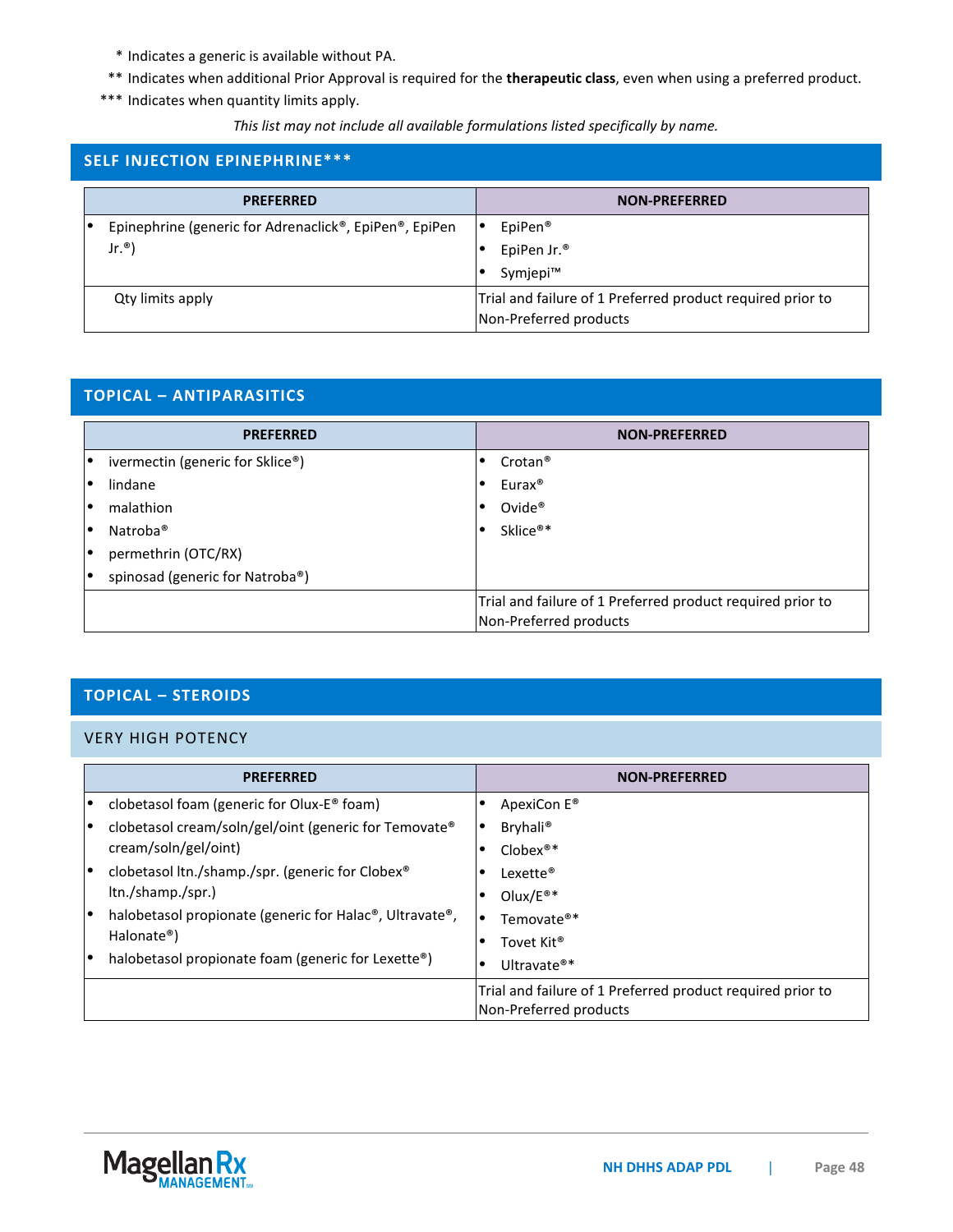- \* Indicates a generic is available without PA.
- \*\* Indicates when additional Prior Approval is required for the **therapeutic class**, even when using a preferred product.
- \*\*\* Indicates when quantity limits apply.

<span id="page-47-0"></span>

| <b>SELF INJECTION EPINEPHRINE***</b>                   |                                                            |  |  |
|--------------------------------------------------------|------------------------------------------------------------|--|--|
| <b>PREFERRED</b>                                       | <b>NON-PREFERRED</b>                                       |  |  |
| Epinephrine (generic for Adrenaclick®, EpiPen®, EpiPen | EpiPen <sup>®</sup>                                        |  |  |
| $Jr.$ <sup>®</sup> )                                   | EpiPen Jr. <sup>®</sup>                                    |  |  |
|                                                        | Symjepi™                                                   |  |  |
| Qty limits apply                                       | Trial and failure of 1 Preferred product required prior to |  |  |
|                                                        | Non-Preferred products                                     |  |  |

### <span id="page-47-1"></span>**TOPICAL – ANTIPARASITICS**

| <b>PREFERRED</b>                 | <b>NON-PREFERRED</b>                                       |
|----------------------------------|------------------------------------------------------------|
| ivermectin (generic for Sklice®) | Crotan <sup>®</sup>                                        |
| lindane                          | $Eurax^*$                                                  |
| malathion                        | Ovide <sup>®</sup>                                         |
| Natroba <sup>®</sup>             | Sklice <sup>®*</sup>                                       |
| permethrin (OTC/RX)              |                                                            |
| spinosad (generic for Natroba®)  |                                                            |
|                                  | Trial and failure of 1 Preferred product required prior to |
|                                  | Non-Preferred products                                     |

## <span id="page-47-2"></span>**TOPICAL – STEROIDS**

#### VERY HIGH POTENCY

|           | <b>PREFERRED</b>                                        | <b>NON-PREFERRED</b>                                                                 |
|-----------|---------------------------------------------------------|--------------------------------------------------------------------------------------|
|           | clobetasol foam (generic for Olux-E <sup>®</sup> foam)  | ApexiCon E <sup>®</sup>                                                              |
| $\bullet$ | clobetasol cream/soln/gel/oint (generic for Temovate®   | <b>Bryhali<sup>®</sup></b><br>$\bullet$                                              |
|           | cream/soln/gel/oint)                                    | $Clobex^{\circ\,*}$                                                                  |
| $\bullet$ | clobetasol ltn./shamp./spr. (generic for Clobex®        | Lexette <sup>®</sup>                                                                 |
|           | ltn./shamp./spr.                                        | Olux/ $E^{\otimes *}$                                                                |
| ∙         | halobetasol propionate (generic for Halac®, Ultravate®, | Temovate®*                                                                           |
|           | Halonate <sup>®</sup> )                                 | Tovet Kit <sup>®</sup>                                                               |
| ٠         | halobetasol propionate foam (generic for Lexette®)      | Ultravate <sup>®*</sup>                                                              |
|           |                                                         | Trial and failure of 1 Preferred product required prior to<br>Non-Preferred products |

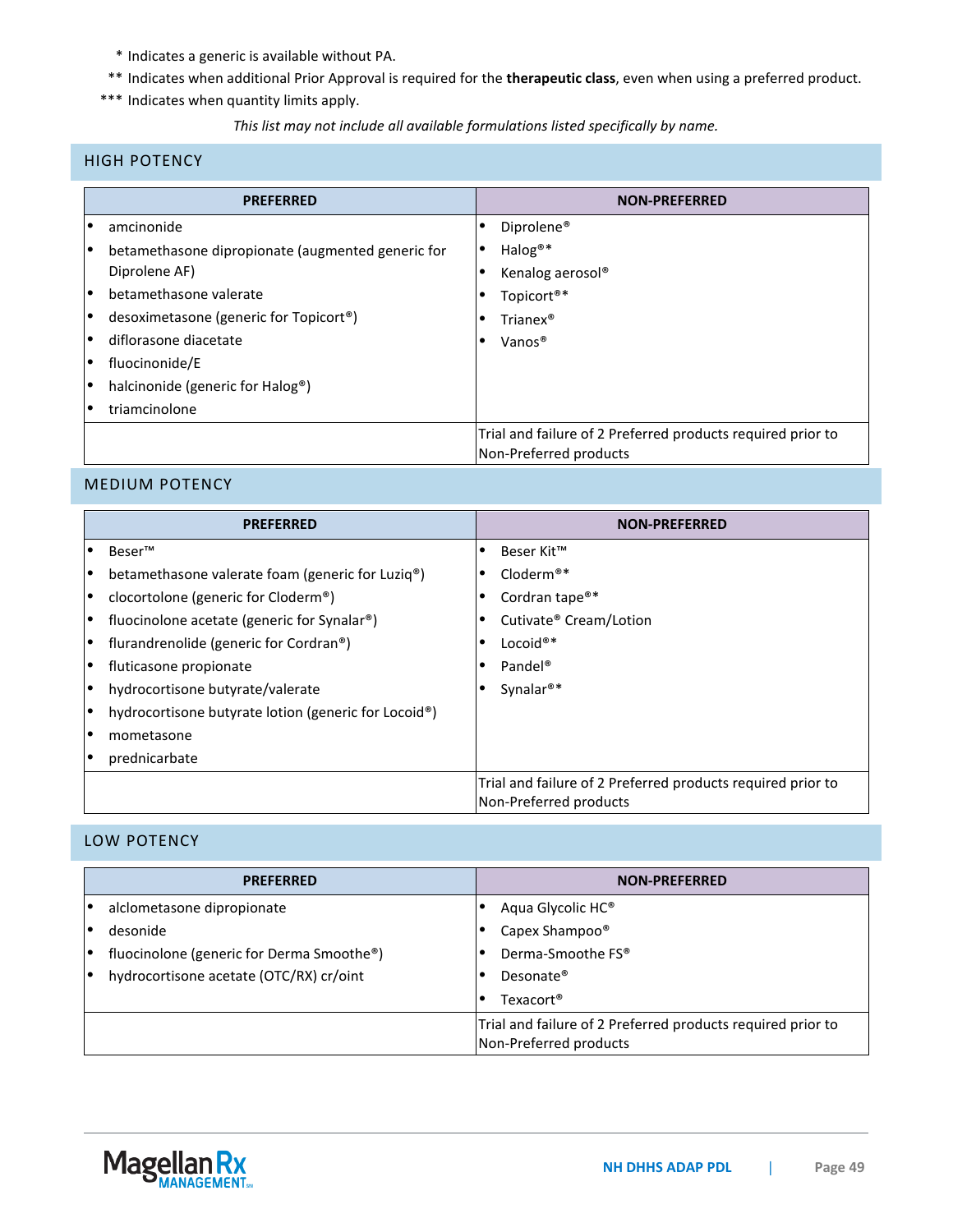- \* Indicates a generic is available without PA.
- \*\* Indicates when additional Prior Approval is required for the **therapeutic class**, even when using a preferred product.
- \*\*\* Indicates when quantity limits apply.

#### HIGH POTENCY

|           | <b>PREFERRED</b>                                    |           | <b>NON-PREFERRED</b>                                        |
|-----------|-----------------------------------------------------|-----------|-------------------------------------------------------------|
|           | amcinonide                                          |           | Diprolene <sup>®</sup>                                      |
| $\bullet$ | betamethasone dipropionate (augmented generic for   | $\bullet$ | $Halog$ <sup>®*</sup>                                       |
|           | Diprolene AF)                                       |           | Kenalog aerosol <sup>®</sup>                                |
| $\bullet$ | betamethasone valerate                              |           | Topicort <sup>®*</sup>                                      |
|           | desoximetasone (generic for Topicort <sup>®</sup> ) |           | Trianex <sup>®</sup>                                        |
| $\bullet$ | diflorasone diacetate                               |           | Vanos®                                                      |
|           | fluocinonide/E                                      |           |                                                             |
| $\bullet$ | halcinonide (generic for Halog®)                    |           |                                                             |
| ٠         | triamcinolone                                       |           |                                                             |
|           |                                                     |           | Trial and failure of 2 Preferred products required prior to |
|           |                                                     |           | Non-Preferred products                                      |

## MEDIUM POTENCY

|           | <b>PREFERRED</b>                                         | <b>NON-PREFERRED</b>                                        |
|-----------|----------------------------------------------------------|-------------------------------------------------------------|
|           | Beser <sup>™</sup>                                       | Beser Kit <sup>™</sup>                                      |
| $\bullet$ | betamethasone valerate foam (generic for Luziq®)         | $C$ loderm <sup>®*</sup>                                    |
| ٠         | clocortolone (generic for Cloderm <sup>®</sup> )         | Cordran tape <sup>®*</sup>                                  |
| ٠         | fluocinolone acetate (generic for Synalar <sup>®</sup> ) | Cutivate <sup>®</sup> Cream/Lotion                          |
|           | flurandrenolide (generic for Cordran <sup>®</sup> )      | Locoid <sup>®*</sup>                                        |
| $\bullet$ | fluticasone propionate                                   | Pandel <sup>®</sup>                                         |
| ٠         | hydrocortisone butyrate/valerate                         | Synalar <sup>®*</sup>                                       |
| $\bullet$ | hydrocortisone butyrate lotion (generic for Locoid®)     |                                                             |
| ٠         | mometasone                                               |                                                             |
|           | prednicarbate                                            |                                                             |
|           |                                                          | Trial and failure of 2 Preferred products required prior to |
|           |                                                          | Non-Preferred products                                      |

## LOW POTENCY

| <b>PREFERRED</b>                          | <b>NON-PREFERRED</b>                                                                  |
|-------------------------------------------|---------------------------------------------------------------------------------------|
| alclometasone dipropionate                | Aqua Glycolic HC®                                                                     |
| desonide                                  | Capex Shampoo <sup>®</sup>                                                            |
| fluocinolone (generic for Derma Smoothe®) | Derma-Smoothe FS®                                                                     |
| hydrocortisone acetate (OTC/RX) cr/oint   | Desonate <sup>®</sup>                                                                 |
|                                           | Texacort <sup>®</sup>                                                                 |
|                                           | Trial and failure of 2 Preferred products required prior to<br>Non-Preferred products |

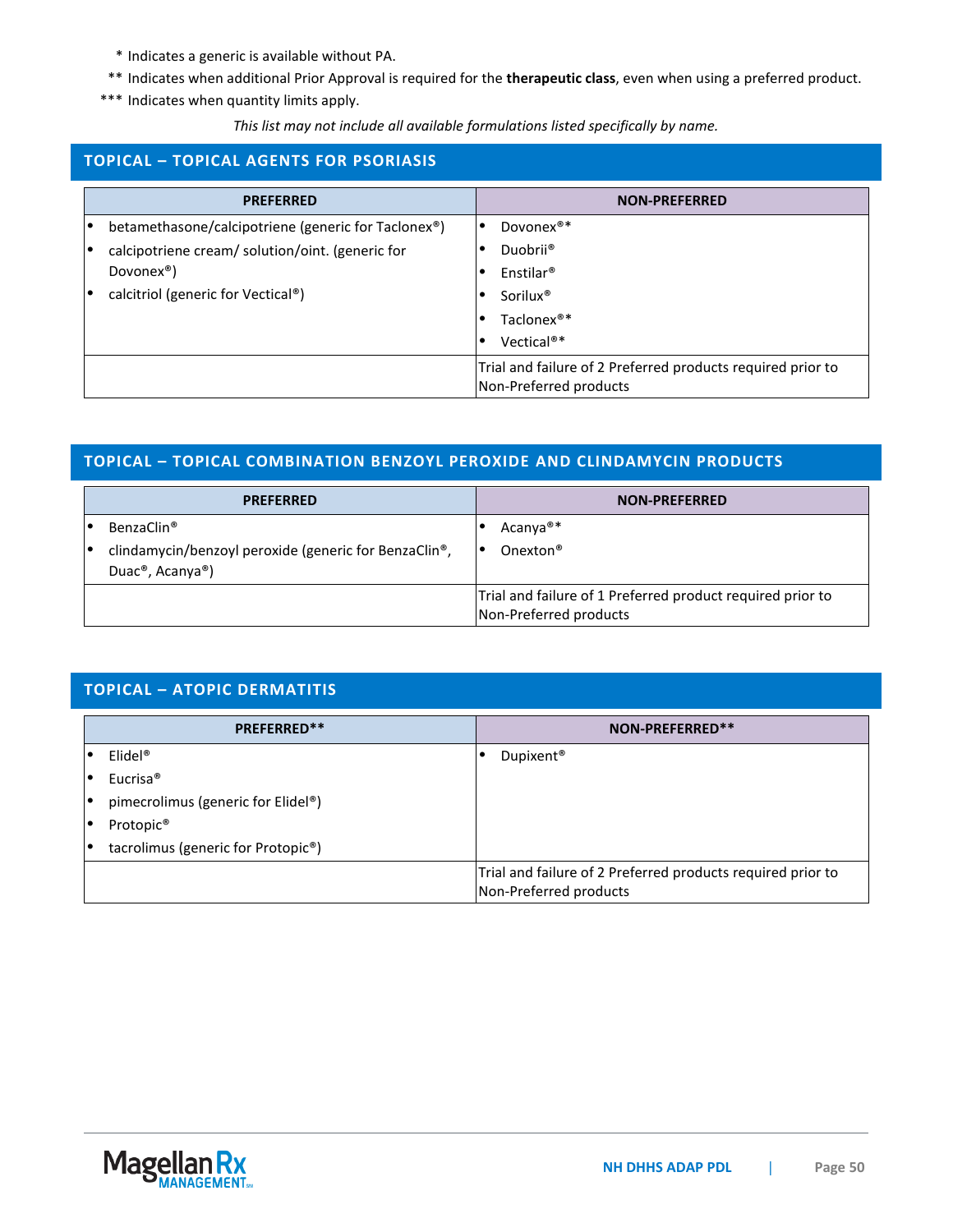- \* Indicates a generic is available without PA.
- \*\* Indicates when additional Prior Approval is required for the **therapeutic class**, even when using a preferred product.
- \*\*\* Indicates when quantity limits apply.

<span id="page-49-0"></span>

| <b>TOPICAL - TOPICAL AGENTS FOR PSORIASIS</b>                    |                                                                                       |  |  |  |
|------------------------------------------------------------------|---------------------------------------------------------------------------------------|--|--|--|
| <b>PREFERRED</b>                                                 | <b>NON-PREFERRED</b>                                                                  |  |  |  |
| betamethasone/calcipotriene (generic for Taclonex <sup>®</sup> ) | Dovonex <sup>®*</sup>                                                                 |  |  |  |
| calcipotriene cream/ solution/oint. (generic for                 | Duobrii <sup>®</sup>                                                                  |  |  |  |
| Dovonex <sup>®</sup> )                                           | Enstilar <sup>®</sup>                                                                 |  |  |  |
| calcitriol (generic for Vectical®)                               | Sorilux <sup>®</sup>                                                                  |  |  |  |
|                                                                  | Taclonex <sup>®*</sup>                                                                |  |  |  |
|                                                                  | Vectical <sup>®*</sup>                                                                |  |  |  |
|                                                                  | Trial and failure of 2 Preferred products required prior to<br>Non-Preferred products |  |  |  |

#### <span id="page-49-1"></span>**TOPICAL – TOPICAL COMBINATION BENZOYL PEROXIDE AND CLINDAMYCIN PRODUCTS**

|    | <b>PREFERRED</b>                                                                                   | <b>NON-PREFERRED</b>                                                                 |
|----|----------------------------------------------------------------------------------------------------|--------------------------------------------------------------------------------------|
|    | BenzaClin <sup>®</sup>                                                                             | Acanya <sup>®*</sup>                                                                 |
| ∣● | clindamycin/benzoyl peroxide (generic for BenzaClin®,<br>Duac <sup>®</sup> , Acanya <sup>®</sup> ) | Onexton <sup>®</sup>                                                                 |
|    |                                                                                                    | Trial and failure of 1 Preferred product required prior to<br>Non-Preferred products |

## <span id="page-49-2"></span>**TOPICAL – ATOPIC DERMATITIS**

|     | PREFERRED**                        | NON-PREFERRED**                                                                       |
|-----|------------------------------------|---------------------------------------------------------------------------------------|
| і с | $E$ lidel <sup>®</sup>             | Dupixent <sup>®</sup>                                                                 |
| ∣ ● | Eucrisa <sup>®</sup>               |                                                                                       |
| ه ا | pimecrolimus (generic for Elidel®) |                                                                                       |
| ه ا | Protopic <sup>®</sup>              |                                                                                       |
| I e | tacrolimus (generic for Protopic®) |                                                                                       |
|     |                                    | Trial and failure of 2 Preferred products required prior to<br>Non-Preferred products |

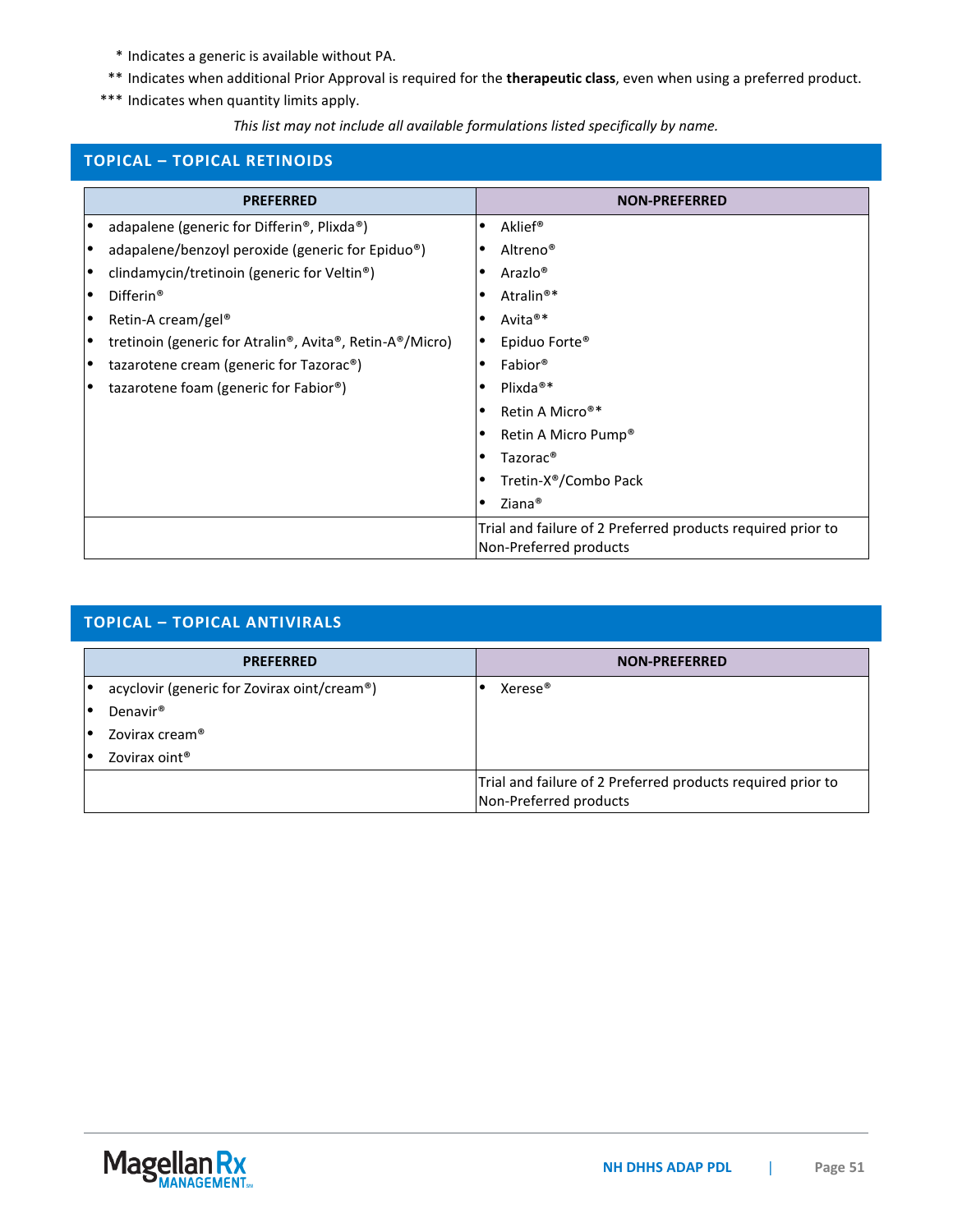- \* Indicates a generic is available without PA.
- \*\* Indicates when additional Prior Approval is required for the **therapeutic class**, even when using a preferred product.
- \*\*\* Indicates when quantity limits apply.

### <span id="page-50-0"></span>**TOPICAL – TOPICAL RETINOIDS**

|           | <b>PREFERRED</b>                                         | <b>NON-PREFERRED</b>                                                                  |
|-----------|----------------------------------------------------------|---------------------------------------------------------------------------------------|
| $\bullet$ | adapalene (generic for Differin®, Plixda®)               | Aklief <sup>®</sup><br>٠                                                              |
| lo        | adapalene/benzoyl peroxide (generic for Epiduo®)         | Altreno <sup>®</sup><br>٠                                                             |
| $\bullet$ | clindamycin/tretinoin (generic for Veltin <sup>®</sup> ) | Arazlo <sup>®</sup>                                                                   |
| $\bullet$ | Differin <sup>®</sup>                                    | Atralin <sup>®*</sup>                                                                 |
| $\bullet$ | Retin-A cream/gel <sup>®</sup>                           | Avita <sup>®*</sup><br>٠                                                              |
| $\bullet$ | tretinoin (generic for Atralin®, Avita®, Retin-A®/Micro) | Epiduo Forte®<br>٠                                                                    |
| lo        | tazarotene cream (generic for Tazorac®)                  | Fabior <sup>®</sup><br>$\bullet$                                                      |
| $\bullet$ | tazarotene foam (generic for Fabior®)                    | Plixda <sup>®*</sup>                                                                  |
|           |                                                          | Retin A Micro <sup>®*</sup>                                                           |
|           |                                                          | Retin A Micro Pump <sup>®</sup>                                                       |
|           |                                                          | Tazorac <sup>®</sup>                                                                  |
|           |                                                          | Tretin-X <sup>®</sup> /Combo Pack                                                     |
|           |                                                          | Ziana <sup>®</sup>                                                                    |
|           |                                                          | Trial and failure of 2 Preferred products required prior to<br>Non-Preferred products |

## <span id="page-50-1"></span>**TOPICAL – TOPICAL ANTIVIRALS**

|           | <b>PREFERRED</b>                            | <b>NON-PREFERRED</b>                                                                  |
|-----------|---------------------------------------------|---------------------------------------------------------------------------------------|
| $\bullet$ | acyclovir (generic for Zovirax oint/cream®) | Xerese <sup>®</sup>                                                                   |
| і е       | Denavir <sup>®</sup>                        |                                                                                       |
|           | Zovirax cream <sup>®</sup>                  |                                                                                       |
|           | Zovirax oint <sup>®</sup>                   |                                                                                       |
|           |                                             | Trial and failure of 2 Preferred products required prior to<br>Non-Preferred products |